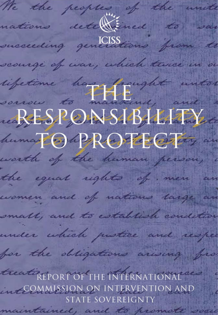rifetime has frought untor makes PONSIBLET human O PROFECTION worth of the human person,

the equal rights of men an

women and of nations large an

small, and to establish condition

under which pustice and respect

for the obligations arising from

We the peoples of the units

nations detito to sai

succeeding generations from the

scourge of war, which take in or

REPORT OF THE INTERNATIONAL COMMISSION ON INTERVENTION AND STATE SOVEREIGNTY maintained, and to promote socie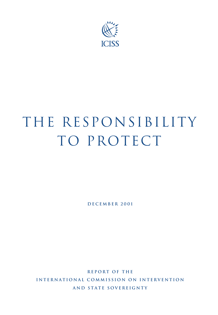

# THE RESPONSIBILITY TO PROTECT

**december 2001**

**Report of the International Commission on Intervention and State Sovereignty**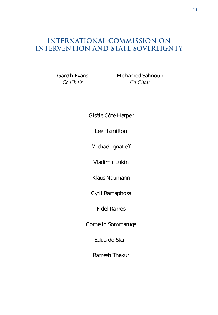## **INTERNATIONAL COMMISSION ON INTERVENTION AND STATE SOVEREIGNTY**

Gareth Evans *Co-Chair*

Mohamed Sahnoun *Co-Chair*

Gisèle Côté-Harper

Lee Hamilton

Michael Ignatieff

Vladimir Lukin

Klaus Naumann

Cyril Ramaphosa

Fidel Ramos

Cornelio Sommaruga

Eduardo Stein

Ramesh Thakur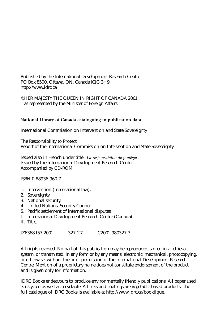Published by the International Development Research Centre PO Box 8500, Ottawa, ON, Canada K1G 3H9 http://www.idrc.ca

© HER MAJESTY THE QUEEN IN RIGHT OF CANADA 2001 as represented by the Minister of Foreign Affairs

**National Library of Canada cataloguing in publication data**

International Commission on Intervention and State Sovereignty

The Responsibility to Protect

Report of the International Commission on Intervention and State Sovereignty

Issued also in French under title : *La responsabilité de protéger*. Issued by the International Development Research Centre. Accompanied by CD-ROM

ISBN 0-88936-960-7

- 1. Intervention (International law).
- 2. Sovereignty.
- 3. National security.
- 4. United Nations. Security Council.
- 5. Pacific settlement of international disputes.
- I. International Development Research Centre (Canada)
- II. Title.

JZ6368.I57 2001 327.1'7 C2001-980327-3

All rights reserved. No part of this publication may be reproduced, stored in a retrieval system, or transmitted, in any form or by any means, electronic, mechanical, photocopying, or otherwise, without the prior permission of the International Development Research Centre. Mention of a proprietary name does not constitute endorsement of the product and is given only for information.

IDRC Books endeavours to produce environmentally friendly publications. All paper used is recycled as well as recyclable. All inks and coatings are vegetable-based products. The full catalogue of IDRC Books is available at http://www.idrc.ca/booktique.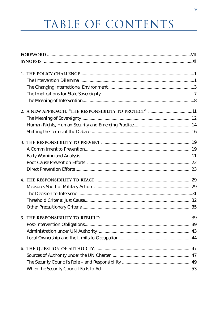## TABLE OF CONTENTS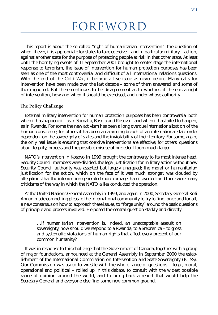## foreword

This report is about the so-called "right of humanitarian intervention": the question of when, if ever, it is appropriate for states to take coercive – and in particular military – action, against another state for the purpose of protecting people at risk in that other state. At least until the horrifying events of 11 September 2001 brought to center stage the international response to terrorism, the issue of intervention for human protection purposes has been seen as one of the most controversial and difficult of all international relations questions. With the end of the Cold War, it became a live issue as never before. Many calls for intervention have been made over the last decade – some of them answered and some of them ignored. But there continues to be disagreement as to whether, if there is a right of intervention, how and when it should be exercised, and under whose authority.

#### **The Policy Challenge**

External military intervention for human protection purposes has been controversial both when it has happened – as in Somalia, Bosnia and Kosovo – and when it has failed to happen, as in Rwanda. For some the new activism has been a long overdue internationalization of the human conscience; for others it has been an alarming breach of an international state order dependent on the sovereignty of states and the inviolability of their territory. For some, again, the only real issue is ensuring that coercive interventions are effective; for others, questions about legality, process and the possible misuse of precedent loom much larger.

NATO's intervention in Kosovo in 1999 brought the controversy to its most intense head. Security Council members were divided; the legal justification for military action without new Security Council authority was asserted but largely unargued; the moral or humanitarian justification for the action, which on the face of it was much stronger, was clouded by allegations that the intervention generated more carnage than it averted; and there were many criticisms of the way in which the NATO allies conducted the operation.

At the United Nations General Assembly in 1999, and again in 2000, Secretary-General Kofi Annan made compelling pleas to the international community to try to find, once and for all, a new consensus on how to approach these issues, to "forge unity" around the basic questions of principle and process involved. He posed the central question starkly and directly:

…if humanitarian intervention is, indeed, an unacceptable assault on sovereignty, how should we respond to a Rwanda, to a Srebrenica – to gross and systematic violations of human rights that affect every precept of our common humanity?

It was in response to this challenge that the Government of Canada, together with a group of major foundations, announced at the General Assembly in September 2000 the establishment of the International Commission on Intervention and State Sovereignty (ICISS). Our Commission was asked to wrestle with the whole range of questions – legal, moral, operational and political – rolled up in this debate, to consult with the widest possible range of opinion around the world, and to bring back a report that would help the Secretary-General and everyone else find some new common ground.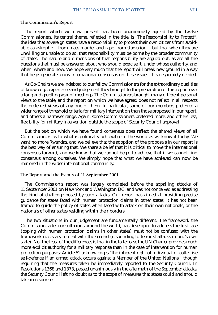#### **The Commission's Report**

The report which we now present has been unanimously agreed by the twelve Commissioners. Its central theme, reflected in the title, is "The Responsibility to Protect", the idea that sovereign states have a responsibility to protect their own citizens from avoidable catastrophe – from mass murder and rape, from starvation – but that when they are unwilling or unable to do so, that responsibility must be borne by the broader community of states. The nature and dimensions of that responsibility are argued out, as are all the questions that must be answered about who should exercise it, under whose authority, and when, where and how. We hope very much that the report will break new ground in a way that helps generate a new international consensus on these issues. It is desperately needed.

As Co-Chairs we are indebted to our fellow Commissioners for the extraordinary qualities of knowledge, experience and judgement they brought to the preparation of this report over a long and gruelling year of meetings. The Commissioners brought many different personal views to the table, and the report on which we have agreed does not reflect in all respects the preferred views of any one of them. In particular, some of our members preferred a wider range of threshold criteria for military intervention than those proposed in our report, and others a narrower range. Again, some Commissioners preferred more, and others less, flexibility for military intervention outside the scope of Security Council approval.

But the text on which we have found consensus does reflect the shared views of all Commissioners as to what is politically achievable in the world as we know it today. We want no more Rwandas, and we believe that the adoption of the proposals in our report is the best way of ensuring that. We share a belief that it is critical to move the international consensus forward, and we know that we cannot begin to achieve that if we cannot find consensus among ourselves. We simply hope that what we have achieved can now be mirrored in the wider international community.

#### **The Report and the Events of 11 September 2001**

The Commission's report was largely completed before the appalling attacks of 11 September 2001 on New York and Washington DC, and was not conceived as addressing the kind of challenge posed by such attacks. Our report has aimed at providing precise guidance for states faced with human protection claims in other states; it has not been framed to guide the policy of states when faced with attack on their own nationals, or the nationals of other states residing within their borders.

The two situations in our judgement are fundamentally different. The framework the Commission, after consultations around the world, has developed to address the first case (coping with human protection claims in other states) must not be confused with the framework necessary to deal with the second (responding to terrorist attacks in one's own state). Not the least of the differences is that in the latter case the UN Charter provides much more explicit authority for a military response than in the case of intervention for human protection purposes: Article 51 acknowledges "the inherent right of individual or collective self-defence if an armed attack occurs against a Member of the United Nations", though requiring that the measures taken be immediately reported to the Security Council. In Resolutions 1368 and 1373, passed unanimously in the aftermath of the September attacks, the Security Council left no doubt as to the scope of measures that states could and should take in response.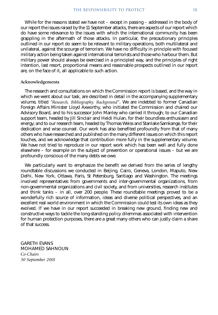While for the reasons stated we have not – except in passing – addressed in the body of our report the issues raised by the 11 September attacks, there are aspects of our report which do have some relevance to the issues with which the international community has been grappling in the aftermath of those attacks. In particular, the precautionary principles outlined in our report do seem to be relevant to military operations, both multilateral and unilateral, against the scourge of terrorism. We have no difficulty in principle with focused military action being taken against international terrorists and those who harbour them. But military power should always be exercised in a principled way, and the principles of right intention, last resort, proportional means and reasonable prospects outlined in our report are, on the face of it, all applicable to such action.

#### **Acknowledgements**

The research and consultations on which the Commission report is based, and the way in which we went about our task, are described in detail in the accompanying supplementary volume, titled *"Research, Bibliography, Background"*. We are indebted to former Canadian Foreign Affairs Minister Lloyd Axworthy, who initiated the Commission and chaired our Advisory Board, and to his successor John Manley who carried it through; to our Canadian support team, headed by Jill Sinclair and Heidi Hulan, for their boundless enthusiasm and energy; and to our research team, headed by Thomas Weiss and Stanlake Samkange, for their dedication and wise counsel. Our work has also benefited profoundly from that of many others who have researched and published on the many different issues on which this report touches, and we acknowledge that contribution more fully in the supplementary volume. We have not tried to reproduce in our report work which has been well and fully done elsewhere – for example on the subject of prevention or operational issues – but we are profoundly conscious of the many debts we owe.

We particularly want to emphasize the benefit we derived from the series of lengthy roundtable discussions we conducted in Beijing, Cairo, Geneva, London, Maputo, New Delhi, New York, Ottawa, Paris, St Petersburg, Santiago and Washington. The meetings involved representatives from governments and inter-governmental organizations, from non-governmental organizations and civil society, and from universities, research institutes and think tanks – in all, over 200 people. These roundtable meetings proved to be a wonderfully rich source of information, ideas and diverse political perspectives, and an excellent real world environment in which the Commission could test its own ideas as they evolved. If we have in our report succeeded in breaking new ground, finding new and constructive ways to tackle the long-standing policy dilemmas associated with intervention for human protection purposes, there are a great many others who can justly claim a share of that success.

GARETH EVANS MOHAMED SAHNOUN *Co-Chairs 30 September 2001*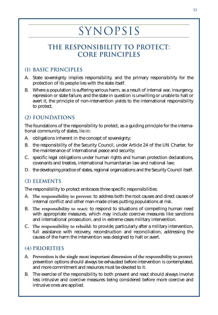## synopsis

## **THE RESPONSIBILITY TO PROTECT: CORE PRINCIPLES**

## **(1) Basic Principles**

- A. State sovereignty implies responsibility, and the primary responsibility for the protection of its people lies with the state itself.
- B. Where a population is suffering serious harm, as a result of internal war, insurgency, repression or state failure, and the state in question is unwilling or unable to halt or avert it, the principle of non-intervention yields to the international responsibility to protect.

## **(2) Foundations**

The foundations of the responsibility to protect, as a guiding principle for the international community of states, lie in:

- A. obligations inherent in the concept of sovereignty;
- B. the responsibility of the Security Council, under Article 24 of the UN Charter, for the maintenance of international peace and security;
- C. specific legal obligations under human rights and human protection declarations, covenants and treaties, international humanitarian law and national law;
- D. the developing practice of states, regional organizations and the Security Council itself.

## **(3) Elements**

The responsibility to protect embraces three specific responsibilities:

- A. **The responsibility to prevent:** to address both the root causes and direct causes of internal conflict and other man-made crises putting populations at risk.
- B. **The responsibility to react:** to respond to situations of compelling human need with appropriate measures, which may include coercive measures like sanctions and international prosecution, and in extreme cases military intervention.
- C. **The responsibility to rebuild:** to provide, particularly after a military intervention, full assistance with recovery, reconstruction and reconciliation, addressing the causes of the harm the intervention was designed to halt or avert.

## **(4) Priorities**

- A. **Prevention is the single most important dimension of the responsibility to protect:** prevention options should always be exhausted before intervention is contemplated, and more commitment and resources must be devoted to it.
- B. The exercise of the responsibility to both prevent and react should always involve less intrusive and coercive measures being considered before more coercive and intrusive ones are applied.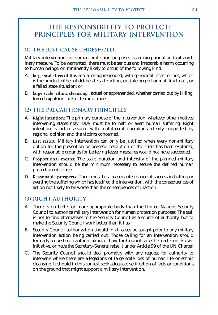## **The Responsibility to Protect: Principles for Military Intervention**

## **(1) The Just Cause Threshold**

Military intervention for human protection purposes is an exceptional and extraordinary measure. To be warranted, there must be serious and irreparable harm occurring to human beings, or imminently likely to occur, of the following kind:

- A. **large scale loss of life,** actual or apprehended, with genocidal intent or not, which is the product either of deliberate state action, or state neglect or inability to act, or a failed state situation; or
- B. **large scale 'ethnic cleansing'**, actual or apprehended, whether carried out by killing, forced expulsion, acts of terror or rape.

## **(2) The Precautionary Principles**

- A. **Right intention:** The primary purpose of the intervention, whatever other motives intervening states may have, must be to halt or avert human suffering. Right intention is better assured with multilateral operations, clearly supported by regional opinion and the victims concerned.
- B. **Last resort:** Military intervention can only be justified when every non-military option for the prevention or peaceful resolution of the crisis has been explored, with reasonable grounds for believing lesser measures would not have succeeded.
- C. **Proportional means:** The scale, duration and intensity of the planned military intervention should be the minimum necessary to secure the defined human protection objective.
- D. **Reasonable prospects:** There must be a reasonable chance of success in halting or averting the suffering which has justified the intervention, with the consequences of action not likely to be worse than the consequences of inaction.

## **(3) Right Authority**

- A. There is no better or more appropriate body than the United Nations Security Council to authorize military intervention for human protection purposes. The task is not to find alternatives to the Security Council as a source of authority, but to make the Security Council work better than it has.
- B. Security Council authorization should in all cases be sought prior to any military intervention action being carried out. Those calling for an intervention should formally request such authorization, or have the Council raise the matter on its own initiative, or have the Secretary-General raise it under Article 99 of the UN Charter.
- C. The Security Council should deal promptly with any request for authority to intervene where there are allegations of large scale loss of human life or ethnic cleansing. It should in this context seek adequate verification of facts or conditions on the ground that might support a military intervention.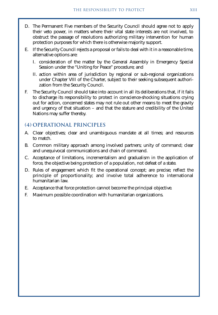- D. The Permanent Five members of the Security Council should agree not to apply their veto power, in matters where their vital state interests are not involved, to obstruct the passage of resolutions authorizing military intervention for human protection purposes for which there is otherwise majority support.
- E. If the Security Council rejects a proposal or fails to deal with it in a reasonable time, alternative options are:
	- I. consideration of the matter by the General Assembly in Emergency Special Session under the "Uniting for Peace" procedure; and
	- II. action within area of jurisdiction by regional or sub-regional organizations under Chapter VIII of the Charter, subject to their seeking subsequent authorization from the Security Council.
- F. The Security Council should take into account in all its deliberations that, if it fails to discharge its responsibility to protect in conscience-shocking situations crying out for action, concerned states may not rule out other means to meet the gravity and urgency of that situation – and that the stature and credibility of the United Nations may suffer thereby.

### **(4) Operational Principles**

- A. Clear objectives; clear and unambiguous mandate at all times; and resources to match.
- B. Common military approach among involved partners; unity of command; clear and unequivocal communications and chain of command.
- C. Acceptance of limitations, incrementalism and gradualism in the application of force, the objective being protection of a population, not defeat of a state.
- D. Rules of engagement which fit the operational concept; are precise; reflect the principle of proportionality; and involve total adherence to international humanitarian law.
- E. Acceptance that force protection cannot become the principal objective.
- F. Maximum possible coordination with humanitarian organizations.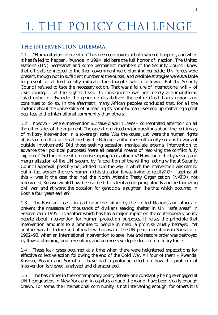## 1. THE POLICY CHALLENGE

### **THE INTERVENTION DILEMMA**

1.1 "Humanitarian intervention" has been controversial both when it happens, and when it has failed to happen. Rwanda in 1994 laid bare the full horror of inaction. The United Nations (UN) Secretariat and some permanent members of the Security Council knew that officials connected to the then government were planning genocide; UN forces were present, though not in sufficient number at the outset; and credible strategies were available to prevent, or at least greatly mitigate, the slaughter which followed. But the Security Council refused to take the necessary action. That was a failure of international will – of civic courage – at the highest level. Its consequence was not merely a humanitarian catastrophe for Rwanda: the genocide destabilized the entire Great Lakes region and continues to do so. In the aftermath, many African peoples concluded that, for all the rhetoric about the universality of human rights, some human lives end up mattering a great deal less to the international community than others.

1.2 Kosovo – where intervention *did* take place in 1999 – concentrated attention on all the other sides of the argument. The operation raised major questions about the legitimacy of military intervention in a sovereign state. Was the cause just: were the human rights abuses committed or threatened by the Belgrade authorities sufficiently serious to warrant outside involvement? Did those seeking secession manipulate external intervention to advance their political purposes? Were all peaceful means of resolving the conflict fully explored? Did the intervention receive appropriate authority? How could the bypassing and marginalization of the UN system, by "a coalition of the willing" acting without Security Council approval, possibly be justified? Did the way in which the intervention was carried out in fact worsen the very human rights situation it was trying to rectify? Or – against all this – was it the case that had the North Atlantic Treaty Organization (NATO) not intervened, Kosovo would have been at best the site of an ongoing, bloody and destabilizing civil war, and at worst the occasion for genocidal slaughter like that which occurred in Bosnia four years earlier?

1.3 The Bosnian case – in particular the failure by the United Nations and others to prevent the massacre of thousands of civilians seeking shelter in UN "safe areas" in Srebrenica in 1995 – is another which has had a major impact on the contemporary policy debate about intervention for human protection purposes. It raises the principle that intervention amounts to a promise to people in need: a promise cruelly betrayed. Yet another was the failure and ultimate withdrawal of the UN peace operations in Somalia in 1992–93, when an international intervention to save lives and restore order was destroyed by flawed planning, poor execution, and an excessive dependence on military force.

1.4 These four cases occurred at a time when there were heightened expectations for effective collective action following the end of the Cold War. All four of them – Rwanda, Kosovo, Bosnia and Somalia – have had a profound effect on how the problem of intervention is viewed, analyzed and characterized.

1.5 The basic lines in the contemporary policy debate, one constantly being re-engaged at UN headquarters in New York and in capitals around the world, have been clearly enough drawn. For some, the international community is not intervening enough; for others it is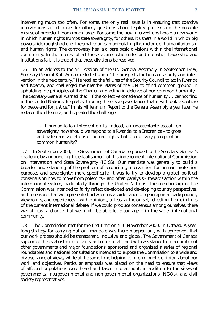intervening much too often. For some, the only real issue is in ensuring that coercive interventions are effective; for others, questions about legality, process and the possible misuse of precedent loom much larger. For some, the new interventions herald a new world in which human rights trumps state sovereignty; for others, it ushers in a world in which big powers ride roughshod over the smaller ones, manipulating the rhetoric of humanitarianism and human rights. The controversy has laid bare basic divisions within the international community. In the interest of all those victims who suffer and die when leadership and institutions fail, it is crucial that these divisions be resolved.

1.6 In an address to the  $54<sup>th</sup>$  session of the UN General Assembly in September 1999, Secretary-General Kofi Annan reflected upon "the prospects for human security and intervention in the next century." He recalled the failures of the Security Council to act in Rwanda and Kosovo, and challenged the member states of the UN to "find common ground in upholding the principles of the Charter, and acting in defence of our common humanity." The Secretary-General warned that "If the collective conscience of humanity … cannot find in the United Nations its greatest tribune, there is a grave danger that it will look elsewhere for peace and for justice." In his Millennium Report to the General Assembly a year later, he restated the dilemma, and repeated the challenge:

… if humanitarian intervention is, indeed, an unacceptable assault on sovereignty, how should we respond to a Rwanda, to a Srebrenica – to gross and systematic violations of human rights that offend every precept of our common humanity?

1.7 In September 2000, the Government of Canada responded to the Secretary-General's challenge by announcing the establishment of this independent International Commission on Intervention and State Sovereignty (ICISS). Our mandate was generally to build a broader understanding of the problem of reconciling intervention for human protection purposes and sovereignty; more specifically, it was to try to develop a global political consensus on how to move from polemics – and often paralysis – towards action within the international system, particularly through the United Nations. The membership of the Commission was intended to fairly reflect developed and developing country perspectives, and to ensure that we represented between us a wide range of geographical backgrounds, viewpoints, and experiences – with opinions, at least at the outset, reflecting the main lines of the current international debate. If we could produce consensus among ourselves, there was at least a chance that we might be able to encourage it in the wider international community.

1.8 The Commission met for the first time on 5–6 November 2000, in Ottawa. A yearlong strategy for carrying out our mandate was there mapped out, with agreement that our work process should be transparent, inclusive, and global. The Government of Canada supported the establishment of a research directorate, and with assistance from a number of other governments and major foundations, sponsored and organized a series of regional roundtables and national consultations intended to expose the Commission to a wide and diverse range of views, while at the same time helping to inform public opinion about our work and objectives. Particular emphasis was placed on the need to ensure that views of affected populations were heard and taken into account, in addition to the views of governments, intergovernmental and non-governmental organizations (NGOs), and civil society representatives.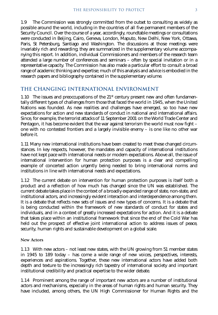1.9 The Commission was strongly committed from the outset to consulting as widely as

possible around the world, including in the countries of all five permanent members of the Security Council. Over the course of a year, accordingly, roundtable meetings or consultations were conducted in Beijing, Cairo, Geneva, London, Maputo, New Delhi, New York, Ottawa, Paris, St Petersburg, Santiago and Washington. The discussions at those meetings were invariably rich and rewarding; they are summarized in the supplementary volume accompanying this report. In addition, individual Commissioners and members of the research team attended a large number of conferences and seminars – often by special invitation or in a representative capacity. The Commission has also made a particular effort to consult a broad range of academic thinking and expertise; much of this analysis and advice is embodied in the research papers and bibliography contained in the supplementary volume.

## **THE CHANGING INTERNATIONAL ENVIRONMENT**

1.10 The issues and preoccupations of the  $21<sup>st</sup>$  century present new and often fundamentally different types of challenges from those that faced the world in 1945, when the United Nations was founded. As new realities and challenges have emerged, so too have new expectations for action and new standards of conduct in national and international affairs. Since, for example, the terrorist attacks of 11 September 2001 on the World Trade Center and Pentagon, it has become evident that the war against terrorism the world must now fight – one with no contested frontiers and a largely invisible enemy – is one like no other war before it.

1.11 Many new international institutions have been created to meet these changed circumstances. In key respects, however, the mandates and capacity of international institutions have not kept pace with international needs or modern expectations. Above all, the issue of international intervention for human protection purposes is a clear and compelling example of concerted action urgently being needed to bring international norms and institutions in line with international needs and expectations.

1.12 The current debate on intervention for human protection purposes is itself both a product and a reflection of how much has changed since the UN was established. The current debate takes place in the context of a broadly expanded range of state, non-state, and institutional actors, and increasingly evident interaction and interdependence among them. It is a debate that reflects new sets of issues and new types of concerns. It is a debate that is being conducted within the framework of new standards of conduct for states and individuals, and in a context of greatly increased expectations for action. And it is a debate that takes place within an institutional framework that since the end of the Cold War has held out the prospect of effective joint international action to address issues of peace, security, human rights and sustainable development on a global scale.

#### **New Actors**

1.13 With new actors – not least new states, with the UN growing from 51 member states in 1945 to 189 today – has come a wide range of new voices, perspectives, interests, experiences and aspirations. Together, these new international actors have added both depth and texture to the increasingly rich tapestry of international society and important institutional credibility and practical expertise to the wider debate.

1.14 Prominent among the range of important new actors are a number of institutional actors and mechanisms, especially in the areas of human rights and human security. They have included, among others, the UN High Commissioner for Human Rights and the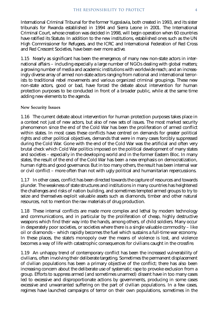International Criminal Tribunal for the former Yugoslavia, both created in 1993, and its sister tribunals for Rwanda established in 1994 and Sierra Leone in 2001. The International Criminal Court, whose creation was decided in 1998, will begin operation when 60 countries have ratified its Statute. In addition to the new institutions, established ones such as the UN High Commissioner for Refugees, and the ICRC and International Federation of Red Cross and Red Crescent Societies, have been ever more active.

1.15 Nearly as significant has been the emergence, of many new non-state actors in international affairs – including especially a large number of NGOs dealing with global matters; a growing number of media and academic institutions with worldwide reach; and an increasingly diverse array of armed non-state actors ranging from national and international terrorists to traditional rebel movements and various organized criminal groupings. These new non-state actors, good or bad, have forced the debate about intervention for human protection purposes to be conducted in front of a broader public, while at the same time adding new elements to the agenda.

#### **New Security Issues**

1.16 The current debate about intervention for human protection purposes takes place in a context not just of new actors, but also of new sets of issues. The most marked security phenomenon since the end of the Cold War has been the proliferation of armed conflict within states. In most cases these conflicts have centred on demands for greater political rights and other political objectives, demands that were in many cases forcibly suppressed during the Cold War. Gone with the end of the Cold War was the artificial and often very brutal check which Cold War politics imposed on the political development of many states and societies – especially in the developing world and in the former Eastern Bloc. In many states, the result of the end of the Cold War has been a new emphasis on democratization, human rights and good governance. But in too many others, the result has been internal war or civil conflict – more often than not with ugly political and humanitarian repercussions.

1.17 In other cases, conflict has been directed towards the capture of resources and towards plunder. The weakness of state structures and institutions in many countries has heightened the challenges and risks of nation building, and sometimes tempted armed groups to try to seize and themselves exploit valuable assets such as diamonds, timber and other natural resources, not to mention the raw materials of drug production.

1.18 These internal conflicts are made more complex and lethal by modern technology and communications, and in particular by the proliferation of cheap, highly destructive weapons which find their way into the hands, among others, of child soldiers. Many occur in desperately poor societies, or societies where there is a single valuable commodity  $-$  like oil or diamonds – which rapidly becomes the fuel which sustains a full-time war economy. In these places, the state's monopoly over the means of violence is lost, and violence becomes a way of life with catastrophic consequences for civilians caught in the crossfire.

1.19 An unhappy trend of contemporary conflict has been the increased vulnerability of civilians, often involving their deliberate targeting. Sometimes the permanent displacement of civilian populations has been a primary objective of the conflict; there has also been increasing concern about the deliberate use of systematic rape to provoke exclusion from a group. Efforts to suppress armed (and sometimes unarmed) dissent have in too many cases led to excessive and disproportionate actions by governments, producing in some cases excessive and unwarranted suffering on the part of civilian populations. In a few cases, regimes have launched campaigns of terror on their own populations, sometimes in the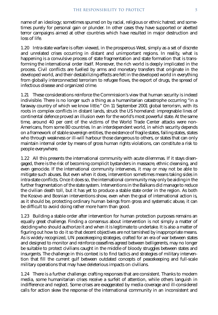name of an ideology; sometimes spurred on by racial, religious or ethnic hatred; and sometimes purely for personal gain or plunder. In other cases they have supported or abetted terror campaigns aimed at other countries which have resulted in major destruction and loss of life.

1.20 Intra-state warfare is often viewed, in the prosperous West, simply as a set of discrete and unrelated crises occurring in distant and unimportant regions. In reality, what is happening is a convulsive process of state fragmentation and state formation that is transforming the international order itself. Moreover, the rich world is deeply implicated in the process. Civil conflicts are fuelled by arms and monetary transfers that originate in the developed world, and their destabilizing effects are felt in the developed world in everything from globally interconnected terrorism to refugee flows, the export of drugs, the spread of infectious disease and organized crime.

1.21 These considerations reinforce the Commission's view that human security is indeed indivisible. There is no longer such a thing as a humanitarian catastrophe occurring "in a faraway country of which we know little." On 11 September 2001 global terrorism, with its roots in complex conflicts in distant lands, struck the US homeland: impregnable lines of continental defence proved an illusion even for the world's most powerful state. At the same time, around 40 per cent of the victims of the World Trade Center attacks were non-Americans, from some 80 countries. In an interdependent world, in which security depends on a framework of stable sovereign entities, the existence of fragile states, failing states, states who through weakness or ill-will harbour those dangerous to others, or states that can only maintain internal order by means of gross human rights violations, can constitute a risk to people everywhere.

1.22 All this presents the international community with acute dilemmas. If it stays disengaged, there is the risk of becoming complicit bystanders in massacre, ethnic cleansing, and even genocide. If the international community intervenes, it may or may not be able to mitigate such abuses. But even when it does, intervention sometimes means taking sides in intra-state conflicts. Once it does so, the international community may only be aiding in the further fragmentation of the state system. Interventions in the Balkans did manage to reduce the civilian death toll, but it has yet to produce a stable state order in the region. As both the Kosovo and Bosnian interventions show, even when the goal of international action is, as it should be, protecting ordinary human beings from gross and systematic abuse, it can be difficult to avoid doing rather more harm than good.

1.23 Building a stable order after intervention for human protection purposes remains an equally great challenge. Finding a consensus about intervention is not simply a matter of deciding who should authorize it and when it is legitimate to undertake. It is also a matter of figuring out how to do it so that decent objectives are not tarnished by inappropriate means. As is widely recognized, UN peacekeeping strategies, crafted for an era of war between states and designed to monitor and reinforce ceasefires agreed between belligerents, may no longer be suitable to protect civilians caught in the middle of bloody struggles between states and insurgents. The challenge in this context is to find tactics and strategies of military intervention that fill the current gulf between outdated concepts of peacekeeping and full-scale military operations that may have deleterious impacts on civilians.

1.24 There is a further challenge: crafting responses that are consistent. Thanks to modern media, some humanitarian crises receive a surfeit of attention, while others languish in indifference and neglect. Some crises are exaggerated by media coverage and ill-considered calls for action skew the response of the international community in an inconsistent and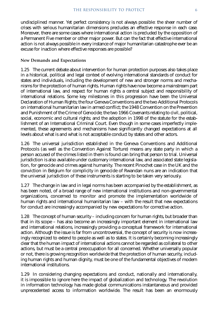undisciplined manner. Yet perfect consistency is not always possible: the sheer number of crises with serious humanitarian dimensions precludes an effective response in each case. Moreover, there are some cases where international action is precluded by the opposition of a Permanent Five member or other major power. But can the fact that effective international action is not always possible in every instance of major humanitarian catastrophe ever be an excuse for inaction where effective responses are possible?

#### **New Demands and Expectations**

1.25 The current debate about intervention for human protection purposes also takes place in a historical, political and legal context of evolving international standards of conduct for states and individuals, including the development of new and stronger norms and mechanisms for the protection of human rights. Human rights have now become a mainstream part of international law, and respect for human rights a central subject and responsibility of international relations. Some key milestones in this progression have been the Universal Declaration of Human Rights; the four Geneva Conventions and the two Additional Protocols on international humanitarian law in armed conflict; the 1948 Convention on the Prevention and Punishment of the Crime of Genocide; the two 1966 Covenants relating to civil, political, social, economic and cultural rights; and the adoption in 1998 of the statute for the establishment of an International Criminal Court. Even though in some cases imperfectly implemented, these agreements and mechanisms have significantly changed expectations at all levels about what is and what is not acceptable conduct by states and other actors.

1.26 The universal jurisdiction established in the Geneva Conventions and Additional Protocols (as well as the Convention Against Torture) means any state party in which a person accused of the crimes listed in them is found can bring that person to trial. Universal jurisdiction is also available under customary international law, and associated state legislation, for genocide and crimes against humanity. The recent Pinochet case in the UK and the conviction in Belgium for complicity in genocide of Rwandan nuns are an indication that the universal jurisdiction of these instruments is starting to be taken very seriously.

1.27 The change in law and in legal norms has been accompanied by the establishment, as has been noted, of a broad range of new international institutions and non-governmental organizations, concerned to monitor and promote the implementation worldwide of human rights and international humanitarian law – with the result that new expectations for conduct are increasingly accompanied by new expectations for corrective action.

1.28 The concept of human security – including concern for human rights, but broader than that in its scope – has also become an increasingly important element in international law and international relations, increasingly providing a conceptual framework for international action. Although the issue is far from uncontroversial, the concept of security is now increasingly recognized to extend to people as well as to states. It is certainly becoming increasingly clear that the human impact of international actions cannot be regarded as collateral to other actions, but must be a central preoccupation for all concerned. Whether universally popular or not, there is growing recognition worldwide that the protection of human security, including human rights and human dignity, must be one of the fundamental objectives of modern international institutions.

1.29 In considering changing expectations and conduct, nationally and internationally, it is impossible to ignore here the impact of globalization and technology. The revolution in information technology has made global communications instantaneous and provided unprecedented access to information worldwide. The result has been an enormously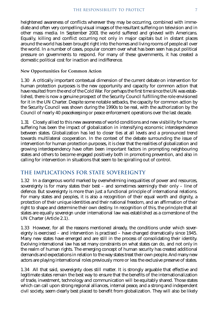heightened awareness of conflicts wherever they may be occurring, combined with immediate and often very compelling visual images of the resultant suffering on television and in other mass media. In September 2001 the world suffered and grieved with Americans. Equally, killing and conflict occurring not only in major capitals but in distant places around the world has been brought right into the homes and living rooms of people all over the world. In a number of cases, popular concern over what has been seen has put political pressure on governments to respond. For many of these governments, it has created a domestic political cost for inaction and indifference.

#### **New Opportunities for Common Action**

1.30 A critically important contextual dimension of the current debate on intervention for human protection purposes is the new opportunity and capacity for common action that have resulted from the end of the Cold War. For perhaps the first time since the UN was established, there is now a genuine prospect of the Security Council fulfilling the role envisioned for it in the UN Charter. Despite some notable setbacks, the capacity for common action by the Security Council was shown during the 1990s to be real, with the authorization by the Council of nearly 40 peacekeeping or peace enforcement operations over the last decade.

1.31 Closely allied to this new awareness of world conditions and new visibility for human suffering has been the impact of globalization in intensifying economic interdependence between states. Globalization has led to closer ties at all levels and a pronounced trend towards multilateral cooperation. In the context of the debate surrounding the issue of intervention for human protection purposes, it is clear that the realities of globalization and growing interdependency have often been important factors in prompting neighbouring states and others to become engaged positively both in promoting prevention, and also in calling for intervention in situations that seem to be spiralling out of control.

## **THE IMPLICATIONS FOR STATE SOVEREIGNTY**

1.32 In a dangerous world marked by overwhelming inequalities of power and resources, sovereignty is for many states their best – and sometimes seemingly their only – line of defence. But sovereignty is more than just a functional principle of international relations. For many states and peoples, it is also a recognition of their equal worth and dignity, a protection of their unique identities and their national freedom, and an affirmation of their right to shape and determine their own destiny. In recognition of this, the principle that all states are equally sovereign under international law was established as a cornerstone of the UN Charter (Article 2.1).

1.33 However, for all the reasons mentioned already, the conditions under which sovereignty is exercised – and intervention is practised – have changed dramatically since 1945. Many new states have emerged and are still in the process of consolidating their identity. Evolving international law has set many constraints on what states can do, and not only in the realm of human rights. The emerging concept of human security has created additional demands and expectations in relation to the way states treat their own people. And many new actors are playing international roles previously more or less the exclusive preserve of states.

1.34 All that said, sovereignty does still matter. It is strongly arguable that effective and legitimate states remain the best way to ensure that the benefits of the internationalization of trade, investment, technology and communication will be equitably shared. Those states which can call upon strong regional alliances, internal peace, and a strong and independent civil society, seem clearly best placed to benefit from globalization. They will also be likely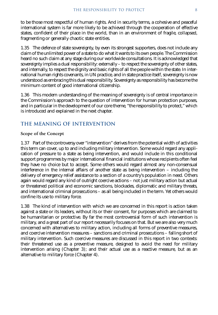to be those most respectful of human rights. And in security terms, a cohesive and peaceful international system is far more likely to be achieved through the cooperation of effective states, confident of their place in the world, than in an environment of fragile, collapsed, fragmenting or generally chaotic state entities.

1.35 The defence of state sovereignty, by even its strongest supporters, does not include any claim of the unlimited power of a state to do what it wants to its own people. The Commission heard no such claim at any stage during our worldwide consultations. It is acknowledged that sovereignty implies a dual responsibility: externally – to respect the sovereignty of other states, and internally, to respect the dignity and basic rights of all the people within the state. In international human rights covenants, in UN practice, and in state practice itself, sovereignty is now understood as embracing this dual responsibility. Sovereignty as responsibility has become the minimum content of good international citizenship.

1.36 This modern understanding of the meaning of sovereignty is of central importance in the Commission's approach to the question of intervention for human protection purposes, and in particular in the development of our core theme, "the responsibility to protect," which is introduced and explained in the next chapter.

## **THE MEANING OF INTERVENTION**

#### **Scope of the Concept**

1.37 Part of the controversy over "intervention" derives from the potential width of activities this term can cover, up to and including military intervention. Some would regard any application of pressure to a state as being intervention, and would include in this conditional support programmes by major international financial institutions whose recipients often feel they have no choice but to accept. Some others would regard almost any non-consensual interference in the internal affairs of another state as being intervention – including the delivery of emergency relief assistance to a section of a country's population in need. Others again would regard any kind of outright coercive actions – not just military action but actual or threatened political and economic sanctions, blockades, diplomatic and military threats, and international criminal prosecutions – as all being included in the term. Yet others would confine its use to military force.

1.38 The kind of intervention with which we are concerned in this report is action taken against a state or its leaders, without its or their consent, for purposes which are claimed to be humanitarian or protective. By far the most controversial form of such intervention is military, and a great part of our report necessarily focuses on that. But we are also very much concerned with alternatives to military action, including all forms of preventive measures, and coercive intervention measures – sanctions and criminal prosecutions – falling short of military intervention. Such coercive measures are discussed in this report in two contexts: their threatened use as a preventive measure, designed to avoid the need for military intervention arising (Chapter 3); and their actual use as a reactive measure, but as an alternative to military force (Chapter 4).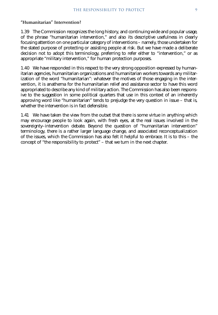#### **"Humanitarian" Intervention?**

1.39 The Commission recognizes the long history, and continuing wide and popular usage, of the phrase "humanitarian intervention," and also its descriptive usefulness in clearly focusing attention on one particular category of interventions – namely, those undertaken for the stated purpose of protecting or assisting people at risk. But we have made a deliberate decision not to adopt this terminology, preferring to refer either to "intervention," or as appropriate "military intervention," for human protection purposes.

1.40 We have responded in this respect to the very strong opposition expressed by humanitarian agencies, humanitarian organizations and humanitarian workers towards any militarization of the word "humanitarian": whatever the motives of those engaging in the intervention, it is anathema for the humanitarian relief and assistance sector to have this word appropriated to describe any kind of military action. The Commission has also been responsive to the suggestion in some political quarters that use in this context of an inherently approving word like "humanitarian" tends to prejudge the very question in issue – that is, whether the intervention is in fact defensible.

1.41 We have taken the view from the outset that there is some virtue in anything which may encourage people to look again, with fresh eyes, at the real issues involved in the sovereignty–intervention debate. Beyond the question of "humanitarian intervention" terminology, there is a rather larger language change, and associated reconceptualization of the issues, which the Commission has also felt it helpful to embrace. It is to this – the concept of "the responsibility to protect" – that we turn in the next chapter.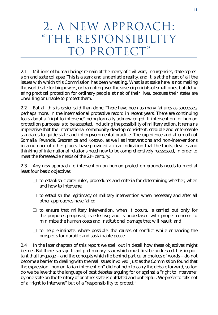## 2. A NEW APPROACH: "THE RESPONSIBILITY TO PROTECT"

2.1 Millions of human beings remain at the mercy of civil wars, insurgencies, state repression and state collapse. This is a stark and undeniable reality, and it is at the heart of all the issues with which this Commission has been wrestling. What is at stake here is not making the world safe for big powers, or trampling over the sovereign rights of small ones, but delivering practical protection for ordinary people, at risk of their lives, because their states are unwilling or unable to protect them.

2.2 But all this is easier said than done. There have been as many failures as successes, perhaps more, in the international protective record in recent years. There are continuing fears about a "right to intervene" being formally acknowledged. If intervention for human protection purposes is to be accepted, including the possibility of military action, it remains imperative that the international community develop consistent, credible and enforceable standards to guide state and intergovernmental practice. The experience and aftermath of Somalia, Rwanda, Srebrenica and Kosovo, as well as interventions and non-interventions in a number of other places, have provided a clear indication that the tools, devices and thinking of international relations need now to be comprehensively reassessed, in order to meet the foreseeable needs of the 21<sup>st</sup> century.

2.3 Any new approach to intervention on human protection grounds needs to meet at least four basic objectives:

- ❏ to establish clearer rules, procedures and criteria for determining whether, when and how to intervene;
- ❏ to establish the legitimacy of military intervention when necessary and after all other approaches have failed;
- ❏ to ensure that military intervention, when it occurs, is carried out only for the purposes proposed, is effective, and is undertaken with proper concern to minimize the human costs and institutional damage that will result; and
- ❏ to help eliminate, where possible, the causes of conflict while enhancing the prospects for durable and sustainable peace.

2.4 In the later chapters of this report we spell out in detail how these objectives might be met. But there is a significant preliminary issue which must first be addressed. It is important that language – and the concepts which lie behind particular choices of words – do not become a barrier to dealing with the real issues involved. Just as the Commission found that the expression "humanitarian intervention" did not help to carry the debate forward, so too do we believe that the language of past debates arguing for or against a "right to intervene" by one state on the territory of another state is outdated and unhelpful. We prefer to talk not of a "right to intervene" but of a "responsibility to protect."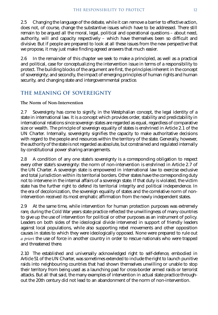2.5 Changing the language of the debate, while it can remove a barrier to effective action, does not, of course, change the substantive issues which have to be addressed. There still remain to be argued all the moral, legal, political and operational questions – about need, authority, will and capacity respectively – which have themselves been so difficult and divisive. But if people are prepared to look at all these issues from the new perspective that we propose, it may just make finding agreed answers that much easier.

2.6 In the remainder of this chapter we seek to make a principled, as well as a practical and political, case for conceptualizing the intervention issue in terms of a responsibility to protect. The building blocks of the argument are first, the principles inherent in the concept of sovereignty; and secondly, the impact of emerging principles of human rights and human security, and changing state and intergovernmental practice.

## **THE MEANING OF SOVEREIGNTY**

#### **The Norm of Non-Intervention**

2.7 Sovereignty has come to signify, in the Westphalian concept, the legal identity of a state in international law. It is a concept which provides order, stability and predictability in international relations since sovereign states are regarded as equal, regardless of comparative size or wealth. The principle of sovereign equality of states is enshrined in Article 2.1 of the UN Charter. Internally, sovereignty signifies the capacity to make authoritative decisions with regard to the people and resources within the territory of the state. Generally, however, the authority of the state is not regarded as absolute, but constrained and regulated internally by constitutional power sharing arrangements.

2.8 A condition of any one state's sovereignty is a corresponding obligation to respect every other state's sovereignty: the norm of non-intervention is enshrined in Article 2.7 of the UN Charter. A sovereign state is empowered in international law to exercise exclusive and total jurisdiction within its territorial borders. Other states have the corresponding duty not to intervene in the internal affairs of a sovereign state. If that duty is violated, the victim state has the further right to defend its territorial integrity and political independence. In the era of decolonization, the sovereign equality of states and the correlative norm of nonintervention received its most emphatic affirmation from the newly independent states.

2.9 At the same time, while intervention for human protection purposes was extremely rare, during the Cold War years state practice reflected the unwillingness of many countries to give up the use of intervention for political or other purposes as an instrument of policy. Leaders on both sides of the ideological divide intervened in support of friendly leaders against local populations, while also supporting rebel movements and other opposition causes in states to which they were ideologically opposed. None were prepared to rule out *a priori* the use of force in another country in order to rescue nationals who were trapped and threatened there.

2.10 The established and universally acknowledged right to self-defence, embodied in Article 51 of the UN Charter, was sometimes extended to include the right to launch punitive raids into neighbouring countries that had shown themselves unwilling or unable to stop their territory from being used as a launching pad for cross-border armed raids or terrorist attacks. But all that said, the many examples of intervention in actual state practice throughout the 20th century did not lead to an abandonment of the norm of non-intervention.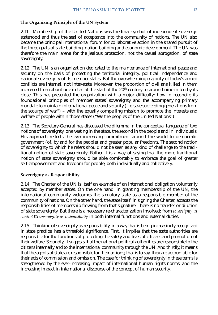#### **The Organizing Principle of the UN System**

2.11 Membership of the United Nations was the final symbol of independent sovereign statehood and thus the seal of acceptance into the community of nations. The UN also became the principal international forum for collaborative action in the shared pursuit of the three goals of state building, nation building and economic development. The UN was therefore the main arena for the jealous protection, not the casual abrogation, of state sovereignty.

2.12 The UN is an organization dedicated to the maintenance of international peace and security on the basis of protecting the territorial integrity, political independence and national sovereignty of its member states. But the overwhelming majority of today's armed conflicts are internal, not inter-state. Moreover, the proportion of civilians killed in them increased from about one in ten at the start of the 20<sup>th</sup> century to around nine in ten by its close. This has presented the organization with a major difficulty: how to reconcile its foundational principles of member states' sovereignty and the accompanying primary mandate to maintain international peace and security ("to save succeeding generations from the scourge of war") – with the equally compelling mission to promote the interests and welfare of people within those states ("We the peoples of the United Nations").

2.13 The Secretary-General has discussed the dilemma in the conceptual language of two notions of sovereignty, one vesting in the state, the second in the people and in individuals. His approach reflects the ever-increasing commitment around the world to democratic government (of, by and for the people) and greater popular freedoms. The second notion of sovereignty to which he refers should not be seen as any kind of challenge to the traditional notion of state sovereignty. Rather it is a way of saying that the more traditional notion of state sovereignty should be able comfortably to embrace the goal of greater self-empowerment and freedom for people, both individually and collectively.

#### **Sovereignty as Responsibility**

2.14 The Charter of the UN is itself an example of an international obligation voluntarily accepted by member states. On the one hand, in granting membership of the UN, the international community welcomes the signatory state as a responsible member of the community of nations. On the other hand, the state itself, in signing the Charter, accepts the responsibilities of membership flowing from that signature. There is no transfer or dilution of state sovereignty. But there is a necessary re-characterization involved: from *sovereignty as control* to *sovereignty as responsibility* in both internal functions and external duties.

2.15 Thinking of sovereignty as responsibility, in a way that is being increasingly recognized in state practice, has a threefold significance. First, it implies that the state authorities are responsible for the functions of protecting the safety and lives of citizens and promotion of their welfare. Secondly, it suggests that the national political authorities are responsible to the citizens internally and to the international community through the UN. And thirdly, it means that the agents of state are responsible for their actions; that is to say, they are accountable for their acts of commission and omission. The case for thinking of sovereignty in these terms is strengthened by the ever-increasing impact of international human rights norms, and the increasing impact in international discourse of the concept of human security.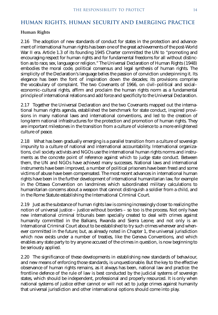#### **HUMAN RIGHTS, HUMAN SECURITY AND EMERGING PRACTICE**

#### **Human Rights**

2.16 The adoption of new standards of conduct for states in the protection and advancement of international human rights has been one of the great achievements of the post-World War II era. Article 1.3 of its founding 1945 Charter committed the UN to "promoting and encouraging respect for human rights and for fundamental freedoms for all without distinction as to race, sex, language or religion." The Universal Declaration of Human Rights (1948) embodies the moral code, political consensus and legal synthesis of human rights. The simplicity of the Declaration's language belies the passion of conviction underpinning it. Its elegance has been the font of inspiration down the decades; its provisions comprise the vocabulary of complaint. The two Covenants of 1966, on civil–political and social– economic–cultural rights, affirm and proclaim the human rights norm as a fundamental principle of international relations and add force and specificity to the Universal Declaration.

2.17 Together the Universal Declaration and the two Covenants mapped out the international human rights agenda, established the benchmark for state conduct, inspired provisions in many national laws and international conventions, and led to the creation of long-term national infrastructures for the protection and promotion of human rights. They are important milestones in the transition from a culture of violence to a more enlightened culture of peace.

2.18 What has been gradually emerging is a parallel transition from a culture of sovereign impunity to a culture of national and international accountability. International organizations, civil society activists and NGOs use the international human rights norms and instruments as the concrete point of reference against which to judge state conduct. Between them, the UN and NGOs have achieved many successes. National laws and international instruments have been improved, a number of political prisoners have been freed and some victims of abuse have been compensated. The most recent advances in international human rights have been in the further development of international humanitarian law, for example in the Ottawa Convention on landmines which subordinated military calculations to humanitarian concerns about a weapon that cannot distinguish a soldier from a child, and in the Rome Statute establishing the International Criminal Court.

2.19 Just as the substance of human rights law is coming increasingly closer to realizing the notion of universal justice – justice without borders – so too is the process. Not only have new international criminal tribunals been specially created to deal with crimes against humanity committed in the Balkans, Rwanda and Sierra Leone; and not only is an International Criminal Court about to be established to try such crimes wherever and whenever committed in the future; but, as already noted in Chapter 1, the universal jurisdiction which now exists under a number of treaties, like the Geneva Conventions, and which enables any state party to try anyone accused of the crimes in question, is now beginning to be seriously applied.

2.20 The significance of these developments in establishing new standards of behaviour, and new means of enforcing those standards, is unquestionable. But the key to the effective observance of human rights remains, as it always has been, national law and practice: the frontline defence of the rule of law is best conducted by the judicial systems of sovereign states, which should be independent, professional and properly resourced. It is only when national systems of justice either cannot or will not act to judge crimes against humanity that universal jurisdiction and other international options should come into play.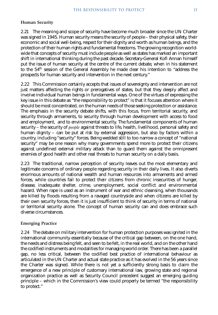#### **Human Security**

2.21 The meaning and scope of security have become much broader since the UN Charter was signed in 1945. Human security means the security of people – their physical safety, their economic and social well-being, respect for their dignity and worth as human beings, and the protection of their human rights and fundamental freedoms. The growing recognition worldwide that concepts of security must include people as well as states has marked an important shift in international thinking during the past decade. Secretary-General Kofi Annan himself put the issue of human security at the centre of the current debate, when in his statement to the 54th session of the General Assembly he made clear his intention to "address the prospects for human security and intervention in the next century."

2.22 This Commission certainly accepts that issues of sovereignty and intervention are not just matters affecting the rights or prerogatives of states, but that they deeply affect and involve individual human beings in fundamental ways. One of the virtues of expressing the key issue in this debate as "the responsibility to protect" is that it focuses attention where it should be most concentrated, on the human needs of those seeking protection or assistance. The emphasis in the security debate shifts, with this focus, from territorial security, and security through armaments, to security through human development with access to food and employment, and to environmental security. The fundamental components of human security – the security of *people* against threats to life, health, livelihood, personal safety and human dignity – can be put at risk by external aggression, but also by factors within a country, including "security" forces. Being wedded still to too narrow a concept of "national security" may be one reason why many governments spend more to protect their citizens against undefined external military attack than to guard them against the omnipresent enemies of good health and other real threats to human security on a daily basis.

2.23 The traditional, narrow perception of security leaves out the most elementary and legitimate concerns of ordinary people regarding security in their daily lives. It also diverts enormous amounts of national wealth and human resources into armaments and armed forces, while countries fail to protect their citizens from chronic insecurities of hunger, disease, inadequate shelter, crime, unemployment, social conflict and environmental hazard. When rape is used as an instrument of war and ethnic cleansing, when thousands are killed by floods resulting from a ravaged countryside and when citizens are killed by their own security forces, then it is just insufficient to think of security in terms of national or territorial security alone. The concept of human security can and does embrace such diverse circumstances.

#### **Emerging Practice**

2.24 The debate on military intervention for human protection purposes was ignited in the international community essentially because of the critical gap between, on the one hand, the needs and distress being felt, and seen to be felt, in the real world, and on the other hand the codified instruments and modalities for managing world order. There has been a parallel gap, no less critical, between the codified best practice of international behaviour as articulated in the UN Charter and actual state practice as it has evolved in the 56 years since the Charter was signed. While there is not yet a sufficiently strong basis to claim the emergence of a new principle of customary international law, growing state and regional organization practice as well as Security Council precedent suggest an emerging guiding principle – which in the Commission's view could properly be termed "the responsibility to protect."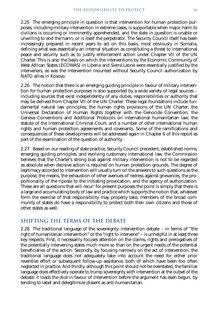2.25 The emerging principle in question is that intervention for human protection purposes, including military intervention in extreme cases, is supportable when major harm to civilians is occurring or imminently apprehended, and the state in question is unable or unwilling to end the harm, or is itself the perpetrator. The Security Council itself has been increasingly prepared in recent years to act on this basis, most obviously in Somalia, defining what was essentially an internal situation as constituting a threat to international peace and security such as to justify enforcement action under Chapter VII of the UN Charter. This is also the basis on which the interventions by the Economic Community of West African States (ECOWAS) in Liberia and Sierra Leone were essentially justified by the interveners, as was the intervention mounted without Security Council authorization by NATO allies in Kosovo.

2.26 The notion that there is an emerging guiding principle in favour of military intervention for human protection purposes is also supported by a wide variety of legal sources – including sources that exist independently of any duties, responsibilities or authority that may be derived from Chapter VII of the UN Charter. These legal foundations include fundamental natural law principles; the human rights provisions of the UN Charter; the Universal Declaration of Human Rights together with the Genocide Convention; the Geneva Conventions and Additional Protocols on international humanitarian law; the statute of the International Criminal Court; and a number of other international human rights and human protection agreements and covenants. Some of the ramifications and consequences of these developments will be addressed again in Chapter 6 of this report as part of the examination of the question of authority.

2.27 Based on our reading of state practice, Security Council precedent, established norms, emerging guiding principles, and evolving customary international law, the Commission believes that the Charter's strong bias against military intervention is not to be regarded as absolute when decisive action is required on human protection grounds. The degree of legitimacy accorded to intervention will usually turn on the answers to such questions as the purpose, the means, the exhaustion of other avenues of redress against grievances, the proportionality of the riposte to the initiating provocation, and the agency of authorization. These are all questions that will recur: for present purposes the point is simply that there is a large and accumulating body of law and practice which supports the notion that, whatever form the exercise of that responsibility may properly take, members of the broad community of states do have a responsibility to protect both their own citizens and those of other states as well.

#### **SHIFTING THE TERMS OF THE DEBATE**

2.28 The traditional language of the sovereignty–intervention debate – in terms of "the right of humanitarian intervention" or the "right to intervene" – is unhelpful in at least three key respects. First, it necessarily focuses attention on the claims, rights and prerogatives of the potentially intervening states much more so than on the urgent needs of the potential beneficiaries of the action. Secondly, by focusing narrowly on the act of intervention, the traditional language does not adequately take into account the need for either prior reventive effort or subsequent follow-up assistance, both of which have been too often neglected in practice. And thirdly, although this point should not be overstated, the familiar language does effectively operate to trump sovereignty with intervention at the outset of the debate: it loads the dice in favour of intervention before the argument has even begun, by tending to label and delegitimize dissent as anti-humanitarian.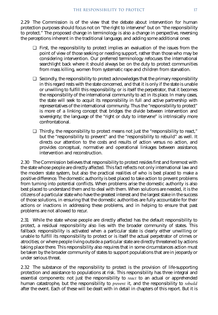2.29 The Commission is of the view that the debate about intervention for human protection purposes should focus not on "the right to intervene" but on "the responsibility to protect." The proposed change in terminology is also a change in perspective, reversing the perceptions inherent in the traditional language, and adding some additional ones:

- ❏ First, the responsibility to protect implies an evaluation of the issues from the point of view of those seeking or needing support, rather than those who may be considering intervention. Our preferred terminology refocuses the international searchlight back where it should always be: on the duty to protect communities from mass killing, women from systematic rape and children from starvation.
- ❏ Secondly, the responsibility to protect acknowledges that the primary responsibility in this regard rests with the state concerned, and that it is only if the state is unable or unwilling to fulfill this responsibility, or is itself the perpetrator, that it becomes the responsibility of the international community to act in its place. In many cases, the state will seek to acquit its responsibility in full and active partnership with representatives of the international community. Thus the "responsibility to protect" is more of a linking concept that bridges the divide between intervention and sovereignty; the language of the "right or duty to intervene" is intrinsically more confrontational.
- ❏ Thirdly, the responsibility to protect means not just the "responsibility to react," but the "responsibility to prevent" and the "responsibility to rebuild" as well. It directs our attention to the costs and results of action versus no action, and provides conceptual, normative and operational linkages between assistance, intervention and reconstruction.

2.30 The Commission believes that responsibility to protect resides first and foremost with the state whose people are directly affected. This fact reflects not only international law and the modern state system, but also the practical realities of who is best placed to make a positive difference. The domestic authority is best placed to take action to prevent problems from turning into potential conflicts. When problems arise the domestic authority is also best placed to understand them and to deal with them. When solutions are needed, it is the citizens of a particular state who have the greatest interest and the largest stake in the success of those solutions, in ensuring that the domestic authorities are fully accountable for their actions or inactions in addressing these problems, and in helping to ensure that past problems are not allowed to recur.

2.31 While the state whose people are directly affected has the default responsibility to protect, a residual responsibility also lies with the broader community of states. This fallback responsibility is activated when a particular state is clearly either unwilling or unable to fulfill its responsibility to protect or is itself the actual perpetrator of crimes or atrocities; or where people living outside a particular state are directly threatened by actions taking place there. This responsibility also requires that in some circumstances action must be taken by the broader community of states to support populations that are in jeopardy or under serious threat.

2.32 The substance of the responsibility to protect is the provision of life-supporting protection and assistance to populations at risk. This responsibility has three integral and essential components: not just the responsibility to *react* to an actual or apprehended human catastrophe, but the responsibility to *prevent* it, and the responsibility to *rebuild* after the event. Each of these will be dealt with in detail in chapters of this report. But it is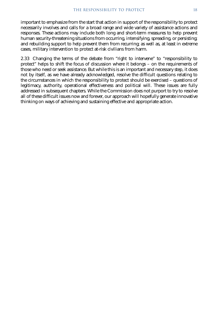important to emphasize from the start that action in support of the responsibility to protect necessarily involves and calls for a broad range and wide variety of assistance actions and responses. These actions may include both long and short-term measures to help prevent human security-threatening situations from occurring, intensifying, spreading, or persisting; and rebuilding support to help prevent them from recurring; as well as, at least in extreme cases, military intervention to protect at-risk civilians from harm.

2.33 Changing the terms of the debate from "right to intervene" to "responsibility to protect" helps to shift the focus of discussion where it belongs – on the requirements of those who need or seek assistance. But while this is an important and necessary step, it does not by itself, as we have already acknowledged, resolve the difficult questions relating to the circumstances in which the responsibility to protect should be exercised – questions of legitimacy, authority, operational effectiveness and political will. These issues are fully addressed in subsequent chapters. While the Commission does not purport to try to resolve all of these difficult issues now and forever, our approach will hopefully generate innovative thinking on ways of achieving and sustaining effective and appropriate action.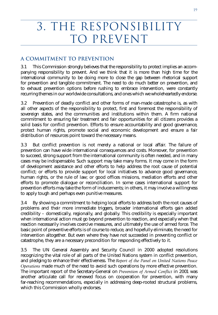## 3. THE RESPONSIBILITY TO PREVENT

## **A COMMITMENT TO PREVENTION**

3.1 This Commission strongly believes that the responsibility to protect implies an accompanying responsibility to prevent. And we think that it is more than high time for the international community to be doing more to close the gap between rhetorical support for prevention and tangible commitment. The need to do much better on prevention, and to exhaust prevention options before rushing to embrace intervention, were constantly recurring themes in our worldwide consultations, and ones which we wholeheartedly endorse.

3.2 Prevention of deadly conflict and other forms of man-made catastrophe is, as with all other aspects of the responsibility to protect, first and foremost the responsibility of sovereign states, and the communities and institutions within them. A firm national commitment to ensuring fair treatment and fair opportunities for all citizens provides a solid basis for conflict prevention. Efforts to ensure accountability and good governance, protect human rights, promote social and economic development and ensure a fair distribution of resources point toward the necessary means.

3.3 But conflict prevention is not merely a national or local affair. The failure of prevention can have wide international consequences and costs. Moreover, for prevention to succeed, strong support from the international community is often needed, and in many cases may be indispensable. Such support may take many forms. It may come in the form of development assistance and other efforts to help address the root cause of potential conflict; or efforts to provide support for local initiatives to advance good governance, human rights, or the rule of law; or good offices missions, mediation efforts and other efforts to promote dialogue or reconciliation. In some cases international support for prevention efforts may take the form of inducements; in others, it may involve a willingness to apply tough and perhaps even punitive measures.

3.4 By showing a commitment to helping local efforts to address both the root causes of problems and their more immediate triggers, broader international efforts gain added credibility – domestically, regionally, and globally. This credibility is especially important when international action must go beyond prevention to reaction, and especially when that reaction necessarily involves coercive measures, and ultimately the use of armed force. The basic point of preventive efforts is of course to reduce, and hopefully eliminate, the need for intervention altogether. But even where they have not succeeded in preventing conflict or catastrophe, they are a necessary precondition for responding effectively to it.

3.5 The UN General Assembly and Security Council in 2000 adopted resolutions recognizing the vital role of all parts of the United Nations system in conflict prevention, and pledging to enhance their effectiveness. The *Report of the Panel on United Nations Peace Operations* made much of the need to avoid such operations by more effective prevention. The important report of the Secretary-General on *Prevention of Armed Conflict* in 2001 was another articulate call for renewed focus on cooperation for prevention, with many far-reaching recommendations, especially in addressing deep-rooted structural problems, which this Commission wholly endorses.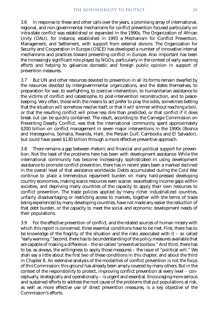3.6 In response to these and other calls over the years, a promising array of international, regional, and non-governmental mechanisms for conflict prevention focused particularly on intra-state conflict was established or expanded in the 1990s. The Organization of African Unity (OAU), for instance, established in 1993 a Mechanism for Conflict Prevention, Management, and Settlement, with support from external donors. The Organization for Security and Cooperation in Europe (OSCE) has developed a number of innovative internal mechanisms and practices toward preventing conflict in Europe. Also important has been the increasingly significant role played by NGOs, particularly in the context of early warning efforts and helping to galvanize domestic and foreign public opinion in support of prevention measures.

3.7 But UN and other resources devoted to prevention in all its forms remain dwarfed by the resources devoted by intergovernmental organizations, and the states themselves, to preparation for war, to warfighting, to coercive intervention, to humanitarian assistance to the victims of conflict and catastrophe, to post-intervention reconstruction, and to peacekeeping. Very often, those with the means to act prefer to play the odds, sometimes betting that the situation will somehow resolve itself, or that it will simmer without reaching a boil, or that the resulting conflict will prove less dire than predicted, or that conflict if it does break out can be quickly contained. The result, according to the Carnegie Commission on Preventing Deadly Conflict, was that the international community spent approximately \$200 billion on conflict management in seven major interventions in the 1990s (Bosnia and Herzegovina, Somalia, Rwanda, Haiti, the Persian Gulf, Cambodia and El Salvador), but could have saved \$130 billion through a more effective preventive approach.

3.8 There remains a gap between rhetoric and financial and political support for prevention. Not the least of the problems here has been with development assistance. While the international community has become increasingly sophisticated in using development assistance to promote conflict prevention, there has in recent years been a marked declined in the overall level of that assistance worldwide. Debts accumulated during the Cold War continue to place a tremendous repayment burden on many hard-pressed developing country economies, making scarce resources even scarcer, exacerbating income gaps within societies, and depriving many countries of the capacity to apply their own resources to conflict prevention. The trade policies applied by many richer industrialized countries, unfairly disadvantaging or restricting access to markets, together with the terms of trade being experienced by many developing countries, have not made any easier the reduction of that debt burden, or the capacity to meet the social and economic development needs of their populations.

3.9 For the effective prevention of conflict, and the related sources of human misery with which this report is concerned, three essential conditions have to be met. First, there has to be knowledge of the fragility of the situation and the risks associated with it – so called "early warning." Second, there has to be understanding of the policy measures available that are capable of making a difference – the so-called "preventive toolbox." And third, there has to be, as always, the willingness to apply those measures – the issue of "political will." We shall say a little about the first two of these conditions in this chapter, and about the third in Chapter 8. An extensive analysis of the modalities of conflict prevention is not the focus of this Commission: this ground has already been amply covered by many others. But in the context of the responsibility to protect, improving conflict prevention at every level – conceptually, strategically and operationally – is urgent and essential. Encouraging more serious and sustained efforts to address the root cause of the problems that put populations at risk, as well as more effective use of direct prevention measures, is a key objective of the Commission's efforts.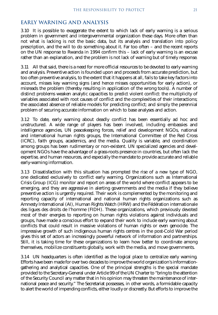## **EARLY WARNING AND ANALYSIS**

3.10 It is possible to exaggerate the extent to which lack of early warning is a serious problem in government and intergovernmental organization these days. More often than not what is lacking is not the basic data, but its analysis and translation into policy prescription, and the will to do something about it. Far too often – and the recent reports on the UN response to Rwanda in 1994 confirm this – lack of early warning is an excuse rather than an explanation, and the problem is not lack of warning but of timely response.

3.11 All that said, there is a need for more official resources to be devoted to early warning and analysis. Preventive action is founded upon and proceeds from accurate prediction, but too often preventive analysis, to the extent that it happens at all, fails to take key factors into account, misses key warning signs (and hence misses opportunities for early action), or misreads the problem (thereby resulting in application of the wrong tools). A number of distinct problems weaken analytic capacities to predict violent conflict: the multiplicity of variables associated with root causes of conflict and the complexities of their interactions; the associated absence of reliable models for predicting conflict; and simply the perennial problem of securing accurate information on which to base analyses and action.

3.12 To date, early warning about deadly conflict has been essentially ad hoc and unstructured. A wide range of players has been involved, including embassies and intelligence agencies, UN peacekeeping forces, relief and development NGOs, national and international human rights groups, the International Committee of the Red Cross (ICRC), faith groups, academics, and the media. Quality is variable, and coordination among groups has been rudimentary or non-existent. UN specialized agencies and development NGOs have the advantage of a grass-roots presence in countries, but often lack the expertise, and human resources, and especially the mandate to provide accurate and reliable early-warning information.

3.13 Dissatisfaction with this situation has prompted the rise of a new type of NGO, one dedicated exclusively to conflict early warning. Organizations such as International Crisis Group (ICG) monitor and report on areas of the world where conflict appears to be emerging, and they are aggressive in alerting governments and the media if they believe preventive action is urgently required. Their work is complemented by the monitoring and reporting capacity of international and national human rights organizations such as Amnesty International (AI), Human Rights Watch (HRW) and the Fédération internationale des ligues des droits de l'homme (FIDH). These organizations, which previously devoted most of their energies to reporting on human rights violations against individuals and groups, have made a conscious effort to expand their work to include early warning about conflicts that could result in massive violations of human rights or even genocide. The impressive growth of such indigenous human rights centres in the post-Cold War period gives this set of actors an increasingly powerful network of information and partnerships. Still, it is taking time for these organizations to learn how better to coordinate among themselves, mobilize constituents globally, work with the media, and move governments.

3.14 UN headquarters is often identified as the logical place to centralize early warning. Efforts have been made for over two decades to improve the world organization's informationgathering and analytical capacities. One of the principal strengths is the special mandate provided to the Secretary-General under Article 99 of the UN Charter to "bring to the attention of the Security Council any matter that in his opinion may threaten the maintenance of international peace and security." The Secretariat possesses, in other words, a formidable capacity to alert the world of impending conflicts, either loudly or discreetly. But efforts to improve the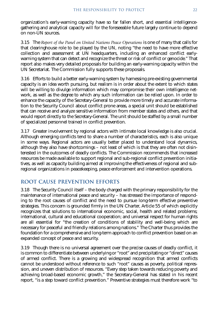organization's early-warning capacity have so far fallen short, and essential intelligencegathering and analytical capacity will for the foreseeable future largely continue to depend on non-UN sources.

3.15 The *Report of the Panel on United Nations Peace Operations* is one of many that calls for that clearinghouse role to be played by the UN, noting "the need to have more effective collection and assessment at UN headquarters, including an enhanced conflict earlywarning system that can detect and recognize the threat or risk of conflict or genocide." That report also makes very detailed proposals for building an early-warning capacity within the UN Secretariat. The Commission fully supports these proposals.

3.16 Efforts to build a better early-warning system by harnessing pre-existing governmental capacity is an idea worth pursuing, but realism is in order about the extent to which states will be willing to divulge information which may compromise their own intelligence network, as well as the degree to which any such information can be relied upon. In order to enhance the capacity of the Secretary-General to provide more timely and accurate information to the Security Council about conflict prone areas, a special unit should be established that can receive and analyze sensitive information from member states and others, and that would report directly to the Secretary-General. The unit should be staffed by a small number of specialized personnel trained in conflict prevention.

3.17 Greater involvement by regional actors with intimate local knowledge is also crucial. Although emerging conflicts tend to share a number of characteristics, each is also unique in some ways. Regional actors are usually better placed to understand local dynamics, although they also have shortcomings – not least of which is that they are often not disinterested in the outcomes of deadly conflicts. The Commission recommends that increased resources be made available to support regional and sub-regional conflict prevention initiatives, as well as capacity building aimed at improving the effectiveness of regional and subregional organizations in peacekeeping, peace enforcement and intervention operations.

# **ROOT CAUSE PREVENTION EFFORTS**

3.18 The Security Council itself – the body charged with the primary responsibility for the maintenance of international peace and security – has stressed the importance of responding to the root causes of conflict and the need to pursue long-term effective preventive strategies. This concern is grounded firmly in the UN Charter, Article 55 of which explicitly recognizes that solutions to international economic, social, health and related problems; international, cultural and educational cooperation; and universal respect for human rights are all essential for "the creation of conditions of stability and well-being which are necessary for peaceful and friendly relations among nations." The Charter thus provides the foundation for a comprehensive and long-term approach to conflict prevention based on an expanded concept of peace and security.

3.19 Though there is no universal agreement over the precise causes of deadly conflict, it is common to differentiate between underlying or "root" and precipitating or "direct" causes of armed conflict. There is a growing and widespread recognition that armed conflicts cannot be understood without reference to such "root" causes as poverty, political repression, and uneven distribution of resources. "Every step taken towards reducing poverty and achieving broad-based economic growth," the Secretary-General has stated in his recent report, "is a step toward conflict prevention." Preventive strategies must therefore work "to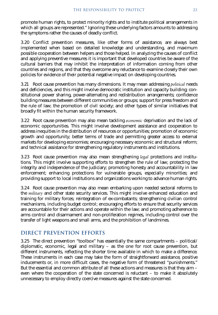promote human rights, to protect minority rights and to institute political arrangements in which all groups are represented." Ignoring these underlying factors amounts to addressing the symptoms rather the causes of deadly conflict.

3.20 Conflict prevention measures, like other forms of assistance, are always best implemented when based on detailed knowledge and understanding, and maximum possible cooperation between helpers and those helped. In analyzing the causes of conflict and applying preventive measures it is important that developed countries be aware of the cultural barriers that may inhibit the interpretation of information coming from other countries and regions, and that they overcome any reluctance to examine closely their own policies for evidence of their potential negative impact on developing countries.

3.21 Root cause prevention has many dimensions. It may mean addressing *political* needs and deficiencies, and this might involve democratic institution and capacity building; constitutional power sharing, power-alternating and redistribution arrangements; confidence building measures between different communities or groups; support for press freedom and the rule of law; the promotion of civil society; and other types of similar initiatives that broadly fit within the human security framework.

3.22 Root cause prevention may also mean tackling *economic* deprivation and the lack of economic opportunities. This might involve development assistance and cooperation to address inequities in the distribution of resources or opportunities; promotion of economic growth and opportunity; better terms of trade and permitting greater access to external markets for developing economies; encouraging necessary economic and structural reform; and technical assistance for strengthening regulatory instruments and institutions.

3.23 Root cause prevention may also mean strengthening *legal* protections and institutions. This might involve supporting efforts to strengthen the rule of law; protecting the integrity and independence of the judiciary; promoting honesty and accountability in law enforcement; enhancing protections for vulnerable groups, especially minorities; and providing support to local institutions and organizations working to advance human rights.

3.24 Root cause prevention may also mean embarking upon needed sectoral reforms to the *military* and other state security services. This might involve enhanced education and training for military forces; reintegration of ex-combatants; strengthening civilian control mechanisms, including budget control; encouraging efforts to ensure that security services are accountable for their actions and operate within the law; and promoting adherence to arms control and disarmament and non-proliferation regimes, including control over the transfer of light weapons and small arms, and the prohibition of landmines.

## **DIRECT PREVENTION EFFORTS**

3.25 The direct prevention "toolbox" has essentially the same compartments – political/ diplomatic, economic, legal and military – as the one for root cause prevention, but different instruments, reflecting the shorter time available in which to make a difference. These instruments in each case may take the form of straightforward assistance, positive inducements or, in more difficult cases, the negative form of threatened "punishments." But the essential and common attribute of all these actions and measures is that they aim – even where the cooperation of the state concerned is reluctant – to make it absolutely unnecessary to employ directly coercive measures against the state concerned.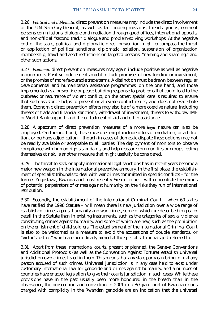3.26 *Political and diplomatic* direct prevention measures may include the direct involvement of the UN Secretary-General, as well as fact-finding missions, friends groups, eminent persons commissions, dialogue and mediation through good offices, international appeals, and non-official "second track" dialogue and problem-solving workshops. At the negative end of the scale, political and diplomatic direct prevention might encompass the threat or application of political sanctions, diplomatic isolation, suspension of organization membership, travel and asset restrictions on targeted persons, "naming and shaming," and other such actions.

3.27 *Economic* direct prevention measures may again include positive as well as negative inducements. Positive inducements might include promises of new funding or investment, or the promise of more favourable trade terms. A distinction must be drawn between regular developmental and humanitarian assistance programmes, on the one hand, and those implemented as a preventive or peace building response to problems that could lead to the outbreak or recurrence of violent conflict, on the other: special care is required to ensure that such assistance helps to prevent or alleviate conflict issues, and does not exacerbate them. Economic direct prevention efforts may also be of a more coercive nature, including threats of trade and financial sanctions; withdrawal of investment; threats to withdraw IMF or World Bank support; and the curtailment of aid and other assistance.

3.28 A spectrum of direct prevention measures of a more *legal* nature can also be employed. On the one hand, these measures might include offers of mediation, or arbitration, or perhaps adjudication – though in cases of domestic dispute these options may not be readily available or acceptable to all parties. The deployment of monitors to observe compliance with human rights standards, and help reassure communities or groups feeling themselves at risk, is another measure that might usefully be considered.

3.29 The threat to seek or apply international legal sanctions has in recent years become a major new weapon in the international preventive armoury. In the first place, the establishment of specialist tribunals to deal with war crimes committed in specific conflicts – for the former Yugoslavia, Rwanda and most recently Sierra Leone – will concentrate the minds of potential perpetrators of crimes against humanity on the risks they run of international retribution.

3.30 Secondly, the establishment of the International Criminal Court – when 60 states have ratified the 1998 Statute – will mean there is new jurisdiction over a wide range of established crimes against humanity and war crimes, some of which are described in greater detail in the Statute than in existing instruments, such as the categories of sexual violence constituting crimes against humanity, and some of which are new, such as the prohibition on the enlistment of child soldiers. The establishment of the International Criminal Court is also to be welcomed as a measure to avoid the accusations of double standards, or "victor's justice," which are periodically aimed at the specialist tribunals just referred to.

3.31 Apart from these international courts, present or planned, the Geneva Conventions and Additional Protocols (as well as the Convention Against Torture) establish universal jurisdiction over crimes listed in them. This means that any state party can bring to trial any person accused of such crimes. Universal jurisdiction is in any case held to exist under customary international law for genocide and crimes against humanity, and a number of countries have enacted legislation to give their courts jurisdiction in such cases. While these provisions have in the past usually been more honoured in the breach than in the observance, the prosecution and conviction in 2001 in a Belgian court of Rwandan nuns charged with complicity in the Rwandan genocide are an indication that the universal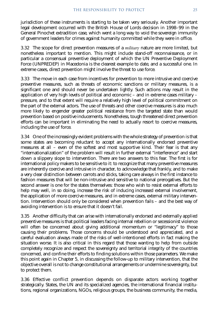jurisdiction of these instruments is starting to be taken very seriously. Another important legal development occurred with the British House of Lords decision in 1998–99 in the General Pinochet extradition case, which went a long way to void the sovereign immunity of government leaders for crimes against humanity committed while they were in office.

3.32 The scope for direct prevention measures of a *military* nature are more limited, but nonetheless important to mention. This might include stand-off reconnaissance, or in particular a consensual preventive deployment of which the UN Preventive Deployment Force (UNPREDEP) in Macedonia is the clearest example to date, and a successful one. In extreme cases, direct prevention might involve the threat to use force.

3.33 The move in each case from incentives for prevention to more intrusive and coercive preventive measures, such as threats of economic sanctions or military measures, is a significant one and should never be undertaken lightly. Such actions may result in the application of very high levels of political and economic – and in extreme cases military – pressure, and to that extent will require a relatively high level of political commitment on the part of the external actors. The use of threats and other coercive measures is also much more likely to engender greater political resistance from the targeted state than would prevention based on positive inducements. Nonetheless, tough threatened direct prevention efforts can be important in eliminating the need to actually resort to coercive measures, including the use of force.

3.34 One of the increasingly evident problems with the whole strategy of prevention is that some states are becoming reluctant to accept any internationally endorsed preventive measures at all – even of the softest and most supportive kind. Their fear is that any "internationalization" of the problem will result in further external "interference" and start down a slippery slope to intervention. There are two answers to this fear. The first is for international policy makers to be sensitive to it: to recognize that many preventive measures are inherently coercive and intrusive in character, to acknowledge that frankly, and to make a very clear distinction between carrots and sticks, taking care always in the first instance to fashion measures that will be non-intrusive and sensitive to national prerogatives. But the second answer is one for the states themselves: those who wish to resist external efforts to help may well, in so doing, increase the risk of inducing increased external involvement, the application of more coercive measures, and in extreme cases, external military intervention. Intervention should only be considered when prevention fails – and the best way of avoiding intervention is to ensure that it doesn't fail.

3.35 Another difficulty that can arise with internationally endorsed and externally applied preventive measures is that political leaders facing internal rebellion or secessionist violence will often be concerned about giving additional momentum or "legitimacy" to those causing their problems. Those concerns should be understood and appreciated, and a careful evaluation always made of the risks of well-intentioned efforts in fact making the situation worse. It is also critical in this regard that those wanting to help from outside completely recognize and respect the sovereignty and territorial integrity of the countries concerned, and confine their efforts to finding solutions within those parameters. We make this point again in Chapter 5, in discussing the follow-up to military intervention, that the objective overall is not to change constitutional arrangements or undermine sovereignty, but to protect them.

3.36 Effective conflict prevention depends on disparate actors working together strategically. States, the UN and its specialized agencies, the international financial institutions, regional organizations, NGOs, religious groups, the business community, the media,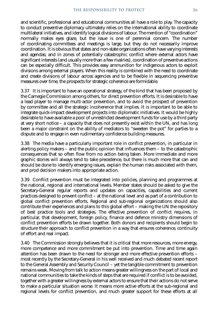and scientific, professional and educational communities all have a role to play. The capacity to conduct preventive diplomacy ultimately relies on the international ability to coordinate multilateral initiatives, and identify logical divisions of labour. The mention of "coordination" normally makes eyes glaze, but the issue is one of perennial concern. The number of coordinating committees and meetings is large, but they do not necessarily improve coordination. It is obvious that states and non-state organizations often have varying interests and agendas; and in zones of potentially catastrophic conflict where external actors have significant interests (and usually more than a few rivalries), coordination of preventive actions can be especially difficult. This provides easy ammunition for indigenous actors to exploit divisions among external players. When this reality is combined with the need to coordinate and create divisions of labour across agencies and to be flexible in sequencing preventive measures over time, the prospects for strategic coherence are formidable.

3.37 It is important to have an operational strategy, of the kind that has been proposed by the Carnegie Commission among others, for direct prevention efforts. It is desirable to have a lead player to manage multi-actor prevention, and to avoid the prospect of prevention by committee and all the strategic incoherence that implies. It is important to be able to integrate quick-impact development projects into diplomatic initiatives. It would be highly desirable to have available a pool of unrestricted development funds for use by a third party at very short notice – a capacity that does not presently exist within the UN, and has long been a major constraint on the ability of mediators to "sweeten the pot" for parties to a dispute and to engage in even rudimentary confidence building measures.

3.38 The media have a particularly important role in conflict prevention, in particular in alerting policy makers – and the public opinion that influences them – to the catastrophic consequences that so often flow from no action being taken. More immediate and more graphic stories will always tend to take precedence, but there is much more that can and should be done to identify emerging issues, explain the human risks associated with them, and prod decision makers into appropriate action.

3.39 Conflict prevention must be integrated into policies, planning and programmes at the national, regional and international levels. Member states should be asked to give the Secretary-General regular reports and updates on capacities, capabilities and current practices designed to prevent conflict – at the national level and as part of a contribution to global conflict prevention efforts. Regional and sub-regional organizations should also contribute their experiences and plans to this global effort – making the UN the repository of best practice tools and strategies. The effective prevention of conflict requires, in particular, that development, foreign policy, finance and defence ministry dimensions of conflict prevention efforts be drawn together. Both donors and recipients should begin to structure their approach to conflict prevention in a way that ensures coherence, continuity of effort and real impact.

3.40 The Commission strongly believes that it is critical that more resources, more energy, more competence and more commitment be put into prevention. Time and time again attention has been drawn to the need for stronger and more effective prevention efforts – most recently by the Secretary-General in his well received and much debated recent report to the General Assembly and Security Council – yet the tangible commitment to prevention remains weak. Moving from talk to action means greater willingness on the part of local and national communities to take the kinds of steps that are required if conflict is to be avoided, together with a greater willingness by external actors to ensure that their actions do not serve to make a particular situation worse. It means more active efforts at the sub-regional and regional levels for conflict prevention, and much greater support for these efforts at all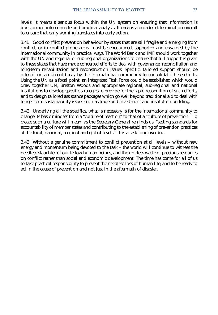levels. It means a serious focus within the UN system on ensuring that information is transformed into concrete and practical analysis. It means a broader determination overall to ensure that early warning translates into early action.

3.41 Good conflict prevention behaviour by states that are still fragile and emerging from conflict, or in conflict-prone areas, must be encouraged, supported and rewarded by the international community in practical ways. The World Bank and IMF should work together with the UN and regional or sub-regional organizations to ensure that full support is given to these states that have made concerted efforts to deal with governance, reconciliation and long-term rehabilitation and reconstruction issues. Specific, tailored support should be offered, on an urgent basis, by the international community to consolidate these efforts. Using the UN as a focal point, an integrated Task Force could be established which would draw together UN, Bretton Woods and appropriate regional, sub-regional and national institutions to develop specific strategies to provide for the rapid recognition of such efforts, and to design tailored assistance packages which go well beyond traditional aid to deal with longer term sustainability issues such as trade and investment and institution building.

3.42 Underlying all the specifics, what is necessary is for the international community to change its basic mindset from a "culture of reaction" to that of a "culture of prevention." To create such a culture will mean, as the Secretary-General reminds us, "setting standards for accountability of member states and contributing to the establishing of prevention practices at the local, national, regional and global levels." It is a task long overdue.

3.43 Without a genuine commitment to conflict prevention at all levels – without new energy and momentum being devoted to the task – the world will continue to witness the needless slaughter of our fellow human beings, and the reckless waste of precious resources on conflict rather than social and economic development. The time has come for all of us to take practical responsibility to prevent the needless loss of human life, and to be ready to act in the cause of prevention and not just in the aftermath of disaster.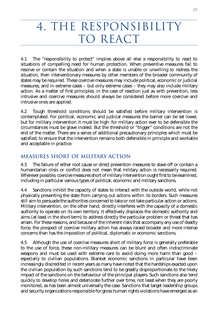# 4. THE RESPONSIBILITY TO REACT

4.1 The "responsibility to protect" implies above all else a responsibility to react to situations of compelling need for human protection. When preventive measures fail to resolve or contain the situation and when a state is unable or unwilling to redress the situation, then interventionary measures by other members of the broader community of states may be required. These coercive measures may include political, economic or judicial measures, and in extreme cases – but only extreme cases – they may also include military action. As a matter of first principles, in the case of reaction just as with prevention, less intrusive and coercive measures should always be considered before more coercive and intrusive ones are applied.

4.2 Tough threshold conditions should be satisfied before military intervention is contemplated. For political, economic and judicial measures the barrier can be set lower, but for military intervention it must be high: for military action ever to be defensible the circumstances must be grave indeed. But the threshold or "trigger" conditions are not the end of the matter. There are a series of additional precautionary principles which must be satisfied, to ensure that the intervention remains both defensible in principle and workable and acceptable in practice.

## **MEASURES SHORT OF MILITARY ACTION**

4.3 The failure of either root cause or direct prevention measures to stave off or contain a humanitarian crisis or conflict does not mean that military action is necessarily required. Wherever possible, coercive measures short of military intervention ought first to be examined, including in particular various types of political, economic and military sanctions.

4.4 Sanctions inhibit the capacity of states to interact with the outside world, while not physically preventing the state from carrying out actions within its borders. Such measures still aim to persuade the authorities concerned to take or not take particular action or actions. Military intervention, on the other hand, directly interferes with the capacity of a domestic authority to operate on its own territory. It effectively displaces the domestic authority and aims (at least in the short-term) to address directly the particular problem or threat that has arisen. For these reasons, and because of the inherent risks that accompany any use of deadly force, the prospect of coercive military action has always raised broader and more intense concerns than has the imposition of political, diplomatic or economic sanctions.

4.5 Although the use of coercive measures short of military force is generally preferable to the use of force, these non-military measures can be blunt and often indiscriminate weapons and must be used with extreme care to avoid doing more harm than good – especially to civilian populations. Blanket economic sanctions in particular have been increasingly discredited in recent years as many have noted that the hardships exacted upon the civilian population by such sanctions tend to be greatly disproportionate to the likely impact of the sanctions on the behaviour of the principal players. Such sanctions also tend quickly to develop holes and deteriorate further over time, not least when they are poorly monitored, as has been almost universally the case. Sanctions that target leadership groups and security organizations responsible for gross human rights violations have emerged as an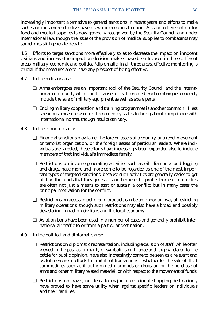increasingly important alternative to general sanctions in recent years, and efforts to make such sanctions more effective have drawn increasing attention. A standard exemption for food and medical supplies is now generally recognized by the Security Council and under international law, though the issue of the provision of medical supplies to combatants may sometimes still generate debate.

4.6 Efforts to target sanctions more effectively so as to decrease the impact on innocent civilians and increase the impact on decision makers have been focused in three different areas, military, economic and political/diplomatic. In all three areas, effective monitoring is crucial if the measures are to have any prospect of being effective.

- 4.7 In the military area:
	- ❏ Arms embargoes are an important tool of the Security Council and the international community when conflict arises or is threatened. Such embargoes generally include the sale of military equipment as well as spare parts.
	- ❏ Ending military cooperation and training programmes is another common, if less strenuous, measure used or threatened by states to bring about compliance with international norms, though results can vary.
- 4.8 In the economic area:
	- ❏ Financial sanctions may target the foreign assets of a country, or a rebel movement or terrorist organization, or the foreign assets of particular leaders. Where individuals are targeted, these efforts have increasingly been expanded also to include members of that individual's immediate family.
	- ❏ Restrictions on income generating activities such as oil, diamonds and logging and drugs, have more and more come to be regarded as one of the most important types of targeted sanctions, because such activities are generally easier to get at than the funds that they generate, and because the profits from such activities are often not just a means to start or sustain a conflict but in many cases the principal motivation for the conflict.
	- ❏ Restrictions on access to petroleum products can be an important way of restricting military operations, though such restrictions may also have a broad and possibly devastating impact on civilians and the local economy.
	- ❏ Aviation bans have been used in a number of cases and generally prohibit international air traffic to or from a particular destination.
- 4.9 In the political and diplomatic area:
	- ❏ Restrictions on diplomatic representation, including expulsion of staff, while often viewed in the past as primarily of symbolic significance and largely related to the battle for public opinion, have also increasingly come to be seen as a relevant and useful measure in efforts to limit illicit transactions – whether for the sale of illicit commodities such as illegally mined diamonds or drugs or for the purchase of arms and other military related materiel, or with respect to the movement of funds.
	- ❏ Restrictions on travel, not least to major international shopping destinations, have proved to have some utility when against specific leaders or individuals and their families.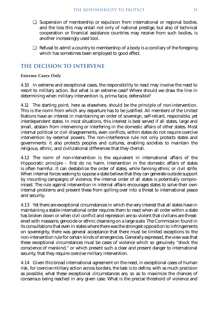- ❏ Suspension of membership or expulsion from international or regional bodies, and the loss this may entail not only of national prestige, but also of technical cooperation or financial assistance countries may receive from such bodies, is another increasingly used tool.
- $\Box$  Refusal to admit a country to membership of a body is a corollary of the foregoing which has sometimes been employed to good effect.

## **THE DECISION TO INTERVENE**

#### **Extreme Cases Only**

4.10 In extreme and exceptional cases, the responsibility to react may involve the need to resort to military action. But what is an extreme case? Where should we draw the line in determining when military intervention is, prima facie, defensible?

4.11 The starting point, here as elsewhere, should be the principle of non-intervention. This is the norm from which any departure has to be justified. All members of the United Nations have an interest in maintaining an order of sovereign, self-reliant, responsible, yet interdependent states. In most situations, this interest is best served if all states, large and small, abstain from intervening or interfering in the domestic affairs of other states. Most internal political or civil disagreements, even conflicts, within states do not require coercive intervention by external powers. The non-interference rule not only protects states and governments: it also protects peoples and cultures, enabling societies to maintain the religious, ethnic, and civilizational differences that they cherish.

4.12 The norm of non-intervention is the equivalent in international affairs of the Hippocratic principle – first do no harm. Intervention in the domestic affairs of states is often harmful. It can destabilize the order of states, while fanning ethnic or civil strife. When internal forces seeking to oppose a state believe that they can generate outside support by mounting campaigns of violence, the internal order of all states is potentially compromised. The rule against intervention in internal affairs encourages states to solve their own internal problems and prevent these from spilling over into a threat to international peace and security.

4.13 Yet there are exceptional circumstances in which the very interest that all states have in maintaining a stable international order requires them to react when all order within a state has broken down or when civil conflict and repression are so violent that civilians are threatened with massacre, genocide or ethnic cleansing on a large scale. The Commission found in its consultations that even in states where there was the strongest opposition to infringements on sovereignty, there was general acceptance that there must be limited exceptions to the non-intervention rule for certain kinds of emergencies. Generally expressed, the view was that these exceptional circumstances must be cases of violence which so genuinely "shock the conscience of mankind," or which present such a clear and present danger to international security, that they require coercive military intervention.

4.14 Given this broad international agreement on the need, in exceptional cases of human risk, for coercive military action across borders, the task is to define, with as much precision as possible, what these exceptional circumstances are, so as to maximize the chances of consensus being reached in any given case. What is the precise threshold of violence and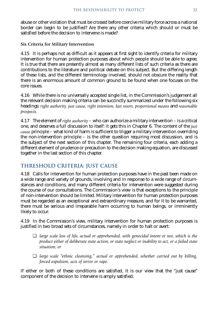abuse or other violation that must be crossed before coercive military force across a national border can begin to be justified? Are there any other criteria which should or must be satisfied before the decision to intervene is made?

#### **Six Criteria for Military Intervention**

4.15 It is perhaps not as difficult as it appears at first sight to identify criteria for military intervention for human protection purposes about which people should be able to agree. It is true that there are presently almost as many different lists of such criteria as there are contributions to the literature and political debate on this subject. But the differing length of these lists, and the different terminology involved, should not obscure the reality that there is an enormous amount of common ground to be found when one focuses on the core issues.

4.16 While there is no universally accepted single list, in the Commission's judgement all the relevant decision making criteria can be succinctly summarized under the following six headings: *right authority, just cause, right intention, last resort, proportional means* and *reasonable prospects.*

4.17 The element of *right authority* – who can authorize a military intervention – is a critical one, and deserves a full discussion to itself: it gets this in Chapter 6. The content of the *just cause* principle – what kind of harm is sufficient to trigger a military intervention overriding the non-intervention principle – is the other question requiring most discussion, and is the subject of the next section of this chapter. The remaining four criteria, each adding a different element of prudence or precaution to the decision making equation, are discussed together in the last section of this chapter.

# **THRESHOLD CRITERIA: JUST CAUSE**

4.18 Calls for intervention for human protection purposes have in the past been made on a wide range and variety of grounds, involving and in response to a wide range of circumstances and conditions, and many different criteria for intervention were suggested during the course of our consultations. The Commission's view is that exceptions to the principle of non-intervention should be limited. Military intervention for human protection purposes must be regarded as an exceptional and extraordinary measure, and for it to be warranted, there must be serious and irreparable harm occurring to human beings, or imminently likely to occur.

4.19 In the Commission's view, military intervention for human protection purposes is justified in two broad sets of circumstances, namely in order to halt or avert:

- ❏ *large scale loss of life, actual or apprehended, with genocidal intent or not, which is the product either of deliberate state action, or state neglect or inability to act, or a failed state situation; or*
- ❏ *large scale "ethnic cleansing," actual or apprehended, whether carried out by killing, forced expulsion, acts of terror or rape.*

If either or both of these conditions are satisfied, it is our view that the "just cause" component of the decision to intervene is amply satisfied.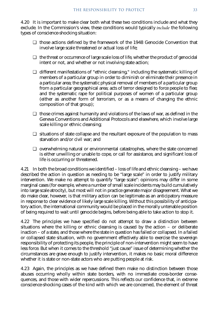4.20 It is important to make clear both what these two conditions include and what they exclude. In the Commission's view, these conditions would typically *include* the following types of conscience-shocking situation:

- ❏ those actions defined by the framework of the 1948 Genocide Convention that involve large scale threatened or actual loss of life;
- ❏ the threat or occurrence of large scale loss of life, whether the product of genocidal intent or not, and whether or not involving state action;
- ❏ different manifestations of "ethnic cleansing," including the systematic killing of members of a particular group in order to diminish or eliminate their presence in a particular area; the systematic physical removal of members of a particular group from a particular geographical area; acts of terror designed to force people to flee; and the systematic rape for political purposes of women of a particular group (either as another form of terrorism, or as a means of changing the ethnic composition of that group);
- ❏ those crimes against humanity and violations of the laws of war, as defined in the Geneva Conventions and Additional Protocols and elsewhere, which involve large scale killing or ethnic cleansing;
- ❏ situations of state collapse and the resultant exposure of the population to mass starvation and/or civil war; and
- ❏ overwhelming natural or environmental catastrophes, where the state concerned is either unwilling or unable to cope, or call for assistance, and significant loss of life is occurring or threatened.

4.21 In both the broad conditions we identified – loss of life and ethnic cleansing – we have described the action in question as needing to be "large scale" in order to justify military intervention. We make no attempt to quantify "large scale": opinions may differ in some marginal cases (for example, where a number of small scale incidents may build cumulatively into large scale atrocity), but most will not in practice generate major disagreement. What we do make clear, however, is that military action can be legitimate as an anticipatory measure in response to clear evidence of likely large scale killing. Without this possibility of anticipatory action, the international community would be placed in the morally untenable position of being required to wait until genocide begins, before being able to take action to stop it.

4.22 The principles we have specified do not attempt to draw a distinction between situations where the killing or ethnic cleansing is caused by the action – or deliberate inaction – of a state, and those where the state in question has failed or collapsed. In a failed or collapsed state situation, with no government effectively able to exercise the sovereign responsibility of protecting its people, the principle of non-intervention might seem to have less force. But when it comes to the threshold "just cause" issue of determining whether the circumstances are grave enough to justify intervention, it makes no basic moral difference whether it is state or non-state actors who are putting people at risk.

4.23 Again, the principles as we have defined them make no distinction between those abuses occurring wholly within state borders, with no immediate cross-border consequences, and those with wider repercussions. This reflects our confidence that, in extreme conscience-shocking cases of the kind with which we are concerned, the element of threat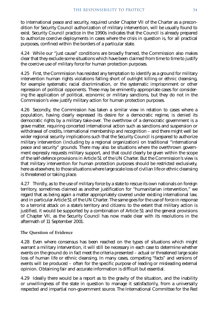to international peace and security, required under Chapter VII of the Charter as a precondition for Security Council authorization of military intervention, will be usually found to exist. Security Council practice in the 1990s indicates that the Council is already prepared to authorize coercive deployments in cases where the crisis in question is, for all practical purposes, confined within the borders of a particular state.

4.24 While our "just cause" conditions are broadly framed, the Commission also makes clear that they exclude some situations which have been claimed from time to time to justify the coercive use of military force for human protection purposes.

4.25 First, the Commission has resisted any temptation to identify as a ground for military intervention human rights violations falling short of outright killing or ethnic cleansing, for example systematic racial discrimination, or the systematic imprisonment or other repression of political opponents. These may be eminently appropriate cases for considering the application of political, economic or military sanctions, but they do not in the Commission's view justify military action for human protection purposes.

4.26 Secondly, the Commission has taken a similar view in relation to cases where a population, having clearly expressed its desire for a democratic regime, is denied its democratic rights by a military take-over. The overthrow of a democratic government is a grave matter, requiring concerted international action such as sanctions and suspension or withdrawal of credits, international membership and recognition – and there might well be wider regional security implications such that the Security Council is prepared to authorize military intervention (including by a regional organization) on traditional "international peace and security" grounds. There may also be situations where the overthrown government expressly requests military support, and that could clearly be given within the scope of the self-defence provisions in Article 51 of the UN Charter. But the Commission's view is that military intervention for human protection purposes should be restricted exclusively, here as elsewhere, to those situations where large scale loss of civilian life or ethnic cleansing is threatened or taking place.

4.27 Thirdly, as to the use of military force by a state to rescue its own nationals on foreign territory, sometimes claimed as another justification for "humanitarian intervention," we regard that as being again a matter appropriately covered under existing international law, and in particular Article 51 of the UN Charter. The same goes for the use of force in response to a terrorist attack on a state's territory and citizens: to the extent that military action is justified, it would be supported by a combination of Article 51 and the general provisions of Chapter VII, as the Security Council has now made clear with its resolutions in the aftermath of 11 September 2001.

#### **The Question of Evidence**

4.28 Even where consensus has been reached on the types of situations which might warrant a military intervention, it will still be necessary in each case to determine whether events on the ground do in fact meet the criteria presented – actual or threatened large scale loss of human life or ethnic cleansing. In many cases, competing "facts" and versions of events will be produced – often for the specific purpose of leading or misleading external opinion. Obtaining fair and accurate information is difficult but essential.

4.29 Ideally there would be a report as to the gravity of the situation, and the inability or unwillingness of the state in question to manage it satisfactorily, from a universally respected and impartial non-government source. The International Committee for the Red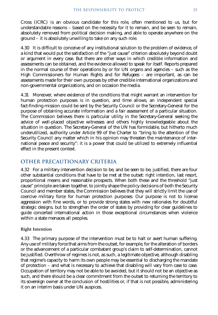Cross (ICRC) is an obvious candidate for this role, often mentioned to us, but for understandable reasons – based on the necessity for it to remain, and be seen to remain, absolutely removed from political decision making, and able to operate anywhere on the ground – it is absolutely unwilling to take on any such role.

4.30 It is difficult to conceive of any institutional solution to the problem of evidence, of a kind that would put the satisfaction of the "just cause" criterion absolutely beyond doubt or argument in every case. But there are other ways in which credible information and assessments can be obtained, and the evidence allowed to speak for itself. Reports prepared in the normal course of their operations by or for UN organs and agencies – such as the High Commissioners for Human Rights and for Refugees – are important, as can be assessments made for their own purposes by other credible international organizations and non-governmental organizations, and on occasion the media.

4.31 Moreover, where existence of the conditions that might warrant an intervention for human protection purposes is in question, and time allows, an independent special fact-finding mission could be sent by the Security Council or the Secretary-General for the purpose of obtaining accurate information and a fair assessment of a particular situation. The Commission believes there is particular utility in the Secretary-General seeking the advice of well-placed objective witnesses and others highly knowledgeable about the situation in question. The Secretary-General of the UN has formidable, but hitherto much underutilized, authority under Article 99 of the Charter to "bring to the attention of the Security Council any matter which in his opinion may threaten the maintenance of international peace and security": it is a power that could be utilized to extremely influential effect in the present context.

# **OTHER PRECAUTIONARY CRITERIA**

4.32 For a military intervention decision to be, and be seen to be, justified, there are four other substantial conditions that have to be met at the outset: right intention, last resort, proportional means and reasonable prospects. When both these and the threshold "just cause" principle are taken together, to jointly shape the policy decisions of both the Security Council and member states, the Commission believes that they will strictly limit the use of coercive military force for human protection purposes. Our purpose is not to license aggression with fine words, or to provide strong states with new rationales for doubtful strategic designs, but to strengthen the order of states by providing for clear guidelines to guide concerted international action in those exceptional circumstances when violence within a state menaces all peoples.

#### **Right Intention**

4.33 The primary purpose of the intervention must be to halt or avert human suffering. Any use of military force that aims from the outset, for example, for the alteration of borders or the advancement of a particular combatant group's claim to self-determination, cannot be justified. Overthrow of regimes is not, as such, a legitimate objective, although disabling that regime's capacity to harm its own people may be essential to discharging the mandate of protection – and what is necessary to achieve that disabling will vary from case to case. Occupation of territory may not be able to be avoided, but it should not be an objective as such, and there should be a clear commitment from the outset to returning the territory to its sovereign owner at the conclusion of hostilities or, if that is not possible, administering it on an interim basis under UN auspices.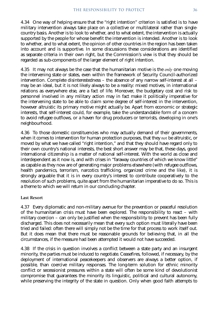4.34 One way of helping ensure that the "right intention" criterion is satisfied is to have military intervention always take place on a collective or multilateral rather than singlecountry basis. Another is to look to whether, and to what extent, the intervention is actually supported by the people for whose benefit the intervention is intended. Another is to look to whether, and to what extent, the opinion of other countries in the region has been taken into account and is supportive. In some discussions these considerations are identified as separate criteria in their own right, but the Commission's view is that they should be regarded as sub-components of the larger element of right intention.

4.35 It may not always be the case that the humanitarian motive is the *only* one moving the intervening state or states, even within the framework of Security Council-authorized intervention. Complete disinterestedness – the absence of any narrow self-interest at all – may be an ideal, but it is not likely always to be a reality: mixed motives, in international relations as everywhere else, are a fact of life. Moreover, the budgetary cost and risk to personnel involved in any military action may in fact make it politically imperative for the intervening state to be able to claim some degree of self-interest in the intervention, however altruistic its primary motive might actually be. Apart from economic or strategic interests, that self-interest could, for example, take the understandable form of a concern to avoid refugee outflows, or a haven for drug producers or terrorists, developing in one's neighbourhood.

4.36 To those domestic constituencies who may actually demand of their governments, when it comes to intervention for human protection purposes, that they *not* be altruistic, or moved by what we have called "right intention," and that they should have regard only to their own country's national interests, the best short answer may be that, these days, good international citizenship is a matter of national self-interest. With the world as close and interdependent as it now is, and with crises in "faraway countries of which we know little" as capable as they now are of generating major problems elsewhere (with refugee outflows, health pandemics, terrorism, narcotics trafficking, organized crime and the like), it is strongly arguable that it is in every country's interest to contribute cooperatively to the resolution of such problems, quite apart from the humanitarian imperative to do so. This is a theme to which we will return in our concluding chapter.

#### **Last Resort**

4.37 Every diplomatic and non-military avenue for the prevention or peaceful resolution of the humanitarian crisis must have been explored. The responsibility to react – with military coercion – can only be justified when the responsibility to prevent has been fully discharged. This does not necessarily mean that every such option must literally have been tried and failed: often there will simply not be the time for that process to work itself out. But it does mean that there must be reasonable grounds for believing that, in all the circumstances, if the measure had been attempted it would not have succeeded.

4.38 If the crisis in question involves a conflict between a state party and an insurgent minority, the parties must be induced to negotiate. Ceasefires, followed, if necessary, by the deployment of international peacekeepers and observers are always a better option, if possible, than coercive military responses. The long-term solution for ethnic minority conflict or secessionist pressures within a state will often be some kind of devolutionist compromise that guarantees the minority its linguistic, political and cultural autonomy, while preserving the integrity of the state in question. Only when good faith attempts to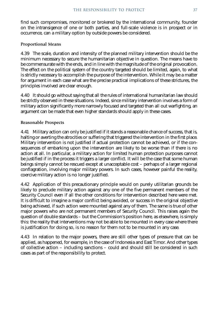find such compromises, monitored or brokered by the international community, founder on the intransigence of one or both parties, and full-scale violence is in prospect or in occurrence, can a military option by outside powers be considered.

#### **Proportional Means**

4.39 The scale, duration and intensity of the planned military intervention should be the minimum necessary to secure the humanitarian objective in question. The means have to be commensurate with the ends, and in line with the magnitude of the original provocation. The effect on the political system of the country targeted should be limited, again, to what is strictly necessary to accomplish the purpose of the intervention. While it may be a matter for argument in each case what are the precise practical implications of these strictures, the principles involved are clear enough.

4.40 It should go without saying that all the rules of international humanitarian law should be strictly observed in these situations. Indeed, since military intervention involves a form of military action significantly more narrowly focused and targeted than all out warfighting, an argument can be made that even higher standards should apply in these cases.

#### **Reasonable Prospects**

4.41 Military action can only be justified if it stands a reasonable chance of success, that is, halting or averting the atrocities or suffering that triggered the intervention in the first place. Military intervention is not justified if actual protection cannot be achieved, or if the consequences of embarking upon the intervention are likely to be worse than if there is no action at all. In particular, a military action for limited human protection purposes cannot be justified if in the process it triggers a larger conflict. It will be the case that some human beings simply cannot be rescued except at unacceptable cost – perhaps of a larger regional conflagration, involving major military powers. In such cases, however painful the reality, coercive military action is no longer justified.

4.42 Application of this precautionary principle would on purely utilitarian grounds be likely to preclude military action against any one of the five permanent members of the Security Council even if all the other conditions for intervention described here were met. It is difficult to imagine a major conflict being avoided, or success in the original objective being achieved, if such action were mounted against any of them. The same is true of other major powers who are not permanent members of Security Council. This raises again the question of double standards – but the Commission's position here, as elsewhere, is simply this: the reality that interventions may not be able to be mounted in every case where there is justification for doing so, is no reason for them not to be mounted in any case.

4.43 In relation to the major powers, there are still other types of pressure that can be applied, as happened, for example, in the case of Indonesia and East Timor. And other types of collective action – including sanctions – could and should still be considered in such cases as part of the responsibility to protect.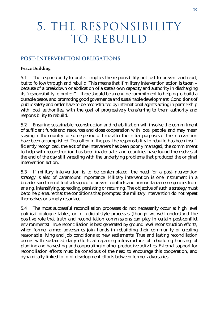# 5. THE RESPONSIBILITY TO REBUILD

## **POST-INTERVENTION OBLIGATIONS**

#### **Peace Building**

5.1 The responsibility to protect implies the responsibility not just to prevent and react, but to follow through and rebuild. This means that if military intervention action is taken – because of a breakdown or abdication of a state's own capacity and authority in discharging its "responsibility to protect" – there should be a genuine commitment to helping to build a durable peace, and promoting good governance and sustainable development. Conditions of public safety and order have to be reconstituted by international agents acting in partnership with local authorities, with the goal of progressively transferring to them authority and responsibility to rebuild.

5.2 Ensuring sustainable reconstruction and rehabilitation will involve the commitment of sufficient funds and resources and close cooperation with local people, and may mean staying in the country for some period of time after the initial purposes of the intervention have been accomplished. Too often in the past the responsibility to rebuild has been insufficiently recognized, the exit of the interveners has been poorly managed, the commitment to help with reconstruction has been inadequate, and countries have found themselves at the end of the day still wrestling with the underlying problems that produced the original intervention action.

5.3 If military intervention is to be contemplated, the need for a post-intervention strategy is also of paramount importance. Military intervention is one instrument in a broader spectrum of tools designed to prevent conflicts and humanitarian emergencies from arising, intensifying, spreading, persisting or recurring. The objective of such a strategy must be to help ensure that the conditions that prompted the military intervention do not repeat themselves or simply resurface.

5.4 The most successful reconciliation processes do not necessarily occur at high level political dialogue tables, or in judicial-style processes (though we well understand the positive role that truth and reconciliation commissions can play in certain post-conflict environments). True reconciliation is best generated by ground level reconstruction efforts, when former armed adversaries join hands in rebuilding their community or creating reasonable living and job conditions at new settlements. True and lasting reconciliation occurs with sustained daily efforts at repairing infrastructure, at rebuilding housing, at planting and harvesting, and cooperating in other productive activities. External support for reconciliation efforts must be conscious of the need to encourage this cooperation, and dynamically linked to joint development efforts between former adversaries.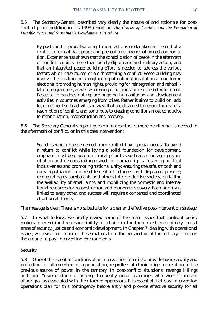5.5 The Secretary-General described very clearly the nature of and rationale for postconflict peace building in his 1998 report on *The Causes of Conflict and the Promotion of Durable Peace and Sustainable Development in Africa:*

By post-conflict peace-building, I mean actions undertaken at the end of a conflict to consolidate peace and prevent a recurrence of armed confrontation. Experience has shown that the consolidation of peace in the aftermath of conflict requires more than purely diplomatic and military action, and that an integrated peace building effort is needed to address the various factors which have caused or are threatening a conflict. Peace building may involve the creation or strengthening of national institutions, monitoring elections, promoting human rights, providing for reintegration and rehabilitation programmes, as well as creating conditions for resumed development. Peace building does not replace ongoing humanitarian and development activities in countries emerging from crises. Rather it aims to build on, add to, or reorient such activities in ways that are designed to reduce the risk of a resumption of conflict and contribute to creating conditions most conducive to reconciliation, reconstruction and recovery.

5.6 The Secretary-General's report goes on to describe in more detail what is needed in the aftermath of conflict, or in this case intervention:

Societies which have emerged from conflict have special needs. To avoid a return to conflict while laying a solid foundation for development, emphasis must be placed on critical priorities such as encouraging reconciliation and demonstrating respect for human rights; fostering political inclusiveness and promoting national unity; ensuring the safe, smooth and early repatriation and resettlement of refugees and displaced persons; reintegrating ex-combatants and others into productive society; curtailing the availability of small arms; and mobilizing the domestic and international resources for reconstruction and economic recovery. Each priority is linked to every other, and success will require a concerted and coordinated effort on all fronts.

The message is clear. There is no substitute for a clear and effective post-intervention strategy.

5.7 In what follows, we briefly review some of the main issues that confront policy makers in exercising the responsibility to rebuild in the three most immediately crucial areas of security, justice and economic development. In Chapter 7, dealing with operational issues, we revisit a number of these matters from the perspective of the military forces on the ground in post-intervention environments.

#### **Security**

5.8 One of the essential functions of an intervention force is to provide basic security and protection for all members of a population, regardless of ethnic origin or relation to the previous source of power in the territory. In post-conflict situations, revenge killings and even "reverse ethnic cleansing" frequently occur as groups who were victimized attack groups associated with their former oppressors. It is essential that post-intervention operations plan for this contingency before entry and provide effective security for all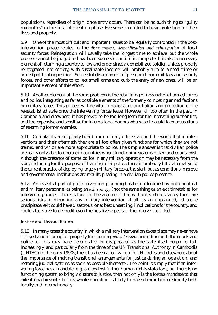populations, regardless of origin, once entry occurs. There can be no such thing as "guilty minorities" in the post-intervention phase. Everyone is entitled to basic protection for their lives and property.

5.9 One of the most difficult and important issues to be regularly confronted in the postintervention phase relates to the *disarmament, demobilization and reintegration* of local security forces. Reintegration will usually take the longest time to achieve, but the whole process cannot be judged to have been successful until it is complete. It is also a necessary element of returning a country to law and order since a demobilized soldier, unless properly reintegrated into society, with sustainable income, will probably turn to armed crime or armed political opposition. Successful disarmament of personnel from military and security forces, and other efforts to collect small arms and curb the entry of new ones, will be an important element of this effort.

5.10 Another element of the same problem is the rebuilding of new national armed forces and police, integrating as far as possible elements of the formerly competing armed factions or military forces. This process will be vital to national reconciliation and protection of the re-established state once the intervening forces leave. However, all too often in the past, in Cambodia and elsewhere, it has proved to be too long-term for the intervening authorities, and too expensive and sensitive for international donors who wish to avoid later accusations of re-arming former enemies.

5.11 Complaints are regularly heard from military officers around the world that in interventions and their aftermath they are all too often given functions for which they are not trained and which are more appropriate to police. The simple answer is that civilian police are really only able to operate in countries where functioning systems of law and courts exist. Although the presence of some police in any military operation may be necessary from the start, including for the purpose of training local police, there is probably little alternative to the current practice of deploying largely military forces at the start, but as conditions improve and governmental institutions are rebuilt, phasing in a civilian police presence.

5.12 An essential part of pre-intervention planning has been identified by both political and military personnel as being an *exit strategy* (not the same thing as an exit timetable) for intervening troops. There is force in the argument that without such a strategy there are serious risks in mounting any military intervention at all, as an unplanned, let alone precipitate, exit could have disastrous, or at best unsettling, implications for the country, and could also serve to discredit even the positive aspects of the intervention itself.

#### **Justice and Reconciliation**

5.13 In many cases the country in which a military intervention takes place may never have enjoyed a non-corrupt or properly functioning *judicial system*, including both the courts and police, or this may have deteriorated or disappeared as the state itself began to fail. Increasingly, and particularly from the time of the UN Transitional Authority in Cambodia (UNTAC) in the early 1990s, there has been a realization in UN circles and elsewhere about the importance of making transitional arrangements for justice during an operation, and restoring judicial systems as soon as possible thereafter. The point is simply that if an intervening force has a mandate to guard against further human rights violations, but there is no functioning system to bring violators to justice, then not only is the force's mandate to that extent unachievable, but its whole operation is likely to have diminished credibility both locally and internationally.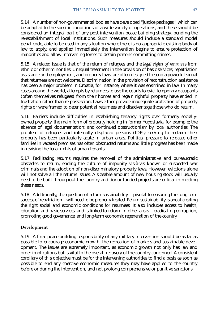5.14 A number of non-governmental bodies have developed "justice packages," which can be adapted to the specific conditions of a wide variety of operations, and these should be considered an integral part of any post-intervention peace building strategy, pending the re-establishment of local institutions. Such measures should include a standard model penal code, able to be used in any situation where there is no appropriate existing body of law to apply, and applied immediately the intervention begins to ensure protection of minorities and allow intervening forces to detain persons committing crimes.

5.15 A related issue is that of the return of refugees and the *legal rights of returnee*s from ethnic or other minorities. Unequal treatment in the provision of basic services, repatriation assistance and employment, and property laws, are often designed to send a powerful signal that returnees are not welcome. Discrimination in the provision of reconstruction assistance has been a major problem in Croatia, for instance, where it was enshrined in law. In many cases around the world, attempts by returnees to use the courts to evict temporary occupants (often themselves refugees) from their homes and regain rightful property have ended in frustration rather than re-possession. Laws either provide inadequate protection of property rights or were framed to deter potential returnees and disadvantage those who do return.

5.16 Barriers include difficulties in establishing tenancy rights over formerly sociallyowned property, the main form of property holding in former Yugoslavia, for example; the absence of legal documentation; and continued obstructionism by local authorities. The problem of refugees and internally displaced persons (IDPs) seeking to reclaim their property has been particularly acute in urban areas. Political pressure to relocate other families in vacated premises has often obstructed returns and little progress has been made in revising the legal rights of urban tenants.

5.17 Facilitating returns requires the removal of the administrative and bureaucratic obstacles to return, ending the culture of impunity vis-à-vis known or suspected war criminals and the adoption of non-discriminatory property laws. However, evictions alone will not solve all the returns issues. A sizeable amount of new housing stock will usually need to be built throughout the country and donor funded projects are critical in meeting these needs.

5.18 Additionally, the question of return sustainability – pivotal to ensuring the long-term success of repatriation – will need to be properly treated. Return sustainability is about creating the right social and economic conditions for returnees. It also includes access to health, education and basic services, and is linked to reform in other areas – eradicating corruption, promoting good governance, and long-term economic regeneration of the country.

### **Development**

5.19 A final peace building responsibility of any military intervention should be as far as possible to encourage economic growth, the recreation of markets and sustainable development. The issues are extremely important, as economic growth not only has law and order implications but is vital to the overall recovery of the country concerned. A consistent corollary of this objective must be for the intervening authorities to find a basis as soon as possible to end any coercive economic measures they may have applied to the country before or during the intervention, and not prolong comprehensive or punitive sanctions.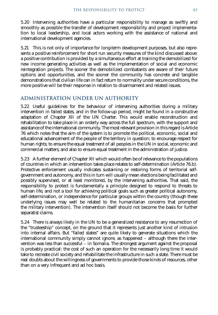5.20 Intervening authorities have a particular responsibility to manage as swiftly and smoothly as possible the transfer of development responsibility and project implementation to local leadership, and local actors working with the assistance of national and international development agencies.

5.21 This is not only of importance for long-term development purposes, but also represents a positive reinforcement for short run security measures of the kind discussed above: a positive contribution is provided by a simultaneous effort at training the demobilized for new income generating activities as well as the implementation of social and economic reintegration projects. The sooner the demobilized combatants are aware of their future options and opportunities, and the sooner the community has concrete and tangible demonstrations that civilian life can in fact return to normality under secure conditions, the more positive will be their response in relation to disarmament and related issues.

## **ADMINISTRATION UNDER UN AUTHORITY**

5.22 Useful guidelines for the behaviour of intervening authorities during a military intervention in failed states, and in the follow-up period, might be found in a constructive adaptation of Chapter XII of the UN Charter. This would enable reconstruction and rehabilitation to take place in an orderly way across the full spectrum, with the support and assistance of the international community. The most relevant provision in this regard is Article 76 which notes that the aim of the system is to promote the political, economic, social and educational advancement of the people of the territory in question; to encourage respect for human rights; to ensure the equal treatment of all peoples in the UN in social, economic and commercial matters; and also to ensure equal treatment in the administration of justice.

5.23 A further element of Chapter XII which would often be of relevance to the populations of countries in which an intervention takes place relates to self-determination (Article 76.b). Protective enforcement usually indicates sustaining or restoring forms of territorial selfgovernment and autonomy, and this in turn will usually mean elections being facilitated and possibly supervised, or at least monitored, by the intervening authorities. That said, the responsibility to protect is fundamentally a principle designed to respond to threats to human life, and not a tool for achieving political goals such as greater political autonomy, self-determination, or independence for particular groups within the country (though these underlying issues may well be related to the humanitarian concerns that prompted the military intervention). The intervention itself should not become the basis for further separatist claims.

5.24 There is always likely in the UN to be a generalized resistance to any resurrection of the "trusteeship" concept, on the ground that it represents just another kind of intrusion into internal affairs. But "failed states" are quite likely to generate situations which the international community simply cannot ignore, as happened – although there the intervention was less than successful – in Somalia. The strongest argument against the proposal is probably practical: the cost of such an operation for the necessarily long time it would take to recreate civil society and rehabilitate the infrastructure in such a state. There must be real doubts about the willingness of governments to provide those kinds of resources, other than on a very infrequent and ad hoc basis.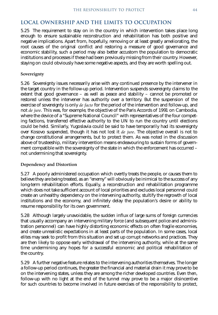## **LOCAL OWNERSHIP AND THE LIMITS TO OCCUPATION**

5.25 The requirement to stay on in the country in which intervention takes place long enough to ensure sustainable reconstruction and rehabilitation has both positive and negative implications. Apart from, hopefully, removing or at least greatly ameliorating, the root causes of the original conflict and restoring a measure of good governance and economic stability, such a period may also better accustom the population to democratic institutions and processes if these had been previously missing from their country. However, staying on could obviously have some negative aspects, and they are worth spelling out.

#### **Sovereignty**

5.26 Sovereignty issues necessarily arise with any continued presence by the intervener in the target country in the follow-up period. Intervention suspends sovereignty claims to the extent that good governance – as well as peace and stability – cannot be promoted or restored unless the intervener has authority over a territory. But the suspension of the exercise of sovereignty is only *de facto* for the period of the intervention and follow-up, and not *de jure*. This was, for example, the objective of the Paris Accords of 1991 on Cambodia, where the device of a "Supreme National Council" with representatives of the four competing factions, transferred effective authority to the UN to run the country until elections could be held. Similarly, Yugoslavia could be said to have temporarily had its sovereignty over Kosovo suspended, though it has not lost it *de jure*. The objective overall is not to change constitutional arrangements, but to protect them. As was noted in the discussion above of trusteeship, military intervention means endeavouring to sustain forms of government compatible with the sovereignty of the state in which the enforcement has occurred – not undermining that sovereignty.

#### **Dependency and Distortion**

5.27 A poorly administered occupation which overtly treats the people, or causes them to believe they are being treated, as an "enemy" will obviously be inimical to the success of any long-term rehabilitation efforts. Equally, a reconstruction and rehabilitation programme which does not take sufficient account of local priorities and excludes local personnel could create an unhealthy dependency on the intervening authority, stultify the regrowth of local institutions and the economy, and infinitely delay the population's desire or ability to resume responsibility for its own government.

5.28 Although largely unavoidable, the sudden influx of large sums of foreign currencies that usually accompany an intervening military force (and subsequent police and administration personnel) can have highly distorting economic effects on often fragile economies, and create unrealistic expectations in at least parts of the population. In some cases, local elites may seek to profit from this situation and set up corrupt networks and practices. They are then likely to oppose early withdrawal of the intervening authority, while at the same time undermining any hopes for a successful economic and political rehabilitation of the country.

5.29 A further negative feature relates to the intervening authorities themselves. The longer a follow-up period continues, the greater the financial and material drain it may prove to be on the intervening states, unless they are among the richer developed countries. Even then, follow-up with no light at the end of the tunnel may prove to be a major disincentive for such countries to become involved in future exercises of the responsibility to protect,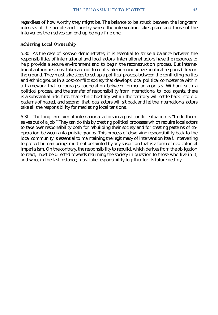regardless of how worthy they might be. The balance to be struck between the long-term interests of the people and country where the intervention takes place and those of the interveners themselves can end up being a fine one.

#### **Achieving Local Ownership**

5.30 As the case of Kosovo demonstrates, it is essential to strike a balance between the responsibilities of international and local actors. International actors have the resources to help provide a secure environment and to begin the reconstruction process. But international authorities must take care not to confiscate or monopolize political responsibility on the ground. They must take steps to set up a political process between the conflicting parties and ethnic groups in a post-conflict society that develops local political competence within a framework that encourages cooperation between former antagonists. Without such a political process, and the transfer of responsibility from international to local agents, there is a substantial risk, first, that ethnic hostility within the territory will settle back into old patterns of hatred, and second, that local actors will sit back and let the international actors take all the responsibility for mediating local tensions.

5.31 The long-term aim of international actors in a post-conflict situation is "to do themselves out of a job." They can do this by creating political processes which require local actors to take over responsibility both for rebuilding their society and for creating patterns of cooperation between antagonistic groups. This process of devolving responsibility back to the local community is essential to maintaining the legitimacy of intervention itself. Intervening to protect human beings must not be tainted by any suspicion that is a form of neo-colonial imperialism. On the contrary, the responsibility to rebuild, which derives from the obligation to react, must be directed towards returning the society in question to those who live in it, and who, in the last instance, must take responsibility together for its future destiny.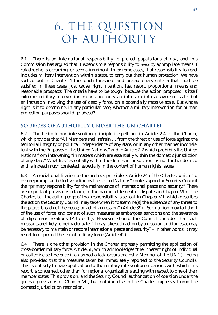# 6. THE QUESTION OF AUTHORITY

6.1 There is an international responsibility to protect populations at risk, and this Commission has argued that it extends to a responsibility to *react* by appropriate means if catastrophe is occurring, or seems imminent. In extreme cases, that responsibility to react includes military intervention within a state, to carry out that human protection. We have spelled out in Chapter 4 the tough threshold and precautionary criteria that must be satisfied in these cases: just cause, right intention, last resort, proportional means and reasonable prospects. The criteria have to be tough, because the action proposed is itself extreme: military intervention means not only an intrusion into a sovereign state, but an intrusion involving the use of deadly force, on a potentially massive scale. But whose right is it to determine, in any particular case, whether a military intervention for human protection purposes should go ahead?

## **SOURCES OF AUTHORITY UNDER THE UN CHARTER**

6.2 The bedrock non-intervention principle is spelt out in Article 2.4 of the Charter, which provides that "All Members shall refrain … from the threat or use of force against the territorial integrity or political independence of any state, or in any other manner inconsistent with the Purposes of the United Nations," and in Article 2.7 which prohibits the United Nations from intervening "in matters which are essentially within the domestic jurisdiction of any state." What lies "essentially within the domestic jurisdiction" is not further defined and is indeed much contested, especially in the context of human rights issues.

6.3 A crucial qualification to the bedrock principle is Article 24 of the Charter, which "to ensure prompt and effective action by the United Nations" confers upon the Security Council the "primary responsibility for the maintenance of international peace and security." There are important provisions relating to the pacific settlement of disputes in Chapter VI of the Charter, but the cutting edge of that responsibility is set out in Chapter VII, which describes the action the Security Council may take when it "determine[s] the existence of any threat to the peace, breach of the peace, or act of aggression" (Article 39) . Such action may fall short of the use of force, and consist of such measures as embargoes, sanctions and the severance of diplomatic relations (Article 41). However, should the Council consider that such measures are likely to be inadequate, "it may take such action by air, sea or land forces as may be necessary to maintain or restore international peace and security" – in other words, it may resort to or permit the use of military force (Article 42).

6.4 There is one other provision in the Charter expressly permitting the application of cross-border military force, Article 51, which acknowledges "the inherent right of individual or collective self-defence if an armed attack occurs against a Member of the UN" (it being also provided that the measures taken be immediately reported to the Security Council). This is unlikely to have application to the military intervention situations with which this report is concerned, other than for regional organizations acting with respect to one of their member states. This provision, and the Security Council authorization of coercion under the general provisions of Chapter VII, but nothing else in the Charter, expressly trump the domestic jurisdiction restriction.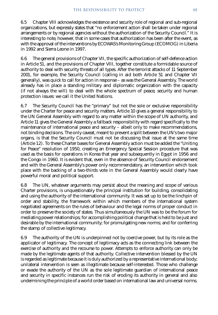6.5 Chapter VIII acknowledges the existence and security role of regional and sub-regional organizations, but expressly states that "no enforcement action shall be taken under regional arrangements or by regional agencies without the authorization of the Security Council." It is interesting to note, however, that in some cases that authorization has been after the event, as with the approval of the interventions by ECOWAS's Monitoring Group (ECOMOG) in Liberia in 1992 and Sierra Leone in 1997.

6.6 The general provisions of Chapter VII, the specific authorization of self-defence action in Article 51, and the provisions of Chapter VIII, together constitute a formidable source of authority to deal with security threats of all types. After the terrorist attacks of 11 September 2001, for example, the Security Council (calling in aid both Article 51 and Chapter VII generally), was quick to call for action in response – as was the General Assembly. The world already has in place a standing military and diplomatic organization with the capacity (if not always the will) to deal with the whole spectrum of peace, security and human protection issues: we call it the United Nations.

6.7 The Security Council has the "primary" but not the sole or exclusive responsibility under the Charter for peace and security matters. Article 10 gives a general responsibility to the UN General Assembly with regard to any matter within the scope of UN authority, and Article 11 gives the General Assembly a fallback responsibility with regard specifically to the maintenance of international peace and security – albeit only to make recommendations, not binding decisions. The only caveat, meant to prevent a split between the UN's two major organs, is that the Security Council must not be discussing that issue at the same time (Article 12). To these Charter bases for General Assembly action must be added the "Uniting for Peace" resolution of 1950, creating an Emergency Special Session procedure that was used as the basis for operations in Korea that year and subsequently in Egypt in 1956 and the Congo in 1960. It is evident that, even in the absence of Security Council endorsement and with the General Assembly's power only recommendatory, an intervention which took place with the backing of a two-thirds vote in the General Assembly would clearly have powerful moral and political support.

6.8 The UN, whatever arguments may persist about the meaning and scope of various Charter provisions, is unquestionably the principal institution for building, consolidating and using the authority of the international community. It was set up to be the linchpin of order and stability, the framework within which members of the international system negotiated agreements on the rules of behaviour and the legal norms of proper conduct in order to preserve the society of states. Thus simultaneously the UN was to be the forum for mediating power relationships; for accomplishing political change that is held to be just and desirable by the international community; for promulgating new norms; and for conferring the stamp of collective legitimacy.

6.9 The authority of the UN is underpinned not by coercive power, but by its role as the applicator of legitimacy. The concept of legitimacy acts as the connecting link between the exercise of authority and the recourse to power. Attempts to enforce authority can only be made by the legitimate agents of that authority. Collective intervention blessed by the UN is regarded as legitimate because it is duly authorized by a representative international body; unilateral intervention is seen as illegitimate because self-interested. Those who challenge or evade the authority of the UN as the sole legitimate guardian of international peace and security in specific instances run the risk of eroding its authority in general and also undermining the principle of a world order based on international law and universal norms.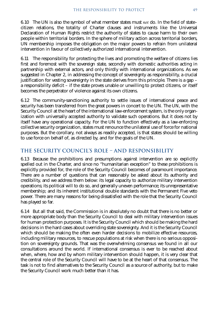6.10 The UN is also the symbol of what member states must *not* do. In the field of state– citizen relations, the totality of Charter clauses and instruments like the Universal Declaration of Human Rights restrict the authority of states to cause harm to their own people within territorial borders. In the sphere of military action across territorial borders, UN membership imposes the obligation on the major powers to refrain from unilateral intervention in favour of collectively authorized international intervention.

6.11 The responsibility for protecting the lives and promoting the welfare of citizens lies first and foremost with the sovereign state, secondly with domestic authorities acting in partnership with external actors, and only thirdly with international organizations. As we suggested in Chapter 2, in addressing the concept of sovereignty as responsibility, a crucial justification for vesting sovereignty in the state derives from this principle. There is a gap  $$ a responsibility deficit – if the state proves unable or unwilling to protect citizens, or itself becomes the perpetrator of violence against its own citizens.

6.12 The community-sanctioning authority to settle issues of international peace and security has been transferred from the great powers in concert to the UN. The UN, with the Security Council at the heart of the international law-enforcement system, is the only organization with universally accepted authority to validate such operations. But it does not by itself have any operational capacity. For the UN to function effectively as a law-enforcing collective security organization, states must renounce the unilateral use of force for national purposes. But the corollary, not always as readily accepted, is that states should be willing to use force on behalf of, as directed by, and for the goals of the UN.

## **THE SECURITY COUNCIL'S ROLE – AND RESPONSIBILITY**

6.13 Because the prohibitions and presumptions against intervention are so explicitly spelled out in the Charter, and since no "humanitarian exception" to these prohibitions is explicitly provided for, the role of the Security Council becomes of paramount importance. There are a number of questions that can reasonably be asked about its authority and credibility, and we address them below: its legal capacity to authorize military intervention operations; its political will to do so, and generally uneven performance; its unrepresentative membership; and its inherent institutional double standards with the Permanent Five veto power. There are many reasons for being dissatisfied with the role that the Security Council has played so far.

6.14 But all that said, the Commission is in absolutely no doubt that there is no better or more appropriate body than the Security Council to deal with military intervention issues for human protection purposes. It is the Security Council which should be making the hard decisions in the hard cases about overriding state sovereignty. And it is the Security Council which should be making the often even harder decisions to mobilize effective resources, including military resources, to rescue populations at risk when there is no serious opposition on sovereignty grounds. That was the overwhelming consensus we found in all our consultations around the world. If international consensus is ever to be reached about when, where, how and by whom military intervention should happen, it is very clear that the central role of the Security Council will have to be at the heart of that consensus. The task is not to find alternatives to the Security Council as a source of authority, but to make the Security Council work much better than it has.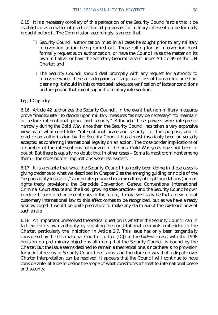6.15 It is a necessary corollary of this perception of the Security Council's role that it be established as a matter of practice that all proposals for military intervention be formally brought before it. The Commission accordingly is agreed that:

- ❏ Security Council authorization must in all cases be sought prior to any military intervention action being carried out. Those calling for an intervention must formally request such authorization, or have the Council raise the matter on its own initiative, or have the Secretary-General raise it under Article 99 of the UN Charter; and
- ❏ The Security Council should deal promptly with any request for authority to intervene where there are allegations of large scale loss of human life or ethnic cleansing; it should in this context seek adequate verification of facts or conditions on the ground that might support a military intervention.

#### **Legal Capacity**

6.16 Article 42 authorizes the Security Council, in the event that non-military measures prove "inadequate," to decide upon military measures "as may be necessary" "to maintain or restore international peace and security." Although these powers were interpreted narrowly during the Cold War, since then the Security Council has taken a very expansive view as to what constitutes "international peace and security" for this purpose, and in practice an authorization by the Security Council has almost invariably been universally accepted as conferring international legality on an action. The cross-border implications of a number of the interventions authorized in the post-Cold War years have not been in doubt. But there is equally no doubt that in other cases – Somalia most prominent among them – the cross-border implications were less evident.

6.17 It is arguable that what the Security Council has really been doing in these cases is giving credence to what we described in Chapter 2 as the emerging guiding principle of the "responsibility to protect," a principle grounded in a miscellany of legal foundations (human rights treaty provisions, the Genocide Convention, Geneva Conventions, International Criminal Court statute and the like), growing state practice – and the Security Council's own practice. If such a reliance continues in the future, it may eventually be that a new rule of customary international law to this effect comes to be recognized, but as we have already acknowledged it would be quite premature to make any claim about the existence now of such a rule.

6.18 An important unresolved theoretical question is whether the Security Council can in fact exceed its own authority by violating the constitutional restraints embedded in the Charter, particularly the inhibition in Article 2.7. This issue has only been tangentially considered by the International Court of Justice (ICJ) in the *Lockerbie* case, with the 1998 decision on preliminary objections affirming that the Security Council is bound by the Charter. But the issue seems destined to remain a theoretical one, since there is no provision for judicial review of Security Council decisions, and therefore no way that a dispute over Charter interpretation can be resolved. It appears that the Council will continue to have considerable latitude to define the scope of what constitutes a threat to international peace and security.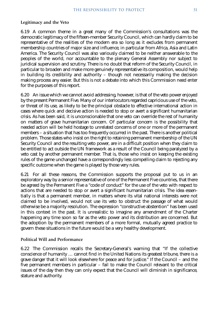#### **Legitimacy and the Veto**

6.19 A common theme in a great many of the Commission's consultations was the democratic legitimacy of the fifteen-member Security Council, which can hardly claim to be representative of the realities of the modern era so long as it excludes from permanent membership countries of major size and influence, in particular from Africa, Asia and Latin America. The Security Council was also variously claimed to be neither answerable to the peoples of the world, nor accountable to the plenary General Assembly nor subject to juridical supervision and scrutiny. There is no doubt that reform of the Security Council, in particular to broaden and make more genuinely representative its composition, would help in building its credibility and authority – though not necessarily making the decision making process any easier. But this is not a debate into which this Commission need enter for the purposes of this report.

6.20 An issue which we cannot avoid addressing, however, is that of the veto power enjoyed by the present Permanent Five. Many of our interlocutors regarded capricious use of the veto, or threat of its use, as likely to be the principal obstacle to effective international action in cases where quick and decisive action is needed to stop or avert a significant humanitarian crisis. As has been said, it is unconscionable that one veto can override the rest of humanity on matters of grave humanitarian concern. Of particular concern is the possibility that needed action will be held hostage to unrelated concerns of one or more of the permanent members – a situation that has too frequently occurred in the past. There is another political problem. Those states who insist on the right to retaining permanent membership of the UN Security Council and the resulting veto power, are in a difficult position when they claim to be entitled to act outside the UN framework as a result of the Council being paralyzed by a veto cast by another permanent member. That is, those who insist on keeping the existing rules of the game unchanged have a correspondingly less compelling claim to rejecting any specific outcome when the game is played by those very rules.

6.21 For all these reasons, the Commission supports the proposal put to us in an exploratory way by a senior representative of one of the Permanent Five countries, that there be agreed by the Permanent Five a "code of conduct" for the use of the veto with respect to actions that are needed to stop or avert a significant humanitarian crisis. The idea essentially is that a permanent member, in matters where its vital national interests were not claimed to be involved, would not use its veto to obstruct the passage of what would otherwise be a majority resolution. The expression "constructive abstention" has been used in this context in the past. It is unrealistic to imagine any amendment of the Charter happening any time soon so far as the veto power and its distribution are concerned. But the adoption by the permanent members of a more formal, mutually agreed practice to govern these situations in the future would be a very healthy development.

#### **Political Will and Performance**

6.22 The Commission recalls the Secretary-General's warning that "If the collective conscience of humanity … cannot find in the United Nations its greatest tribune, there is a grave danger that it will look elsewhere for peace and for justice." If the Council – and the five permanent members in particular – fail to make the Council relevant to the critical issues of the day then they can only expect that the Council will diminish in significance, stature and authority.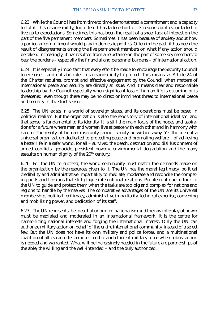6.23 While the Council has from time to time demonstrated a commitment and a capacity to fulfill this responsibility, too often it has fallen short of its responsibilities, or failed to live up to expectations. Sometimes this has been the result of a sheer lack of interest on the part of the five permanent members. Sometimes it has been because of anxiety about how a particular commitment would play in domestic politics. Often in the past, it has been the result of disagreements among the five permanent members on what if any action should be taken. Increasingly, it has resulted from a reluctance on the part of some key members to bear the burdens – especially the financial and personnel burdens – of international action.

6.24 It is especially important that every effort be made to encourage the Security Council to exercise – and not abdicate – its responsibility to protect. This means, as Article 24 of the Charter requires, prompt and effective engagement by the Council when matters of international peace and security are directly at issue. And it means clear and responsible leadership by the Council especially when significant loss of human life is occurring or is threatened, even though there may be no direct or imminent threat to international peace and security in the strict sense.

6.25 The UN exists in a world of sovereign states, and its operations must be based in political realism. But the organization is also the repository of international idealism, and that sense is fundamental to its identity. It is still the main focus of the hopes and aspirations for a future where men and women live at peace with each other and in harmony with nature. The reality of human insecurity cannot simply be wished away. Yet the idea of a universal organization dedicated to protecting peace and promoting welfare – of achieving a better life in a safer world, for all – survived the death, destruction and disillusionment of armed conflicts, genocide, persistent poverty, environmental degradation and the many assaults on human dignity of the  $20<sup>th</sup>$  century.

6.26 For the UN to succeed, the world community must match the demands made on the organization by the resources given to it. The UN has the moral legitimacy, political credibility and administrative impartiality to mediate, moderate and reconcile the competing pulls and tensions that still plague international relations. People continue to look to the UN to guide and protect them when the tasks are too big and complex for nations and regions to handle by themselves. The comparative advantages of the UN are its universal membership, political legitimacy, administrative impartiality, technical expertise, convening and mobilizing power, and dedication of its staff.

6.27 The UN represents the idea that unbridled nationalism and the raw interplay of power must be mediated and moderated in an international framework. It is the centre for harmonizing national interests and forging the international interest. Only the UN can authorize military action on behalf of the entire international community, instead of a select few. But the UN does not have its own military and police forces, and a multinational coalition of allies can offer a more credible and efficient military force when robust action is needed and warranted. What will be increasingly needed in the future are partnerships of the able, the willing and the well-intended – and the duly authorized.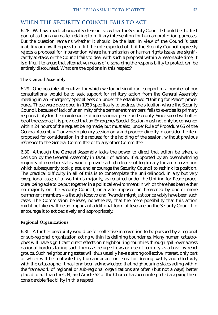## **WHEN THE SECURITY COUNCIL FAILS TO ACT**

6.28 We have made abundantly clear our view that the Security Council should be the first port of call on any matter relating to military intervention for human protection purposes. But the question remains whether it should be the last. In view of the Council's past inability or unwillingness to fulfill the role expected of it, if the Security Council expressly rejects a proposal for intervention where humanitarian or human rights issues are significantly at stake, or the Council fails to deal with such a proposal within a reasonable time, it is difficult to argue that alternative means of discharging the responsibility to protect can be entirely discounted. What are the options in this respect?

#### **The General Assembly**

6.29 One possible alternative, for which we found significant support in a number of our consultations, would be to seek support for military action from the General Assembly meeting in an Emergency Special Session under the established "Uniting for Peace" procedures. These were developed in 1950 specifically to address the situation where the Security Council, because of lack of unanimity of the permanent members, fails to exercise its primary responsibility for the maintenance of international peace and security. Since speed will often be of the essence, it is provided that an Emergency Special Session must not only be convened within 24 hours of the request being made, but must also, under Rule of Procedure 65 of the General Assembly, "convene in plenary session only and proceed directly to consider the item proposed for consideration in the request for the holding of the session, without previous reference to the General Committee or to any other Committee."

6.30 Although the General Assembly lacks the power to direct that action be taken, a decision by the General Assembly in favour of action, if supported by an overwhelming majority of member states, would provide a high degree of legitimacy for an intervention which subsequently took place, and encourage the Security Council to rethink its position. The practical difficulty in all of this is to contemplate the unlikelihood, in any but very exceptional case, of a two-thirds majority, as required under the Uniting for Peace procedure, being able to be put together in a political environment in which there has been either no majority on the Security Council, or a veto imposed or threatened by one or more permanent members – although Kosovo and Rwanda might just conceivably have been such cases. The Commission believes, nonetheless, that the mere possibility that this action might be taken will be an important additional form of leverage on the Security Council to encourage it to act decisively and appropriately.

#### **Regional Organizations**

6.31 A further possibility would be for collective intervention to be pursued by a regional or sub-regional organization acting within its defining boundaries. Many human catastrophes will have significant direct effects on neighbouring countries through spill-over across national borders taking such forms as refugee flows or use of territory as a base by rebel groups. Such neighbouring states will thus usually have a strong collective interest, only part of which will be motivated by humanitarian concerns, for dealing swiftly and effectively with the catastrophe. It has long been acknowledged that neighbouring states acting within the framework of regional or sub-regional organizations are often (but not always) better placed to act than the UN, and Article 52 of the Charter has been interpreted as giving them considerable flexibility in this respect.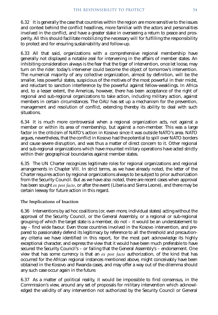6.32 It is generally the case that countries within the region are more sensitive to the issues and context behind the conflict headlines, more familiar with the actors and personalities involved in the conflict, and have a greater stake in overseeing a return to peace and prosperity. All this should facilitate mobilizing the necessary will for fulfilling the responsibility to protect and for ensuring sustainability and follow-up.

6.33 All that said, organizations with a comprehensive regional membership have generally not displayed a notable zeal for intervening in the affairs of member states. An inhibiting consideration always is the fear that the tiger of intervention, once let loose, may turn on the rider: today's intervener could become the object of tomorrow's intervention. The numerical majority of any collective organization, almost by definition, will be the smaller, less powerful states, suspicious of the motives of the most powerful in their midst, and reluctant to sanction interference by the powerful against fellow-weaklings. In Africa and, to a lesser extent, the Americas, however, there has been acceptance of the right of regional and sub-regional organizations to take action, including military action, against members in certain circumstances. The OAU has set up a mechanism for the prevention, management and resolution of conflict, extending thereby its ability to deal with such situations.

6.34 It is much more controversial when a regional organization acts, not against a member or within its area of membership, but against a non-member. This was a large factor in the criticism of NATO's action in Kosovo since it was outside NATO's area. NATO argues, nevertheless, that the conflict in Kosovo had the potential to spill over NATO borders and cause severe disruption, and was thus a matter of direct concern to it. Other regional and sub-regional organizations which have mounted military operations have acted strictly within their geographical boundaries against member states.

6.35 The UN Charter recognizes legitimate roles for regional organizations and regional arrangements in Chapter VIII. In strict terms, as we have already noted, the letter of the Charter requires action by regional organizations always to be subject to prior authorization from the Security Council. But as we have also noted, there are recent cases when approval has been sought *ex post facto*, or after the event (Liberia and Sierra Leone), and there may be certain leeway for future action in this regard.

### **The Implications of Inaction**

6.36 Interventions by ad hoc coalitions (or, even more, individual states) acting without the approval of the Security Council, or the General Assembly, or a regional or sub-regional grouping of which the target state is a member, do not – it would be an understatement to say – find wide favour. Even those countries involved in the Kosovo intervention, and prepared to passionately defend its legitimacy by reference to all the threshold and precautionary criteria we have identified in this report, for the most part acknowledge its highly exceptional character, and express the view that it would have been much preferable to have secured the Security Council's – or failing that the General Assembly's – endorsement. One view that has some currency is that an *ex post facto* authorization, of the kind that has occurred for the African regional instances mentioned above, might conceivably have been obtained in the Kosovo and Rwanda cases, and may offer a way out of the dilemma should any such case occur again in the future.

6.37 As a matter of political reality, it would be impossible to find consensus, in the Commission's view, around any set of proposals for military intervention which acknowledged the validity of any intervention not authorized by the Security Council or General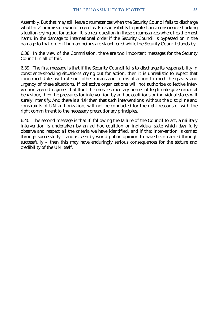Assembly. But that may still leave circumstances when the Security Council fails to discharge what this Commission would regard as its responsibility to protect, in a conscience-shocking situation crying out for action. It is a real question in these circumstances where lies the most harm: in the damage to international order if the Security Council is bypassed or in the damage to that order if human beings are slaughtered while the Security Council stands by.

6.38 In the view of the Commission, there are two important messages for the Security Council in all of this.

6.39 The first message is that if the Security Council fails to discharge its responsibility in conscience-shocking situations crying out for action, then it is unrealistic to expect that concerned states will rule out other means and forms of action to meet the gravity and urgency of these situations. If collective organizations will not authorize collective intervention against regimes that flout the most elementary norms of legitimate governmental behaviour, then the pressures for intervention by ad hoc coalitions or individual states will surely intensify. And there is a risk then that such interventions, without the discipline and constraints of UN authorization, will not be conducted for the right reasons or with the right commitment to the necessary precautionary principles.

6.40 The second message is that if, following the failure of the Council to act, a military intervention is undertaken by an ad hoc coalition or individual state which *does* fully observe and respect all the criteria we have identified, and if that intervention is carried through successfully – and is seen by world public opinion to have been carried through successfully – then this may have enduringly serious consequences for the stature and credibility of the UN itself.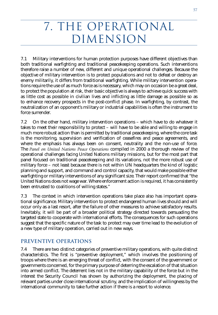# 7. THE OPERATIONAL DIMENSION

7.1 Military interventions for human protection purposes have different objectives than both traditional warfighting and traditional peacekeeping operations. Such interventions therefore raise a number of new, different and unique operational challenges. Because the objective of military intervention is to protect populations and not to defeat or destroy an enemy militarily, it differs from traditional warfighting. While military intervention operations require the use of as much force as is necessary, which may on occasion be a great deal, to protect the population at risk, their basic objective is always to achieve quick success with as little cost as possible in civilian lives and inflicting as little damage as possible so as to enhance recovery prospects in the post-conflict phase. In warfighting, by contrast, the neutralization of an opponent's military or industrial capabilities is often the instrument to force surrender.

7.2 On the other hand, military intervention operations – which have to do whatever it takes to meet their responsibility to protect – will have to be able and willing to engage in much more robust action than is permitted by traditional peacekeeping, where the core task is the monitoring, supervision and verification of ceasefires and peace agreements, and where the emphasis has always been on consent, neutrality and the non-use of force. The *Panel on United Nations Peace Operations* compiled in 2000 a thorough review of the operational challenges facing United Nations military missions, but for the most part that panel focused on traditional peacekeeping and its variations, not the more robust use of military force – not least because there is not within UN headquarters the kind of logistic planning and support, and command and control capacity, that would make possible either warfighting or military interventions of any significant size. Their report confirmed that "the United Nations does not wage war. Where enforcement action is required, it has consistently been entrusted to coalitions of willing states."

7.3 The context in which intervention operations take place also has important operational significance. Military intervention to protect endangered human lives should and will occur only as a last resort, after the failure of other measures to achieve satisfactory results. Inevitably, it will be part of a broader political strategy directed towards persuading the targeted state to cooperate with international efforts. The consequences for such operations suggest that the specific nature of the task to protect may over time lead to the evolution of a new type of military operation, carried out in new ways.

# **PREVENTIVE OPERATIONS**

7.4 There are two distinct categories of preventive military operations, with quite distinct characteristics. The first is "preventive deployment," which involves the positioning of troops where there is an emerging threat of conflict, with the consent of the government or governments concerned, for the primary purpose of deterring the escalation of that situation into armed conflict. The deterrent lies not in the military capability of the force but in the interest the Security Council has shown by authorizing the deployment, the placing of relevant parties under close international scrutiny, and the implication of willingness by the international community to take further action if there is a resort to violence.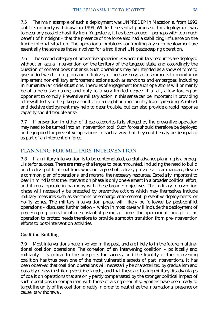7.5 The main example of such a deployment was UNPREDEP in Macedonia, from 1992 until its untimely withdrawal in 1999. While the essential purpose of this deployment was to deter any possible hostility from Yugoslavia, it has been argued – perhaps with too much benefit of hindsight – that the presence of the force also had a stabilizing influence on the fragile internal situation. The operational problems confronting any such deployment are essentially the same as those involved for a traditional UN peacekeeping operation.

7.6 The second category of preventive operation is where military resources are deployed without an actual intervention on the territory of the targeted state, and accordingly the question of consent does not arise. Such operations may be intended as a show of force to give added weight to diplomatic initiatives, or perhaps serve as instruments to monitor or implement non-military enforcement actions such as sanctions and embargoes, including in humanitarian crisis situations. The rules of engagement for such operations will primarily be of a defensive nature, and only to a very limited degree, if at all, allow forcing an opponent to comply. Preventive military action in this sense can be important in providing a firewall to try to help keep a conflict in a neighbouring country from spreading. A robust and decisive deployment may help to deter trouble, but can also provide a rapid response capacity should trouble arise.

7.7 If prevention in either of these categories fails altogether, the preventive operation may need to be turned into an intervention tool. Such forces should therefore be deployed and equipped for preventive operations in such a way that they could easily be designated as part of an intervention force.

# **PLANNING FOR MILITARY INTERVENTION**

7.8 If a military intervention is to be contemplated, careful advance planning is a prerequisite for success. There are many challenges to be surmounted, including the need to build an effective political coalition, work out agreed objectives, provide a clear mandate, devise a common plan of operations, and marshal the necessary resources. Especially important to bear in mind is that the intervention phase is only one element in a broader political effort, and it must operate in harmony with these broader objectives. The military intervention phase will necessarily be preceded by preventive actions which may themselves include military measures such as sanctions or embargo enforcement, preventive deployments, or no-fly zones. The military intervention phase will likely be followed by post-conflict operations – discussed further below – which in most cases will include the deployment of peacekeeping forces for often substantial periods of time. The operational concept for an operation to protect needs therefore to provide a smooth transition from pre-intervention efforts to post-intervention activities.

# **Coalition Building**

7.9 Most interventions have involved in the past, and are likely to in the future, multinational coalition operations. The cohesion of an intervening coalition – politically and militarily – is critical to the prospects for success, and the fragility of the intervening coalition has thus been one of the most vulnerable aspects of past interventions. It has been observed that coalition operations will necessarily be characterized by gradualism and possibly delays in striking sensitive targets, and that these are lasting military disadvantages of coalition operations that are only partly compensated by the stronger political impact of such operations in comparison with those of a single country. Spoilers have been ready to target the unity of the coalition directly in order to neutralize the international presence or cause its withdrawal.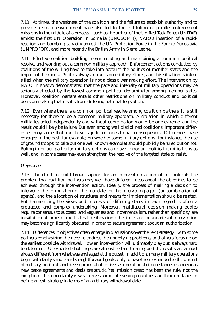7.10 At times, the weakness of the coalition and the failure to establish authority and to provide a secure environment have also led to the institution of parallel enforcement missions in the middle of a process – such as the arrival of the Unified Task Force (UNITAF) amidst the first UN Operation in Somalia (UNOSOM I), NATO's insertion of a rapidreaction and bombing capacity amidst the UN Protection Force in the Former Yugoslavia (UNPROFOR), and more recently the British Army in Sierra Leone.

7.11 Effective coalition building means creating and maintaining a common political resolve, and working out a common military approach. Enforcement actions conducted by coalitions of the willing have to take into account the politics of member states and the impact of the media. Politics always intrudes on military efforts, and this situation is intensified when the military operation is not a classic war making effort. The intervention by NATO in Kosovo demonstrated that the pace and intensity of military operations may be seriously affected by the lowest common political denominator among member states. Moreover, coalition warfare entails other restrictions on military conduct and political decision making that results from differing national legislation.

7.12 Even where there is a common political resolve among coalition partners, it is still necessary for there to be a common military approach. A situation in which different militaries acted independently and without coordination would be one extreme, and the result would likely be failure. But even among well disciplined coalitions, important differences may arise that can have significant operational consequences. Differences have emerged in the past, for example, on whether some military options (for instance, the use of ground troops, to take but one well known example) should publicly be ruled out or not. Ruling in or out particular military options can have important political ramifications as well, and in some cases may even strengthen the resolve of the targeted state to resist.

# **Objectives**

7.13 The effort to build broad support for an intervention action often confronts the problem that coalition partners may well have different ideas about the objectives to be achieved through the intervention action. Ideally, the process of making a decision to intervene, the formulation of the mandate for the intervening agent (or combination of agents), and the allocation of structures and means for implementation should be related. But harmonizing the views and interests of differing states in each regard is often a protracted and complex undertaking. Moreover, multilateral decision making bodies require consensus to succeed, and vagueness and incrementalism, rather than specificity, are inevitable outcomes of multilateral deliberations: the limits and boundaries of intervention may become significantly obscured in order to secure agreement about an authorization.

7.14 Differences in objectives often emerge in discussions over the "exit strategy," with some partners emphasizing the need to address the underlying problems, and others focusing on the earliest possible withdrawal. How an intervention will ultimately play out is always hard to determine. Unexpected challenges are almost certain to arise, and the results are almost always different from what was envisaged at the outset. In addition, many military operations begin with fairly simple and straightforward goals, only to have them expanded to the pursuit of military, political, and developmental objectives as operational circumstances change or as new peace agreements and deals are struck. Yet, mission creep has been the rule, not the exception. This uncertainty is what drives some intervening countries and their militaries to define an exit strategy in terms of an arbitrary withdrawal date.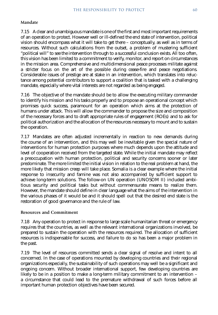## **Mandate**

7.15 A clear and unambiguous mandate is one of the first and most important requirements of an operation to protect. However well or ill-defined the end state of intervention, political vision should encompass what it will take to get there – conceptually, as well as in terms of resources. Without such calculations from the outset, a problem of mustering sufficient "political will" to see the intervention through to a successful conclusion exists. All too often, this vision has been limited to a commitment to verify, monitor, and report on circumstances in the mission area. Comprehensive and multidimensional peace processes militate against a stricter focus on the art of the possible during cease-fire and peace negotiations. Considerable issues of prestige are at stake in an intervention, which translates into reluctance among potential contributors to support a coalition that is tasked with a challenging mandate, especially where vital interests are not regarded as being engaged.

7.16 The objective of the mandate should be to allow the executing military commander to identify his mission and his tasks properly and to propose an operational concept which promises quick success, paramount for an operation which aims at the protection of humans under attack. This will allow the commander to propose the size and composition of the necessary forces and to draft appropriate rules of engagement (ROEs) and to ask for political authorization and the allocation of the resources necessary to mount and to sustain the operation.

7.17 Mandates are often adjusted incrementally in reaction to new demands during the course of an intervention, and this may well be inevitable given the special nature of interventions for human protection purposes where much depends upon the attitude and level of cooperation received from the targeted state. While the initial mandate may reflect a preoccupation with human protection, political and security concerns sooner or later predominate. The more limited the initial vision in relation to the real problem at hand, the more likely that mission creep will take place. Somalia is a clear example where the initial response to insecurity and famine was not also accompanied by sufficient support to achieve long-term solutions. The follow-on UN operation (UNOSOM II) included ambitious security and political tasks but without commensurate means to realize them. However, the mandate should define in clear language what the aims of the intervention in the various phases of it would be and it should spell out that the desired end state is the restoration of good governance and the rule of law.

## **Resources and Commitment**

7.18 Any operation to protect in response to large scale humanitarian threat or emergency requires that the countries, as well as the relevant international organizations involved, be prepared to sustain the operation with the resources required. The allocation of sufficient resources is indispensable for success, and failure to do so has been a major problem in the past.

7.19 The level of resources committed sends a clear signal of resolve and intent to all concerned. In the case of operations mounted by developing countries and their regional organizations especially, the sustainability of such operations may well be a significant and ongoing concern. Without broader international support, few developing countries are likely to be in a position to make a long-term military commitment to an intervention – a circumstance that could lead to the premature withdrawal of such forces before all important human protection objectives have been secured.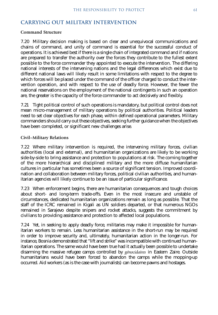# **CARRYING OUT MILITARY INTERVENTION**

## **Command Structure**

7.20 Military decision making is based on clear and unequivocal communications and chains of command, and unity of command is essential for the successful conduct of operations. It is achieved best if there is a single chain of integrated command and if nations are prepared to transfer the authority over the forces they contribute to the fullest extent possible to the force commander they appointed to execute the intervention. The differing national interests of the intervening nations and the legal differences which exist due to different national laws will likely result in some limitations with respect to the degree to which forces will be placed under the command of the officer charged to conduct the intervention operation, and with respect to the use of deadly force. However, the fewer the national reservations on the employment of the national contingents in such an operation are, the greater is the capacity of the force commander to act decisively and flexibly.

7.21 Tight political control of such operations is mandatory, but political control does not mean micro-management of military operations by political authorities. Political leaders need to set clear objectives for each phase, within defined operational parameters. Military commanders should carry out these objectives, seeking further guidance when the objectives have been completed, or significant new challenges arise.

## **Civil–Military Relations**

7.22 Where military intervention is required, the intervening military forces, civilian authorities (local and external), and humanitarian organizations are likely to be working side-by-side to bring assistance and protection to populations at risk. The coming together of the more hierarchical and disciplined military and the more diffuse humanitarian cultures in particular has sometimes been a source of significant tension. Improved coordination and collaboration between military forces, political civilian authorities, and humanitarian agencies will likely continue to be an issue of particular significance.

7.23 When enforcement begins, there are humanitarian consequences and tough choices about short- and long-term trade-offs. Even in the most insecure and unstable of circumstances, dedicated humanitarian organizations remain as long as possible. That the staff of the ICRC remained in Kigali as UN soldiers departed, or that numerous NGOs remained in Sarajevo despite snipers and rocket attacks, suggests the commitment by civilians to providing assistance and protection to affected local populations.

7.24 Yet, in seeking to apply deadly force, militaries may make it impossible for humanitarian workers to remain. Less humanitarian assistance in the short-run may be required in order to improve security and, ultimately, humanitarian action in the longer-run. For instance, Bosnia demonstrated that "lift and strike" was incompatible with continued humanitarian operations. The same would have been true had it actually been possible to undertake disarming the massive refugee camps controlled by *génocidaires* in Eastern Zaire. Outside humanitarians would have been forced to abandon the camps while the mopping-up occurred. Aid workers (as is the case with journalists) can become pawns and hostages.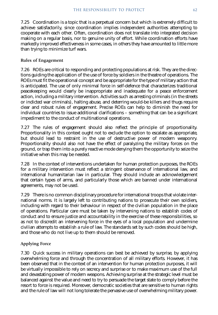7.25 Coordination is a topic that is a perpetual concern but which is extremely difficult to achieve satisfactorily, since coordination implies independent authorities attempting to cooperate with each other. Often, coordination does not translate into integrated decision making on a regular basis, nor to genuine unity of effort. While coordination efforts have markedly improved effectiveness in some cases, in others they have amounted to little more than trying to minimize turf wars.

# **Rules of Engagement**

7.26 ROEs are critical to responding and protecting populations at risk. They are the directions guiding the application of the use of force by soldiers in the theatre of operations. The ROEs must fit the operational concept and be appropriate for the type of military action that is anticipated. The use of only minimal force in self-defence that characterizes traditional peacekeeping would clearly be inappropriate and inadequate for a peace enforcement action, including a military intervention. Activities such as arresting criminals (in the streets or indicted war criminals), halting abuse, and deterring would-be killers and thugs require clear and robust rules of engagement. Precise ROEs can help to diminish the need for individual countries to issue additional clarifications – something that can be a significant impediment to the conduct of multinational operations.

7.27 The rules of engagement should also reflect the principle of proportionality. Proportionality in this context ought not to exclude the option to escalate as appropriate, but should lead to restraint in the use of destructive power of modern weaponry. Proportionality should also not have the effect of paralyzing the military forces on the ground, or trap them into a purely reactive mode denying them the opportunity to seize the initiative when this may be needed.

7.28 In the context of interventions undertaken for human protection purposes, the ROEs for a military intervention must reflect a stringent observance of international law, and international humanitarian law in particular. They should include an acknowledgement that certain types of arms, and particularly those which are banned under international agreements, may not be used.

7.29 There is no common disciplinary procedure for international troops that violate international norms. It is largely left to contributing nations to prosecute their own soldiers, including with regard to their behaviour in respect of the civilian population in the place of operations. Particular care must be taken by intervening nations to establish codes of conduct and to ensure justice and accountability in the exercise of these responsibilities, so as not to discredit an intervening force in the eyes of a local population and undermine civilian attempts to establish a rule of law. The standards set by such codes should be high, and those who do not live up to them should be removed.

# **Applying Force**

7.30 Quick success in military operations can best be achieved by surprise, by applying overwhelming force and through the concentration of all military efforts. However, it has been observed that in the context of an intervention for human protection purposes, it will be virtually impossible to rely on secrecy and surprise or to make maximum use of the full and devastating power of modern weapons. Achieving surprise at the strategic level must be balanced against the value and need to try to persuade the target state to comply before the resort to force is required. Moreover, democratic societies that are sensitive to human rights and the rule of law will not long tolerate the pervasive use of overwhelming military power.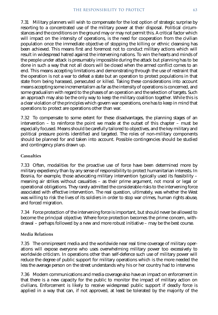7.31 Military planners will wish to compensate for the lost option of strategic surprise by resorting to a concentrated use of the military power at their disposal. Political circumstances and the conditions on the ground may or may not permit this. A critical factor which will impact on the intensity of operations, is the need for cooperation from the civilian population once the immediate objective of stopping the killing or ethnic cleansing has been achieved. This means first and foremost not to conduct military actions which will result in widespread hatred against the intervening nations. To win the hearts and minds of the people under attack is presumably impossible during the attack but planning has to be done in such a way that not all doors will be closed when the armed conflict comes to an end. This means accepting limitations and demonstrating through the use of restraint that the operation is not a war to defeat a state but an operation to protect populations in that state from being harassed, persecuted or killed. Taking these considerations into account means accepting some incrementalism as far as the intensity of operations is concerned, and some gradualism with regard to the phases of an operation and the selection of targets. Such an approach may also be the only way to keep the military coalition together. While this is a clear violation of the principles which govern war operations, one has to keep in mind that operations to protect are operations other than war.

7.32 To compensate to some extent for these disadvantages, the planning stages of an intervention – to reinforce the point we made at the outset of this chapter – must be especially focused. Means should be carefully tailored to objectives, and the key military and political pressure points identified and targeted. The roles of non-military components should be planned for and taken into account. Possible contingencies should be studied and contingency plans drawn up.

# **Casualties**

7.33 Often, modalities for the proactive use of force have been determined more by military expediency than by any sense of responsibility to protect humanitarian interests. In Bosnia, for example, those advocating military intervention typically used its feasibility – meaning air strikes without casualties – as their prime argument, not moral or legal or operational obligations. They rarely admitted the considerable risks to the intervening force associated with effective intervention. The real question, ultimately, was whether the West was willing to risk the lives of its soldiers in order to stop war crimes, human rights abuse, and forced migration.

7.34 Force protection of the intervening force is important, but should never be allowed to become the principal objective. Where force protection becomes the prime concern, withdrawal – perhaps followed by a new and more robust initiative – may be the best course.

# **Media Relations**

7.35 The omnipresent media and the worldwide near real time coverage of military operations will expose everyone who uses overwhelming military power too excessively to worldwide criticism. In operations other than self-defence such use of military power will reduce the degree of public support for military operations which is the more needed the less the average person on the street understands why his or her country had to intervene.

7.36 Modern communications and media coverage also have an impact on enforcement in that there is a new capacity for the public to monitor the impact of military action on civilians. Enforcement is likely to receive widespread public support if deadly force is applied in a way that can, if not approved, at least be tolerated by the majority of the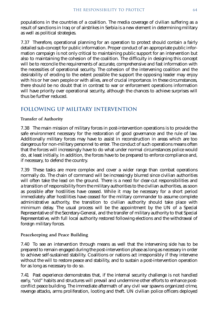populations in the countries of a coalition. The media coverage of civilian suffering as a result of sanctions in Iraq or of airstrikes in Serbia is a new element in determining military as well as political strategies.

7.37 Therefore, operational planning for an operation to protect should contain a fairly detailed sub-concept for public information. Proper conduct of an appropriate public information campaign is not only critical to maintaining public support for an intervention but also to maintaining the cohesion of the coalition. The difficulty in designing this concept will be to reconcile the requirements of accurate, comprehensive and fast information with the necessities of operational security. The cohesion of the intervening coalition and the desirability of eroding to the extent possible the support the opposing leader may enjoy with his or her own people or with allies, are of crucial importance. In these circumstances, there should be no doubt that in contrast to war or enforcement operations information will have priority over operational security, although the chances to achieve surprises will thus be further reduced.

# **FOLLOWING UP MILITARY INTERVENTION**

# **Transfer of Authority**

7.38 The main mission of military forces in post-intervention operations is to provide the safe environment necessary for the restoration of good governance and the rule of law. Additionally military forces may have to assist in reconstruction in areas which are too dangerous for non-military personnel to enter. The conduct of such operations means often that the forces will increasingly have to do what under normal circumstances police would do, at least initially. In addition, the forces have to be prepared to enforce compliance and, if necessary, to defend the country.

7.39 These tasks are more complex and cover a wider range than combat operations normally do. The chain of command will be increasingly blurred since civilian authorities will often take the lead on the ground. There is a need for clear-cut responsibilities and a transition of responsibility from the military authorities to the civilian authorities, as soon as possible after hostilities have ceased. While it may be necessary for a short period immediately after hostilities have ceased for the military commander to assume complete administrative authority, the transition to civilian authority should take place with minimum delay. The usual process will be the appointment by the UN of a Special Representative of the Secretary-General, and the transfer of military authority to that Special Representative, with full local authority restored following elections and the withdrawal of foreign military forces.

# **Peacekeeping and Peace Building**

7.40 To see an intervention through means as well that the intervening side has to be prepared to remain engaged during the post-intervention phase as long as necessary in order to achieve self-sustained stability. Coalitions or nations act irresponsibly if they intervene without the will to restore peace and stability, and to sustain a post-intervention operation for as long as necessary to do so.

7.41 Past experience demonstrates that, if the internal security challenge is not handled early, "old" habits and structures will prevail and undermine other efforts to enhance postconflict peace building. The immediate aftermath of any civil war spawns organized crime, revenge attacks, arms proliferation, looting and theft. UN civilian police officers deployed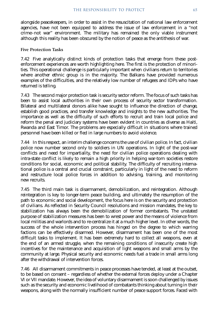alongside peacekeepers, in order to assist in the resuscitation of national law enforcement agencies, have not been equipped to address the issue of law enforcement in a "not crime–not war" environment. The military has remained the only viable instrument although this reality has been obscured by the notion of peace as the antithesis of war.

## **Five Protection Tasks**

7.42 Five analytically distinct kinds of protection tasks that emerge from these postenforcement experiences are worth highlighting here. The first is the protection of minorities. This operational challenge is particularly important when civilians return to territories where another ethnic group is in the majority. The Balkans have provided numerous examples of the difficulties, and the relatively low number of refugees and IDPs who have returned is telling.

7.43 The second major protection task is security sector reform. The focus of such tasks has been to assist local authorities in their own process of security sector transformation. Bilateral and multilateral donors alike have sought to influence the direction of change, establish good practices, and transfer knowledge and insights to the new authorities. The importance as well as the difficulty of such efforts to recruit and train local police and reform the penal and judiciary systems have been evident in countries as diverse as Haiti, Rwanda and East Timor. The problems are especially difficult in situations where trained personnel have been killed or fled in large numbers to avoid violence.

7.44 In this respect, an interim challenge concerns the use of civilian police. In fact, civilian police now number second only to soldiers in UN operations. In light of the post-war conflicts and need for impartiality, the need for civilian police operations dealing with intra-state conflict is likely to remain a high priority in helping war-torn societies restore conditions for social, economic and political stability. The difficulty of recruiting international police is a central and crucial constraint, particularly in light of the need to reform and restructure local police forces in addition to advising, training, and monitoring new recruits.

7.45 The third main task is disarmament, demobilization, and reintegration. Although reintegration is key to longer-term peace building, and ultimately the resumption of the path to economic and social development, the focus here is on the security and protection of civilians. As reflected in Security Council resolutions and mission mandates, the key to stabilization has always been the demobilization of former combatants. The unstated purpose of stabilization measures has been to wrest power and the means of violence from local militias and warlords and to re-centralize it at a much higher level. In other words, the success of the whole intervention process has hinged on the degree to which warring factions can be effectively disarmed. However, disarmament has been one of the most difficult tasks to implement. It has been extremely hard to collect all weapons, even at the end of an armed struggle, when the remaining conditions of insecurity create high incentives for the maintenance and acquisition of light weapons and small arms by the community at large. Physical security and economic needs fuel a trade in small arms long after the withdrawal of intervention forces.

7.46 All disarmament commitments in peace processes have tended, at least at the outset, to be based on consent – regardless of whether the external forces deploy under a Chapter VI or VII mandate. However, the idea of voluntary disarmament is soon challenged by issues such as the security and economic livelihood of combatants thinking about turning in their weapons, along with the normally insufficient number of peace support forces. Faced with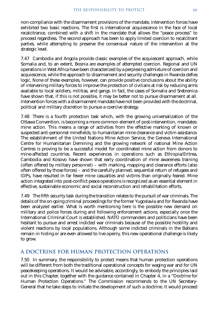non-compliance with the disarmament provisions of the mandate, intervention forces have exhibited two basic reactions. The first is international acquiescence in the face of local recalcitrance, combined with a shift in the mandate that allows the "peace process" to proceed regardless. The second approach has been to apply limited coercion to recalcitrant parties, while attempting to preserve the consensual nature of the intervention at the strategic level.

7.47 Cambodia and Angola provide classic examples of the acquiescent approach, while Somalia and, to an extent, Bosnia are examples of attempted coercion. Regional and UN operations in West Africa have been characterized by a perplexing admixture of coercion and acquiescence, while the approach to disarmament and security challenges in Rwanda defies logic. None of these examples, however, can provide positive conclusions about the ability of intervening military forces to improve the protection of civilians at risk by reducing arms available to local soldiers, militias, and gangs. In fact, the cases of Somalia and Srebrenica have shown that, if this is not possible, it may be better not to pursue disarmament at all. Intervention forces with a disarmament mandate have not been provided with the doctrinal, political and military discretion to pursue a coercive strategy.

7.48 There is a fourth protection task which, with the growing universalization of the Ottawa Convention, is becoming a more common element of post-intervention, mandates: mine action. This means a range of activities from the effective marking of known or suspected anti-personnel minefields, to humanitarian mine clearance and victim assistance. The establishment of the United Nations Mine Action Service, the Geneva International Centre for Humanitarian Demining and the growing network of national Mine Action Centres is proving to be a successful model for coordinated mine action from donors to mine-affected countries. Recent experiences in operations such as Ethiopia/Eritrea, Cambodia and Kosovo have shown that early coordination of mine awareness training (often offered by military personnel) – with marking, mapping and clearance efforts (also often offered by those forces) – and the carefully planned, sequential return of refugees and IDPs, have resulted in far fewer mine casualties and victims than originally feared. Mine action integrated into post-conflict peace operations is recognized as an essential element in effective, sustainable economic and social reconstruction and rehabilitation efforts.

7.49 The fifth security task during the transition relates to the pursuit of war criminals. The details of the on-going criminal proceedings for the former Yugoslavia and for Rwanda have been analyzed earlier. What is worth mentioning here is the possible new demand on military and police forces during and following enforcement actions, especially once the International Criminal Court is established. NATO commanders and politicians have been hesitant to pursue and arrest indicted war criminals because of the possible hostility and violent reactions by local populations. Although some indicted criminals in the Balkans remain in hiding or are even allowed to live openly, this new operational challenge is likely to grow.

# **A DOCTRINE FOR HUMAN PROTECTION OPERATIONS**

7.50 In summary, the responsibility to protect means that human protection operations will be different from both the traditional operational concepts for waging war and for UN peacekeeping operations. It would be advisable, accordingly, to embody the principles laid out in this Chapter, together with the guidance contained in Chapter 4, in a "Doctrine for Human Protection Operations." The Commission recommends to the UN Secretary-General that he take steps to initiate the development of such a doctrine. It would proceed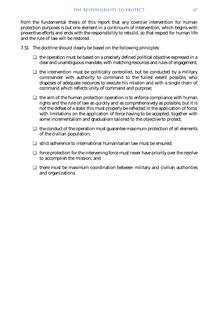from the fundamental thesis of this report that any coercive intervention for human protection purposes is but one element in a continuum of intervention, which begins with preventive efforts and ends with the responsibility to rebuild, so that respect for human life and the rule of law will be restored.

- 7.51 The doctrine should clearly be based on the following principles:
	- ❏ the operation must be based on a precisely defined political objective expressed in a clear and unambiguous mandate, with matching resources and rules of engagement;
	- $\Box$  the intervention must be politically controlled, but be conducted by a military commander with authority to command to the fullest extent possible, who disposes of adequate resources to execute his mission and with a single chain of command which reflects unity of command and purpose;
	- ❏ the aim of the human protection operation is to enforce compliance with human rights and the rule of law as quickly and as comprehensively as possible, but it is not the defeat of a state; this must properly be reflected in the application of force, with limitations on the application of force having to be accepted, together with some incrementalism and gradualism tailored to the objective to protect;
	- ❏ the conduct of the operation must guarantee maximum protection of all elements of the civilian population;
	- ❏ strict adherence to international humanitarian law must be ensured;
	- ❏ force protection for the intervening force must never have priority over the resolve to accomplish the mission; and
	- ❏ there must be maximum coordination between military and civilian authorities and organizations.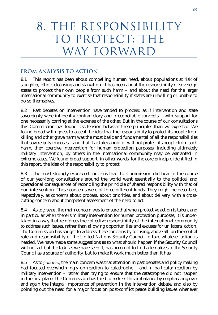# 8. THE RESPONSIBILITY TO PROTECT: THE WAY FORWARD

# **FROM ANALYSIS TO ACTION**

8.1 This report has been about compelling human need, about populations at risk of slaughter, ethnic cleansing and starvation. It has been about the responsibility of sovereign states to protect their own people from such harm – and about the need for the larger international community to exercise that responsibility if states are unwilling or unable to do so themselves.

8.2 Past debates on intervention have tended to proceed as if intervention and state sovereignty were inherently contradictory and irreconcilable concepts – with support for one necessarily coming at the expense of the other. But in the course of our consultations this Commission has found less tension between these principles than we expected. We found broad willingness to accept the idea that the responsibility to protect its people from killing and other grave harm was the most basic and fundamental of all the responsibilities that sovereignty imposes – and that if a state cannot or will not protect its people from such harm, then coercive intervention for human protection purposes, including ultimately military intervention, by others in the international community may be warranted in extreme cases. We found broad support, in other words, for the core principle identified in this report, the idea of the responsibility to protect.

8.3 The most strongly expressed concerns that the Commission did hear in the course of our year-long consultations around the world went essentially to the political and operational consequences of reconciling the principle of shared responsibility with that of non-intervention. These concerns were of three different kinds. They might be described, respectively, as concerns about process, about priorities, and about delivery, with a crosscutting concern about competent assessment of the need to act.

8.4 As to *process*, the main concern was to ensure that when protective action is taken, and in particular when there is military intervention for human protection purposes, it is undertaken in a way that reinforces the collective responsibility of the international community to address such issues, rather than allowing opportunities and excuses for unilateral action. The Commission has sought to address these concerns by focusing, above all, on the central role and responsibility of the United Nations Security Council to take whatever action is needed. We have made some suggestions as to what should happen if the Security Council will not act but the task, as we have seen it, has been not to find alternatives to the Security Council as a source of authority, but to make it work much better than it has.

8.5 As to *priorities*, the main concern was that attention in past debates and policy making had focused overwhelmingly on reaction to catastrophe – and in particular reaction by military intervention – rather than trying to ensure that the catastrophe did not happen in the first place. The Commission has tried to redress this imbalance by emphasizing over and again the integral importance of prevention in the intervention debate, and also by pointing out the need for a major focus on post-conflict peace building issues whenever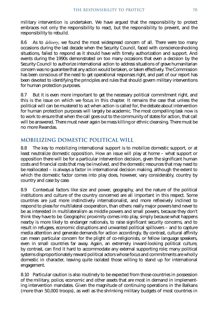military intervention is undertaken. We have argued that the responsibility to protect embraces not only the responsibility to react, but the responsibility to prevent, and the responsibility to rebuild.

8.6 As to *delivery*, we found the most widespread concern of all. There were too many occasions during the last decade when the Security Council, faced with conscience-shocking situations, failed to respond as it should have with timely authorization and support. And events during the 1990s demonstrated on too many occasions that even a decision by the Security Council to authorize international action to address situations of grave humanitarian concern was no guarantee that any action would be taken, or taken effectively. The Commission has been conscious of the need to get operational responses right, and part of our report has been devoted to identifying the principles and rules that should govern military interventions for human protection purposes.

8.7 But it is even more important to get the necessary political commitment right, and this is the issue on which we focus in this chapter. It remains the case that unless the political will can be mustered to act when action is called for, the debate about intervention for human protection purposes will largely be academic. The most compelling task now is to work to ensure that when the call goes out to the community of states for action, that call will be answered. There must never again be mass killing or ethnic cleansing. There must be no more Rwandas.

# **MOBILIZING DOMESTIC POLITICAL WILL**

8.8 The key to mobilizing international support is to mobilize domestic support, or at least neutralize domestic opposition. How an issue will play at home – what support or opposition there will be for a particular intervention decision, given the significant human costs and financial costs that may be involved, and the domestic resources that may need to be reallocated – is always a factor in international decision making, although the extent to which the domestic factor comes into play does, however, vary considerably, country by country and case by case.

8.9 Contextual factors like size and power, geography, and the nature of the political institutions and culture of the country concerned are all important in this respect. Some countries are just more instinctively internationalist, and more reflexively inclined to respond to pleas for multilateral cooperation, than others: really major powers tend never to be as interested in multilateralism as middle powers and small powers, because they don't think they have to be. Geographic proximity comes into play, simply because what happens nearby is more likely to endanger nationals, to raise significant security concerns, and to result in refugees, economic disruptions and unwanted political spillovers – and to capture media attention and generate demands for action accordingly. By contrast, cultural affinity can mean particular concern for the plight of co-religionists, or fellow language speakers, even in small countries far away. Again, an extremely inward-looking political culture, by contrast, can find it hard to accommodate any external supporting role; many political systems disproportionately reward political actors whose focus and commitments are wholly domestic in character, leaving quite isolated those willing to stand up for international engagement.

8.10 Particular caution is also routinely to be expected from those countries in possession of the military, police, economic and other assets that are most in demand in implementing intervention mandates. Given the magnitude of continuing operations in the Balkans (more than 50,000 troops), as well as the shrinking military budgets of most countries in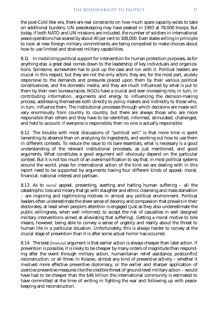the post-Cold War era, there are real constraints on how much spare capacity exists to take on additional burdens. UN peacekeeping may have peaked in 1993 at 78,000 troops. But today, if both NATO and UN missions are included, the number of soldiers in international peace operations has soared by about 40 per cent to 108,000. Even states willing in principle to look at new foreign military commitments are being compelled to make choices about how to use limited and strained military capabilities.

8.11 In mobilizing political support for intervention for human protection purposes, as for anything else, a great deal comes down to the leadership of key individuals and organizations. Someone, somewhere has to pick up the case and run with it. Political leaders are crucial in this respect, but they are not the only actors: they are, for the most part, acutely responsive to the demands and pressures placed upon them by their various political constituencies, and the domestic media, and they are much influenced by what is put to them by their own bureaucracies. NGOs have a crucial and ever increasing role, in turn, in contributing information, arguments and energy to influencing the decision-making process, addressing themselves both directly to policy makers and indirectly to those who, in turn, influence them. The institutional processes through which decisions are made will vary enormously from country to country, but there are always those who are more responsible than others and they have to be identified, informed, stimulated, challenged, and held to account: if everyone is responsible, then no one is actually responsible.

8.12 The trouble with most discussions of "political will" is that more time is spent lamenting its absence than on analyzing its ingredients, and working out how to use them in different contexts. To reduce the issue to its bare essentials, what is necessary is a good understanding of the relevant institutional processes, as just mentioned, and good arguments. What constitutes a good argument will obviously depend on the particular context. But it is not too much of an oversimplification to say that, in most political systems around the world, pleas for international action of the kind we are dealing with in this report need to be supported by arguments having four different kinds of appeal: moral, financial, national interest and partisan.

8.13 As to *moral* appeal, preventing, averting and halting human suffering – all the catastrophic loss and misery that go with slaughter and ethnic cleansing and mass starvation – are inspiring and legitimizing motives in almost any political environment. Political leaders often underestimate the sheer sense of decency and compassion that prevails in their electorates, at least when people's attention is engaged (just as they also underestimate the public willingness, when well informed, to accept the risk of casualties in well designed military interventions aimed at alleviating that suffering). Getting a moral motive to bite means, however, being able to convey a sense of urgency and reality about the threat to human life in a particular situation. Unfortunately, this is always harder to convey at the crucial stage of prevention than it is after some actual horror has occurred.

8.14 The best *financial* argument is that earlier action is always cheaper than later action. If prevention is possible, it is likely to be cheaper by many orders of magnitude than responding after the event through military action, humanitarian relief assistance, postconflict reconstruction, or all three. In Kosovo, almost any kind of preventive activity – whether it involved more effective preventive diplomacy, or the earlier and sharper application of coercive preventive measures like the credible threat of ground-level military action – would have had to be cheaper than the \$46 billion the international community is estimated to have committed at the time of writing in fighting the war and following up with peacekeeping and reconstruction.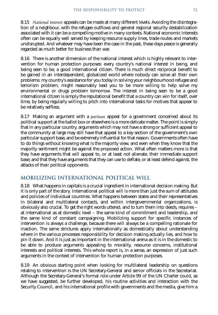8.15 *National interest* appeals can be made at many different levels. Avoiding the disintegration of a neighbour, with the refugee outflows and general regional security destabilization associated with it can be a compelling motive in many contexts. National economic interests often can be equally well served by keeping resource supply lines, trade routes and markets undisrupted. And whatever may have been the case in the past, these days peace is generally regarded as much better for business than war.

8.16 There is another dimension of the national interest which is highly relevant to intervention for human protection purposes: every country's national interest in being, and being seen to be, a good international citizen. There is much direct reciprocal benefit to be gained in an interdependent, globalized world where nobody can solve all their own problems: my country's assistance for you today in solving your neighbourhood refugee and terrorism problem, might reasonably lead you to be more willing to help solve my environmental or drugs problem tomorrow. The interest in being seen to be a good international citizen is simply the reputational benefit that a country can win for itself, over time, by being regularly willing to pitch into international tasks for motives that appear to be relatively selfless.

8.17 Making an argument with a *partisan* appeal for a government concerned about its political support at the ballot box or elsewhere is a more delicate matter. The point is simply that in any particular country, arguments which may not have a strong or sufficient appeal to the community at large may still have that appeal to a key section of the government's own particular support base, and be extremely influential for that reason. Governments often have to do things without knowing what is the majority view, and even when they know that the majority sentiment might be against the proposed action. What often matters more is that they have arguments that will appeal to, or at least not alienate, their immediate support base; and that they have arguments that they can use to deflate, or at least defend against, the attacks of their political opponents.

# **MOBILIZING INTERNATIONAL POLITICAL WILL**

8.18 What happens in capitals is a crucial ingredient in international decision making. But it is only part of the story. International political will is more than just the sum of attitudes and policies of individual countries. What happens between states and their representatives in bilateral and multilateral contacts, and within intergovernmental organizations, is obviously also crucial. To get the right words uttered, and to turn them into deeds, requires – at international as at domestic level – the same kind of commitment and leadership, and the same kind of constant campaigning. Mobilizing support for specific instances of intervention is always a challenge, because there will always be a compelling rationale for inaction. The same strictures apply internationally as domestically about understanding where in the various processes responsibility for decision making actually lies, and how to pin it down. And it is just as important in the international arena as it is in the domestic to be able to produce arguments appealing to morality, resource concerns, institutional interests and political interests. This whole report is, in a sense, an expression of just such arguments in the context of intervention for human protection purposes.

8.19 An obvious starting point when looking for multilateral leadership on questions relating to intervention is the UN Secretary-General and senior officials in the Secretariat. Although the Secretary-General's formal role under Article 99 of the UN Charter could, as we have suggested, be further developed, his routine activities and interaction with the Security Council, and his international profile with governments and the media, give him a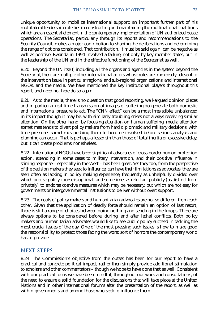unique opportunity to mobilize international support; an important further part of his multilateral leadership role lies in constructing and maintaining the multinational coalitions which are an essential element in the contemporary implementation of UN-authorized peace operations. The Secretariat, particularly through its reports and recommendations to the Security Council, makes a major contribution to shaping the deliberations and determining the range of options considered. That contribution, it must be said again, can be negative as well as positive: Rwanda in 1994 involved a failure, not only by key member states, but in the leadership of the UN and in the effective functioning of the Secretariat as well.

8.20 Beyond the UN itself, including all the organs and agencies in the system beyond the Secretariat, there are multiple other international actors whose roles are immensely relevant to the intervention issue, in particular regional and sub-regional organizations, and international NGOs, and the media. We have mentioned the key institutional players throughout this report, and need not here do so again.

8.21 As to the media, there is no question that good reporting, well-argued opinion pieces and in particular real time transmission of images of suffering do generate both domestic and international pressure to act. The "CNN effect" can be almost irresistible, unbalanced in its impact though it may be, with similarly troubling crises not always receiving similar attention. On the other hand, by focusing attention on human suffering, media attention sometimes tends to divert policy makers from hard diplomatic and military decisions, with time pressures sometimes pushing them to become involved before serious analysis and planning can occur. That is perhaps a lesser sin than those of total inertia or excessive delay, but it can create problems nonetheless.

8.22 International NGOs have been significant advocates of cross-border human protection action, extending in some cases to military intervention, and their positive influence in stirring response – especially in the West – has been great. Yet they too, from the perspective of the decision makers they seek to influence, can have their limitations as advocates: they are seen often as lacking in policy making experience, frequently as unhelpfully divided over which precise policy course is optimal, and sometimes as reluctant publicly (as distinct from privately) to endorse coercive measures which may be necessary, but which are not easy for governments or intergovernmental institutions to deliver without overt support.

8.23 The goals of policy makers and humanitarian advocates are not so different from each other. Given that the application of deadly force should remain an option of last resort, there is still a range of choices between doing nothing and sending in the troops. There are always options to be considered before, during, and after lethal conflicts. Both policy makers and humanitarian advocates would like to see public policy succeed in tackling the most crucial issues of the day. One of the most pressing such issues is how to make good the responsibility to protect those facing the worst sort of horrors the contemporary world has to provide.

# **NEXT STEPS**

8.24 The Commission's objective from the outset has been for our report to have a practical and concrete political impact, rather then simply provide additional stimulation to scholars and other commentators – though we hope to have done that as well. Consistent with our practical focus we have been mindful, throughout our work and consultations, of the need to ensure a solid foundation for the discussions that will take place at the United Nations and in other international forums after the presentation of the report, as well as within governments and among those who seek to influence them.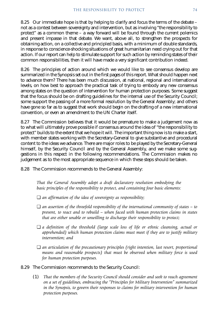8.25 Our immediate hope is that by helping to clarify and focus the terms of the debate – not as a contest between sovereignty and intervention, but as involving "the responsibility to protect" as a common theme – a way forward will be found through the current polemics and present impasse in that debate. We want, above all, to strengthen the prospects for obtaining action, on a collective and principled basis, with a minimum of double standards, in response to conscience-shocking situations of great humanitarian need crying out for that action. If our report can help to stimulate support for such action by reminding states of their common responsibilities, then it will have made a very significant contribution indeed.

8.26 The principles of action around which we would like to see consensus develop are summarized in the Synopsis set out in the first pages of this report. What should happen next to advance them? There has been much discussion, at national, regional and international levels, on how best to approach the practical task of trying to embody any new consensus among states on the question of intervention for human protection purposes. Some suggest that the focus should be on drafting guidelines for the internal use of the Security Council; some support the passing of a more formal resolution by the General Assembly; and others have gone so far as to suggest that work should begin on the drafting of a new international convention, or even an amendment to the UN Charter itself.

8.27 The Commission believes that it would be premature to make a judgement now as to what will ultimately prove possible if consensus around the idea of "the responsibility to protect" builds to the extent that we hope it will. The important thing now is to make a start, with member states working with the Secretary-General to give substantive and procedural content to the ideas we advance. There are major roles to be played by the Secretary-General himself, by the Security Council and by the General Assembly, and we make some suggestions in this respect in the following recommendations. The Commission makes no judgement as to the most appropriate sequence in which these steps should be taken.

8.28 The Commission recommends to the General Assembly:

*That the General Assembly adopt a draft declaratory resolution embodying the basic principles of the responsibility to protect, and containing four basic elements:*

- ❏ *an affirmation of the idea of sovereignty as responsibility;*
- ❏ *an assertion of the threefold responsibility of the international community of states to prevent, to react and to rebuild – when faced with human protection claims in states that are either unable or unwilling to discharge their responsibility to protect;*
- ❏ *a definition of the threshold (large scale loss of life or ethnic cleansing, actual or apprehended) which human protection claims must meet if they are to justify military intervention; and*
- ❏ *an articulation of the precautionary principles (right intention, last resort, proportional means and reasonable prospects) that must be observed when military force is used for human protection purposes.*

# 8.29 The Commission recommends to the Security Council:

(1) *That the members of the Security Council should consider and seek to reach agreement on a set of guidelines, embracing the "Principles for Military Intervention" summarized in the Synopsis, to govern their responses to claims for military intervention for human protection purposes.*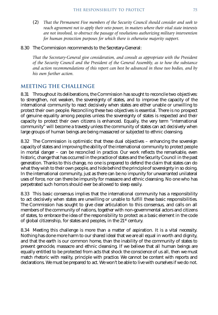(2) *That the Permanent Five members of the Security Council should consider and seek to reach agreement not to apply their veto power, in matters where their vital state interests are not involved, to obstruct the passage of resolutions authorizing military intervention for human protection purposes for which there is otherwise majority support.*

# 8.30 The Commission recommends to the Secretary-General:

*That the Secretary-General give consideration, and consult as appropriate with the President of the Security Council and the President of the General Assembly, as to how the substance and action recommendations of this report can best be advanced in those two bodies, and by his own further action.*

# **MEETING THE CHALLENGE**

8.31 Throughout its deliberations, the Commission has sought to reconcile two objectives: to strengthen, not weaken, the sovereignty of states, and to improve the capacity of the international community to react decisively when states are either unable or unwilling to protect their own people. Reconciling these two objectives is essential. There is no prospect of genuine equality among peoples unless the sovereignty of states is respected and their capacity to protect their own citizens is enhanced. Equally, the very term "international community" will become a travesty unless the community of states can act decisively when large groups of human beings are being massacred or subjected to ethnic cleansing.

8.32 The Commission is optimistic that these dual objectives – enhancing the sovereign capacity of states and improving the ability of the international community to protect people in mortal danger – can be reconciled in practice. Our work reflects the remarkable, even historic, change that has occurred in the practice of states and the Security Council in the past generation. Thanks to this change, no one is prepared to defend the claim that states can do what they wish to their own people, and hide behind the principle of sovereignty in so doing. In the international community, just as there can be no impunity for unwarranted unilateral uses of force, nor can there be impunity for massacre and ethnic cleansing. No one who has perpetrated such horrors should ever be allowed to sleep easily.

8.33 This basic consensus implies that the international community has a responsibility to act decisively when states are unwilling or unable to fulfill these basic responsibilities. The Commission has sought to give clear articulation to this consensus, and calls on all members of the community of nations, together with non-governmental actors and citizens of states, to embrace the idea of the responsibility to protect as a basic element in the code of global citizenship, for states and peoples, in the 21<sup>st</sup> century.

8.34 Meeting this challenge is more than a matter of aspiration. It is a vital necessity. Nothing has done more harm to our shared ideal that we are all equal in worth and dignity, and that the earth is our common home, than the inability of the community of states to prevent genocide, massacre and ethnic cleansing. If we believe that all human beings are equally entitled to be protected from acts that shock the conscience of us all, then we must match rhetoric with reality, principle with practice. We cannot be content with reports and declarations. We must be prepared to act. We won't be able to live with ourselves if we do not.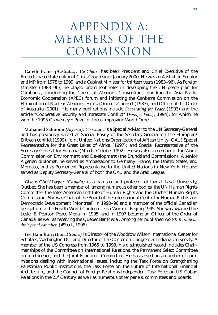# Appendix A: Members of the **COMMISSION**

**Gareth Evans** *(Australia), Co-Chair*, has been President and Chief Executive of the Brussels-based International Crisis Group since January 2000. He was an Australian Senator and MP from 1978 to 1999, and a Cabinet Minister for thirteen years (1983–96). As Foreign Minister (1988–96), he played prominent roles in developing the UN peace plan for Cambodia, concluding the Chemical Weapons Convention, founding the Asia Pacific Economic Cooperation (APEC) forum and initiating the Canberra Commission on the Elimination of Nuclear Weapons. He is a Queen's Counsel (1983), and Officer of the Order of Australia (2001). His many publications include *Cooperating for Peace* (1993) and the article "Cooperative Security and Intrastate Conflict" (*Foreign Policy*, 1994), for which he won the 1995 Grawemeyer Prize for Ideas Improving World Order.

**Mohamed Sahnoun** *(Algeria), Co-Chair*, is a Special Advisor to the UN Secretary-General and has previously served as Special Envoy of the Secretary-General on the Ethiopian/ Eritrean conflict (1999); Joint United Nations/Organization of African Unity (OAU) Special Representative for the Great Lakes of Africa (1997); and Special Representative of the Secretary-General for Somalia (March–October 1992). He was also a member of the World Commission on Environment and Development (the Brundtland Commission). A senior Algerian diplomat, he served as Ambassador to Germany, France, the United States, and Morocco, and as Permanent Representative to the United Nations in New York. He also served as Deputy Secretary-General of both the OAU and the Arab League.

**Gisèle Côté-Harper** *(Canada)* is a barrister and professor of law at Laval University, Quebec. She has been a member of, among numerous other bodies, the UN Human Rights Committee, the Inter-American Institute of Human Rights and the Quebec Human Rights Commission. She was Chair of the Board of the International Centre for Human Rights and Democratic Development (Montreal) in 1990–96 and a member of the official Canadian delegation to the Fourth World Conference on Women, Beijing 1995. She was awarded the Lester B. Pearson Peace Medal in 1995, and in 1997 became an Officer of the Order of Canada, as well as receiving the Quebec Bar Medal. Among her published works is *Traité de droit pénal canadien* (4th ed., 1998).

**Lee Hamilton** *(United States)* is Director of the Woodrow Wilson International Center for Scholars, Washington DC, and Director of the Center on Congress at Indiana University. A member of the US Congress from 1965 to 1999, his distinguished record includes Chairmanships of the Committee on International Relations, the Permanent Select Committee on Intelligence, and the Joint Economic Committee. He has served on a number of commissions dealing with international issues, including the Task Force on Strengthening Palestinian Public Institutions, the Task Force on the Future of International Financial Architecture, and the Council of Foreign Relations Independent Task Force on US–Cuban Relations in the 21<sup>st</sup> Century, as well as numerous other panels, committees and boards.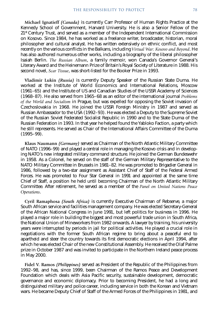**Michael Ignatieff** *(Canada)* is currently Carr Professor of Human Rights Practice at the Kennedy School of Government, Harvard University. He is also a Senior Fellow of the 21st Century Trust, and served as a member of the Independent International Commission on Kosovo. Since 1984, he has worked as a freelance writer, broadcaster, historian, moral philosopher and cultural analyst. He has written extensively on ethnic conflict, and most recently on the various conflicts in the Balkans, including *Virtual War: Kosovo and Beyond*. He has also authored numerous other works, including a biography of the liberal philosopher Isaiah Berlin. *The Russian Album*, a family memoir, won Canada's Governor General's Literary Award and the Heinemann Prize of Britain's Royal Society of Literature in 1988. His second novel, *Scar Tissue*, was short-listed for the Booker Prize in 1993.

**Vladimir Lukin** *(Russia)* is currently Deputy Speaker of the Russian State Duma. He worked at the Institute of World Economics and International Relations, Moscow (1961–65) and the Institute of US and Canadian Studies of the USSR Academy of Sciences (1968–87). He also served from 1965–68 as an editor of the international journal *Problems of the World and Socialism* in Prague, but was expelled for opposing the Soviet invasion of Czechoslovakia in 1968. He joined the USSR Foreign Ministry in 1987 and served as Russian Ambassador to the USA (1992–93). He was elected a Deputy to the Supreme Soviet of the Russian Soviet Federated Socialist Republic in 1990 and to the State Duma of the Russian Federation in 1993. In that year he helped found the Yabloko Faction, a party which he still represents. He served as Chair of the International Affairs Committee of the Duma (1995–99).

**Klaus Naumann** *(Germany)* served as Chairman of the North Atlantic Military Committee of NATO (1996–99) and played a central role in managing the Kosovo crisis and in developing NATO's new integrated military command structure. He joined the German Bundeswehr in 1958. As a Colonel, he served on the staff of the German Military Representative to the NATO Military Committee in Brussels in 1981–82. He was promoted to Brigadier General in 1986, followed by a two-star assignment as Assistant Chief of Staff of the Federal Armed Forces. He was promoted to Four Star General in 1991 and appointed at the same time Chief of Staff, a position he held until becoming Chairman of the North Atlantic Military Committee. After retirement, he served as a member of the *Panel on United Nations Peace Operations*.

**Cyril Ramaphosa** *(South Africa)* is currently Executive Chairman of Rebserve, a major South African service and facilities management company. He was elected Secretary-General of the African National Congress in June 1991, but left politics for business in 1996. He played a major role in building the biggest and most powerful trade union in South Africa, the National Union of Mineworkers from 1982 onwards. A lawyer by training, his university years were interrupted by periods in jail for political activities. He played a crucial role in negotiations with the former South African regime to bring about a peaceful end to apartheid and steer the country towards its first democratic elections in April 1994, after which he was elected Chair of the new Constitutional Assembly. He received the Olaf Palme prize in October 1987 and was invited to participate in the Northern Ireland peace process in May 2000.

**Fidel V. Ramos** *(Philippines)* served as President of the Republic of the Philippines from 1992–98, and has, since 1999, been Chairman of the Ramos Peace and Development Foundation which deals with Asia Pacific security, sustainable development, democratic governance and economic diplomacy. Prior to becoming President, he had a long and distinguished military and police career, including service in both the Korean and Vietnam wars. He became Deputy Chief of Staff of the Armed Forces of the Philippines in 1981, and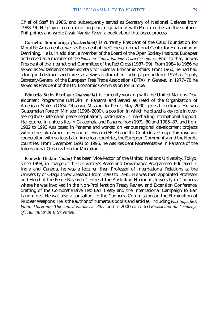Chief of Staff in 1986, and subsequently served as Secretary of National Defense from 1988–91. He played a central role in peace negotiations with Muslim rebels in the southern Philippines and wrote *Break Not the Peace*, a book about that peace process.

**Cornelio Sommaruga** *(Switzerland)* is currently President of the Caux Foundation for Moral Re-Armament as well as President of the Geneva International Centre for Humanitarian Demining. He is, in addition, a member of the Board of the Open Society Institute, Budapest and served as a member of the *Panel on United Nations Peace Operations*. Prior to that, he was President of the International Committee of the Red Cross (1987–99). From 1984 to 1986 he served as Switzerland's State Secretary for External Economic Affairs. From 1960, he had had a long and distinguished career as a Swiss diplomat, including a period from 1973 as Deputy Secretary-General of the European Free Trade Association (EFTA) in Geneva. In 1977–78 he served as President of the UN Economic Commission for Europe.

**Eduardo Stein Barillas** *(Guatemala)* is currently working with the United Nations Development Programme (UNDP) in Panama and served as Head of the Organization of American States (OAS) Observer Mission to Peru's May 2000 general elections. He was Guatemalan Foreign Minister (1996–2000), a position in which he played a key role in overseeing the Guatemalan peace negotiations, particularly in marshalling international support. He lectured in universities in Guatemala and Panama from 1971–80 and 1985–87, and from 1982 to 1993 was based in Panama and worked on various regional development projects within the Latin American Economic System (SELA) and the Contadora Group. This involved cooperation with various Latin American countries, the European Community and the Nordic countries. From December 1993 to 1995, he was Resident Representative in Panama of the International Organization for Migration.

**Ramesh Thakur** *(India)* has been Vice-Rector of the United Nations University, Tokyo, since 1998, in charge of the University's Peace and Governance Programme. Educated in India and Canada, he was a lecturer, then Professor of International Relations at the University of Otago (New Zealand) from 1980 to 1995. He was then appointed Professor and Head of the Peace Research Centre at the Australian National University in Canberra where he was involved in the Non-Proliferation Treaty Review and Extension Conference, drafting of the Comprehensive Test Ban Treaty and the International Campaign to Ban Landmines. He was also a consultant to the Canberra Commission on the Elimination of Nuclear Weapons. He is the author of numerous books and articles, including *Past Imperfect, Future Uncertain: The United Nations at Fifty*, and in 2000 co-edited *Kosovo and the Challenge of Humanitarian Intervention.*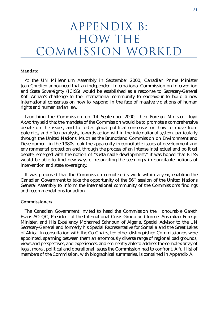# Appendix B: How the Commission Worked

## **Mandate**

At the UN Millennium Assembly in September 2000, Canadian Prime Minister Jean Chrétien announced that an independent International Commission on Intervention and State Sovereignty (ICISS) would be established as a response to Secretary-General Kofi Annan's challenge to the international community to endeavour to build a new international consensus on how to respond in the face of massive violations of human rights and humanitarian law.

Launching the Commission on 14 September 2000, then Foreign Minister Lloyd Axworthy said that the mandate of the Commission would be to promote a comprehensive debate on the issues, and to foster global political consensus on how to move from polemics, and often paralysis, towards action within the international system, particularly through the United Nations. Much as the Brundtland Commission on Environment and Development in the 1980s took the apparently irreconcilable issues of development and environmental protection and, through the process of an intense intellectual and political debate, emerged with the notion of "sustainable development," it was hoped that ICISS would be able to find new ways of reconciling the seemingly irreconcilable notions of intervention and state sovereignty.

It was proposed that the Commission complete its work within a year, enabling the Canadian Government to take the opportunity of the 56<sup>th</sup> session of the United Nations General Assembly to inform the international community of the Commission's findings and recommendations for action.

## **Commissioners**

The Canadian Government invited to head the Commission the Honourable Gareth Evans AO QC, President of the International Crisis Group and former Australian Foreign Minister, and His Excellency Mohamed Sahnoun of Algeria, Special Advisor to the UN Secretary-General and formerly his Special Representative for Somalia and the Great Lakes of Africa. In consultation with the Co-Chairs, ten other distinguished Commissioners were appointed, spanning between them an enormously diverse range of regional backgrounds, views and perspectives, and experiences, and eminently able to address the complex array of legal, moral, political and operational issues the Commission had to confront. A full list of members of the Commission, with biographical summaries, is contained in Appendix A.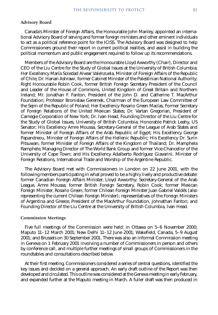## **Advisory Board**

Canada's Minister of Foreign Affairs, the Honourable John Manley, appointed an international Advisory Board of serving and former foreign ministers and other eminent individuals to act as a political reference point for the ICISS. The Advisory Board was designed to help Commissioners ground their report in current political realities, and assist in building the political momentum and public engagement required to follow up its recommendations.

Members of the Advisory Board are the Honourable Lloyd Axworthy (Chair), Director and CEO of the Liu Centre for the Study of Global Issues at the University of British Columbia; Her Excellency María Soledad Alvear Valenzuela, Minister of Foreign Affairs of the Republic of Chile; Dr. Hanan Ashrawi, former Cabinet Minister of the Palestinian National Authority; Right Honourable Robin Cook, former British Foreign Secretary President of the Council and Leader of the House of Commons, United Kingdom of Great Britain and Northern Ireland; Mr. Jonathan F. Fanton, President of the John D. and Catherine T. MacArthur Foundation; Professor Bronisław Geremek, Chairman of the European Law Committee of the Sejm of the Republic of Poland; Her Excellency Rosario Green Macías, Former Secretary of Foreign Relations of the United Mexican States; Dr. Vartan Gregorian, President of Carnegie Corporation of New York; Dr. Ivan Head, Founding Director of the Liu Centre for the Study of Global Issues, University of British Columbia; Honorable Patrick Leahy, US Senator; His Excellency Amre Moussa, Secretary-General of the League of Arab States and former Minister of Foreign Affairs of the Arab Republic of Egypt; His Excellency George Papandreou, Minister of Foreign Affairs of the Hellenic Republic; His Excellency Dr. Surin Pitsuwan, former Minister of Foreign Affairs of the Kingdom of Thailand; Dr. Mamphela Ramphele, Managing Director of The World Bank Group and former Vice-Chancellor of the University of Cape Town; and His Excellency Adalberto Rodríguez Giavarini, Minister of Foreign Relations, International Trade and Worship of the Argentine Republic.

The Advisory Board met with Commissioners in London on 22 June 2001, with the following members participating in what proved to be a highly lively and productive debate: former Canadian Foreign Affairs Minister, Lloyd Axworthy; Secretary-General of the Arab League, Amre Moussa; former British Foreign Secretary, Robin Cook; former Mexican Foreign Minister, Rosario Green; former Chilean Foreign Minister Juan Gabriel Valdés (also representing the current Chilean Foreign Minister); representatives of the Foreign Ministers of Argentina and Greece; President of the MacArthur Foundation, Johnathan Fanton; and Founding Director of the Liu Centre at the University of British Columbia, Ivan Head.

### **Commission Meetings**

Five full meetings of the Commission were held: in Ottawa on 5–6 November 2000; Maputo 11–12 March 2001; New Delhi 11–12 June 2001; Wakefield, Canada, 5–9 August 2001; and Brussels on 30 September 2001. There was also an informal Commission meeting in Geneva on 1 February 2001 involving a number of Commissioners in person and others by conference call, and multiple further meetings of small groups of Commissioners in the roundtables and consultations described below.

At their first meeting, Commissioners considered a series of central questions, identified the key issues and decided on a general approach. An early draft outline of the Report was then developed and circulated. This outline was considered at the Geneva meeting in early February, and expanded further at the Maputo meeting in March. A fuller draft was then produced in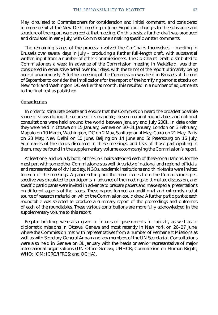May, circulated to Commissioners for consideration and initial comment, and considered in more detail at the New Delhi meeting in June. Significant changes to the substance and structure of the report were agreed at that meeting. On this basis, a further draft was produced and circulated in early July, with Commissioners making specific written comments.

The remaining stages of the process involved the Co-Chairs themselves – meeting in Brussels over several days in July – producing a further full-length draft, with substantial written input from a number of other Commissioners. The Co-Chairs' Draft, distributed to Commissioners a week in advance of the Commission meeting in Wakefield, was then considered in exhaustive detail over four days, with the terms of the report ultimately being agreed unanimously. A further meeting of the Commission was held in Brussels at the end of September to consider the implications for the report of the horrifying terrorist attacks on New York and Washington DC earlier that month: this resulted in a number of adjustments to the final text as published.

## **Consultation**

In order to stimulate debate and ensure that the Commission heard the broadest possible range of views during the course of its mandate, eleven regional roundtables and national consultations were held around the world between January and July 2001. In date order, they were held in Ottawa on 15 January, Geneva on 30–31 January, London on 3 February, Maputo on 10 March, Washington, DC on 2 May, Santiago on 4 May, Cairo on 21 May, Paris on 23 May, New Delhi on 10 June, Beijing on 14 June and St Petersburg on 16 July. Summaries of the issues discussed in these meetings, and lists of those participating in them, may be found in the supplementary volume accompanying the Commission's report.

At least one, and usually both, of the Co-Chairs attended each of these consultations, for the most part with some other Commissioners as well. A variety of national and regional officials, and representatives of civil society, NGOs, academic institutions and think-tanks were invited to each of the meetings. A paper setting out the main issues from the Commission's perspective was circulated to participants in advance of the meetings to stimulate discussion, and specific participants were invited in advance to prepare papers and make special presentations on different aspects of the issues. These papers formed an additional and extremely useful source of research material on which the Commission could draw. A further participant at each roundtable was selected to produce a summary report of the proceedings and outcomes of each of the roundtables. These various contributions are more fully acknowledged in the supplementary volume to this report.

Regular briefings were also given to interested governments in capitals, as well as to diplomatic missions in Ottawa, Geneva and most recently in New York on 26–27 June, where the Commission met with representatives from a number of Permanent Missions as well as with Secretary-General Annan and key members of the UN Secretariat. Consultations were also held in Geneva on 31 January with the heads or senior representative of major international organisations (UN Office Geneva; UNHCR; Commission on Human Rights; WHO; IOM; ICRC/IFRCS; and OCHA).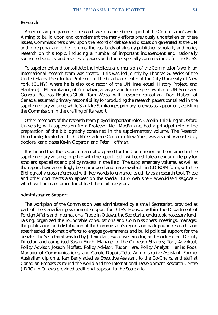## **Research**

An extensive programme of research was organized in support of the Commission's work. Aiming to build upon and complement the many efforts previously undertaken on these issues, Commissioners drew upon the record of debate and discussion generated at the UN and in regional and other forums; the vast body of already published scholarly and policy research on this topic, including a number of important independent and nationally sponsored studies; and a series of papers and studies specially commissioned for the ICISS.

To supplement and consolidate the intellectual dimension of the Commission's work, an international research team was created. This was led jointly by Thomas G. Weiss of the United States, Presidential Professor at The Graduate Center of the City University of New York (CUNY) where he is also co-director of the UN Intellectual History Project, and Stanlake J.T.M. Samkange, of Zimbabwe, a lawyer and former speechwriter to UN Secretary-General Boutros Boutros-Ghali. Tom Weiss, with research consultant Don Hubert of Canada, assumed primary responsibility for producing the research papers contained in the supplementary volume, while Stanlake Samkange's primary role was as rapporteur, assisting the Commission in the drafting of its report.

Other members of the research team played important roles. Carolin Thielking at Oxford University, with supervision from Professor Neil MacFarlane, had a principal role in the preparation of the bibliography contained in the supplementary volume. The Research Directorate, located at the CUNY Graduate Center in New York, was also ably assisted by doctoral candidates Kevin Ozgercin and Peter Hoffman.

It is hoped that the research material prepared for the Commission and contained in the supplementary volume, together with the report itself, will constitute an enduring legacy for scholars, specialists and policy makers in the field. The supplementary volume, as well as the report, have accordingly been produced and made available in CD-ROM form, with the Bibliography cross-referenced with key-words to enhance its utility as a research tool. These and other documents also appear on the special ICISS web site – www.iciss-ciise.gc.ca – which will be maintained for at least the next five years.

### **Administrative Support**

The workplan of the Commission was administered by a small Secretariat, provided as part of the Canadian government support for ICISS. Housed within the Department of Foreign Affairs and International Trade in Ottawa, the Secretariat undertook necessary fundraising, organized the roundtable consultations and Commissioners' meetings, managed the publication and distribution of the Commission's report and background research, and spearheaded diplomatic efforts to engage governments and build political support for the debate. The Secretariat was led by Jill Sinclair, Executive Director, and Heidi Hulan, Deputy Director, and comprised Susan Finch, Manager of the Outreach Strategy; Tony Advokaat, Policy Advisor; Joseph Moffatt, Policy Advisor; Tudor Hera, Policy Analyst; Harriet Roos, Manager of Communications; and Carole Dupuis-Têtu, Administrative Assistant. Former Australian diplomat Ken Berry acted as Executive Assistant to the Co-Chairs, and staff at Canadian Embassies round the world and the International Development Research Centre (IDRC) in Ottawa provided additional support to the Secretariat.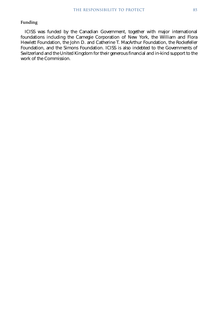## **Funding**

ICISS was funded by the Canadian Government, together with major international foundations including the Carnegie Corporation of New York, the William and Flora Hewlett Foundation, the John D. and Catherine T. MacArthur Foundation, the Rockefeller Foundation, and the Simons Foundation. ICISS is also indebted to the Governments of Switzerland and the United Kingdom for their generous financial and in-kind support to the work of the Commission.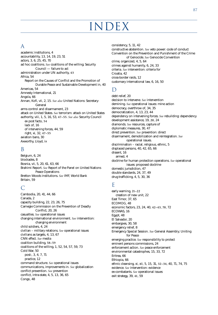# INDEX

# A

academic institutions, 4 accountability, 13, 14, 19, 23, 51 actors, 3, 6, 25, 45, 70 ad hoc coalitions. *See* coalitions of the willing; Security Council — failure to act administration under UN authority, **43** Africa, 54 Report on the Causes of Conflict and the Promotion of Durable Peace and Sustainable Development in, 40 Americas, 54 Amnesty International, 21 Angola, 66 Annan, Kofi, vii, 2, 15. *See also* United Nations: Secretary-General arms control and disarmament, 23 attack on United States. *See* terrorism: attack on United States authority, viii, 1, 5, 16, 53, **47–55**. *See also* Security Council ex post facto, **54** lack of, 16 of intervening forces, 44, 59 right, xi, 32, **47–55** aviation bans, 30 Axworthy, Lloyd, ix

# B

Belgium, 6, 24 blockades, 8 Bosnia, vii, 5, 20, 61, 63, 66 Brahimi Report. *See* Report of the Panel on United Nations Peace Operations Bretton Woods institutions. *See* IMF, World Bank Britain, 59

# $\bigcap$

Cambodia, 20, 41, 44, 66 Canada, 2 capacity building, 22, 23, 26, 75 Carnegie Commission on the Prevention of Deadly Conflict, 20, 26 casualties. *See* operational issues changing international environment. *See* intervention: changing environment child soldiers, 4, 24 civilian – military relations. *See* operational issues civilians as targets, 4, 13, 67 CNN effect. *See* media coalition building, **58–59** coalitions of the willing, 1, 52, 54, 57, 59, 73 Cold War, 50 post-, 3, 4, 7, 71 practice, 12 command structure. *See* operational issues communications, improvements in. *See* globalization conflict prevention. *See* prevention conflict, intra-state, 4, 5, 13, 36, 65 Congo, 48

consistency, 5, 11, 42 constructive abstention. *See* veto power: code of conduct Convention on the Prevention and Punishment of the Crime of Genocide. *See* Genocide Convention crime, organized, 4, 5, 64 crimes against humanity, 6, 24, 33 criteria. *See* intervention: criteria for Croatia, 42 cross-border raids, 12 customary international law, 6, 16, 50

# D

debt relief, 20 decision to intervene. *See* intervention demining. *See* operational issues: mine action democracy, overthrow of, 34, 35 democratization, 4, 13, 23, 44 dependency on intervening forces. *See* rebuilding: dependency development assistance, 19, **20**, 24 diamonds. *See* resources, capture of diplomatic measures, 30, 47 direct prevention. *See* prevention: direct disarmament, demobilization and reintegration. *See* operational issues. discrimination – racial, religious, ethnic, 5 displaced persons, 40, 42, 65, 66 dissent, 16 armed, 4 doctrine for human protection operations. *See* operational issues: proposed doctrine domestic jurisdiction, 47 double standards, 24, 37, 49 drug trafficking, 4, 5, 30, 36

# E

early warning, **21–22** creation of new unit, 22 East Timor, 37, 65 ECOMOG, 48 economic factors, 23, 24, 40, **42–43**, **70**, 72 ECOWAS, 16 Egypt, 48 El Salvador, 20 embargoes, 30, 58 emergency relief, 8 Emergency Special Session. *See* General Assembly; Uniting for Peace emerging practice. *See* responsibility to protect eminent persons commissions, 24 enforcement action. *See* peace enforcement environmental catastrophes, 15, 33, 72 Eritrea, 66 Ethiopia, 66 ethnic cleansing, xi, xii, 5, 15, 31, **32–34**, 40, 71, 74, 75 evidence. *See* intervention: evidence ex-combatants. *See* operational issues exit strategy, 39, **41**, 59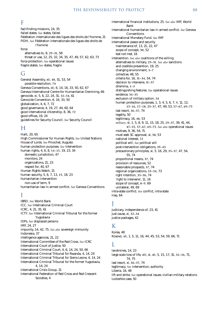### F

fact-finding missions, 24, 35 failed states. *See* states, failed Fédération internationale des ligues des droits de l'homme, 21 FIDH. *See* Fédération internationale des ligues des droits de l'homme

### force

alternatives to, 8, **29–31**, 58 threat or use, 12, 25, 32, 34, 35, 47, 49, 57, 62, 63, 73 force protection. *See* operational issues fragile states. *See* states, fragile

# G

General Assembly, xii, **48**, 51, 53, 54 possible resolution, **74** Geneva Conventions, xii, 6, 14, 16, 33, 50, 62, 67 Geneva International Centre for Humanitarian Demining, 66 genocide, xi, 5, 6, 22, 24, 31, **32–34**, 61 Genocide Convention, 6, 16, 33, 50 globalization, 4, 6, 7, 72 good governance, 4, 19, 27, 44, 60, 64 good international citizenship, 8, 36, **72** good offices, 19, 24 guidelines for Security Council. *See* Security Council

# H

Haiti, 20, 65 High Commissioner for Human Rights. *See* United Nations House of Lords. *See* Pinochet, Augusto human protection purposes. *See* intervention human rights, 4, 6, 8, **14–15**, 19, 23, 34 domestic jurisdiction, 47 monitors, 24 organizations, 21, 23 respect for, 40, 67 Human Rights Watch, 21 human security, 5, 6, 7, 13, **15**, 18, 23 humanitarian intervention non-use of term, 9 humanitarian law in armed conflict. *See* Geneva Conventions

# I

IBRD. *See* World Bank ICC. *See* International Criminal Court ICRC, 4, 21, 35, 61 ICTY. *See* International Criminal Tribunal for the former Yugoslavia IDPs. *See* displaced persons IMF, 24, 27 impunity, 14, 42, 75. *See also* sovereign immunity Indonesia, 37 intelligence agencies, 21, 22 International Committee of the Red Cross. *See* ICRC International Court of Justice, 50 International Criminal Court, 4, 6, 14, 24, 50, 66 International Criminal Tribunal for Rwanda, 4, 14, 24 International Criminal Tribunal for Sierra Leone, 4, 14, 24 International Criminal Tribunal for the former Yugoslavia, 4, 14, 24 International Crisis Group, 21 International Federation of Red Cross and Red Crescent Societies, 4

international financial institutions, 25. *See also* IMF, World Bank international humanitarian law in armed conflict. *See* Geneva Conventions International Monetary Fund. *See* IMF international peace and security maintenance of, 13, 21, 22, 47 scope of concept, **50**, 52 test not met, 16 intervention. *See also* coalitions of the willing alternatives to military, **29–31**. *See also* sanctions and credible prevention, 19, 25 changing environment, **3–7** collective, 48, 55 criteria for, 16, **31–34**, 54, 74 decision to intervene, **31–37** dilemma, **1–3** distinguishing features. *See* operational issues evidence, **34–35** exclusion of military option, **34** human protection purposes, 1, 3, 4, 5, 6, 7, **9**, 11, 12, **15–16**, **17–18**, **29–37**, 47, 49, 53, **57–67**, **69–75** last resort, **36–37**, 74 legality, 50 legitimacy, 16, **48**, 53 *military*, xi, 1, 5, 8, 9, 11, 15, 18, 25, **29–37**, 39, 41, 44, **47–55**, **57–67**, **69–75**. *See also* operational issues motives, 9, 36, 54, 71 must seek SC approval, xi, **50**, 53 national interest, **72** political will. *See* political will post-intervention obligations, **39–43** precautionary principles, xi, 5, 16, 29, **35–37**, 47, 54, 55, 74 proportional means, **37**, 74 provision of resources, 52 reasonable prospects, **37**, 74 regional organizations, **53–54**, 73 right intention, **35–36**, 74 'right to intervene', 11, 16 scope of concept, **8–9**, 69 unilateral, 49, 69 intra-state conflict. *See* conflict, intra-state Iraq, 64

# J

judiciary, independence of, 23, 41 just cause, xi, **32–34** justice packages, 42

# K

Korea, 48 Kosovo, vii, 1, 5, 11, 16, 44, 45, 53, 54, 59, 66, 71

# L

landmines, 14, 23 large scale loss of life, viii, xi, xii, 5, 15, 17, 31, **32–34**, 71, 74, 75 last resort, xi, **36–37**, 74 legitimacy. *See* intervention; authority Liberia, 16, 48 lift and strike. *See* operational issues: civilian-military relations Lockerbie case, 50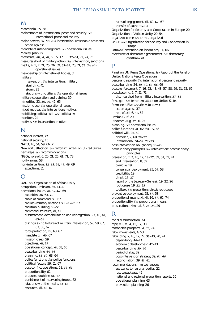# M

Macedonia, 25, 58 maintenance of international peace and security. *See* international peace and security major powers, 37. *See also* intervention: reasonable prospects action against mandate of intervening force. *See* operational issues Manley, John, ix massacres, viii, xi, xii, 5, 15, 17, 31, **32–34**, 71, 74, 75 measures short of military action. *See* intervention; sanctions media, 4, 5, 7, 21, 25, 26, 59, **63–64**, 70, 71, **73**. *See also* operational issues membership of international bodies, 31 military intervention. *See* intervention: military rebuilding, 41 reform, 23 relations with civilians. *See* operational issues military cooperation and training, 30 minorities, 23, **36**, **40**, 42, 65 mission creep. *See* operational issues mixed motives. *See* intervention: motives mobilizing political will. *See* political will monitors, 24 motives. *See* intervention: motives

# N

national interest, **72** national security, 15 NATO, 16, 54, 59, 66, 71 New York, attack on. *See* terrorism: attack on United States next steps. *See* recommendations NGOs, role of, 6, 20, 21, 25, 61, 71, 73 no-fly zones, 58 non-intervention, **12–13**, **31**, 47, 49, 69 exceptions, 31

# $\left( \ \right)$

OAU. *See* Organization of African Unity occupation, limits on, 35, **44–45** operational issues, **xii**, **57–67**, 69 casualties, 36, 63, 71 chain of command, xii, 67 civilian–military relations, xii, **61–62**, 67 coalition building, **58–59** command structure, xii, **61** disarmament, demobilization and reintegration, 23, 40, 41, **65–66** distinguishing features of military intervention, 57, 59, 62, 63, 66, 67 force protection, xii, 63, 67 mandate, xii, **60**, 67 mission creep, 59 objectives, xii, **59** operational concept, xii, 58, 60 peace building, **64–66** planning, **58–60**, 63, 64 police functions. *See* police functions political factors, 59, 61, 67 post-conflict operations, 58, **64–66** proportionality, 62 proposed doctrine, **66–67** punishment of intervening troops, 62 relations with the media, **63–64** resources, xii, **60**, 67

rules of engagement, xii, 60, **62**, 67 transfer of authority, **64** Organization for Security and Cooperation in Europe, 20 Organization of African Unity, 20, 54 organized crime. *See* crime, organized OSCE. *See* Organization for Security and Cooperation in Europe Ottawa Convention on landmines, 14, 66 overthrow of democratic government. *See* democracy, overthrow of

## P

Panel on UN Peace Operations. *See* Report of the Panel on United Nations Peace Operations peace and security. *See* international peace and security peace building, 24, **39–40**, **64–66**, 69 peace enforcement, 7, 16, 22, 43, 48, 57, 58, 59, 61, 62, 66 peacekeeping, 5, 7, 21, 71 distinguished from military intervention, **57–58** Pentagon. *See* terrorism: attack on United States Permanent Five. *See also* veto power action against, 37 role of, xii, 6, **51**, 52 Persian Gulf, 20 Pinochet, Augusto, 6, 25 planning. *See* operational issues police functions, **41**, 62, 64, **65**, 66 political will, 25, 69 domestic, 7, 60, **70–72** international, **51–52**, **72–73** post-intervention obligations, **39–43** precautionary principles. *See* intervention: precautionary principles prevention, x, 7, 16, 17, **19–27**, 39, 54, 71, 74 and intervention, 8, 69 coercive, 19 consensual deployment, 25, 57, 58 credibility, 19 direct, **23–27** report of the Secretary-General, 19, 22, 26 root cause, 19, **22–23** toolbox. *See* prevention: direct; root cause preventive deployment, 25, **57**, 58 proportional means, xi, xii, 16, **37**, 62, 74 proportionality. *See* proportional means prosecution, criminal, 8, **24–25**, 29

## R

racial discrimination, **34** rape, viii, xi, 4, 15, 17, 33 reasonable prospects, xi, **37**, 74 rebel movements, 4, 53 rebuilding, x, 16, 17, 27, **39–45**, 70, 74 dependency, **44–45** economic development, **42–43** peace building, **39–40** period of stay, 39 post-intervention strategy, 39, **64–66** reconciliation, 39, **41–42** recommendations – miscellaneous assistance to regional bodies, 22 justice packages, 42 national and regional prevention reports, 26 operational planning, 63 prevention planning, 26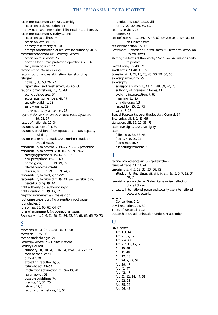### THE RESPONSIBILITY TO PROTECT 30

recommendations to General Assembly action on draft resolution, 74 prevention and international financial institutions, 27 recommendations to Security Council action on guidelines, 74 action on veto, xii, 75 primacy of authority, xi, 50 prompt consideration of requests for authority, xii, 50 recommendations to UN Secretary-General action on this Report, 75 doctrine for human protection operations, xii, 66 early warning unit, 22 reconciliation. *See* rebuilding reconstruction and rehabilitation. *See* rebuilding refugees flows, 5, 36, 53, **70**, 72 repatriation and resettlement, 40, 65, 66 regional organizations, 25, 26, 48 acting outside area, 54 action against members, xii, 47 capacity building, 22 early warning, 22 interventions by, xii, **53–54**, 73 *Report of the Panel on United Nations Peace Operations*, 19, 22, 57 rescue of nationals, 12, 34 resources, capture of, 4, 30 resources, provision of. *See* operational issues; capacity building response to terrorist attack. *See* terrorism: attack on United States responsibility to prevent, x, **19–27**. *See also* prevention responsibility to protect, x, 8, **11–18**, 29, **69–75** emerging practice, x, **15–16**, 50, 75 new perceptions, **17–18**, 69 primary, viii, 13, 17, 19, 49, 69 related concerns, **69–70** residual, viii, 17, 29, 31, 69, 74, 75 responsibility to react, x, **29–37** responsibility to rebuild, x, **39–45**. *See also* rebuilding peace building, **39–40** right authority. *See* authority: right right intention, xi, **35–36**, 74 "right to intervene." *See* intervention root cause prevention. *See* prevention: root cause roundtables, 3 rule of law, 23, 60, 62, 64, 67 rules of engagement. *See* operational issues Rwanda, vii, 1, 2, 6, 11, 20, 21, 24, 53, 54, 61, 65, 66, 70, 73

# S

sanctions, 8, 24, 25, **29–31**, 34, 37, 58 secession, 1, 25, 36 second track dialogue, 24 Secretary-General. *See* United Nations Security Council authority, vii, viii, xi, 1, 16, 34, **47–48**, **49–52**, 57 code of conduct, 51 duty, 47, 49 exceeding its authority, 50 failure to act, **53–55** implications of inaction, xii, **54–55**, 70 legitimacy of, 51 possible guidelines, **74** practice, 15, 34, 75 reform, 49, **51** regional organizations, 48, 54

Resolutions 1368, 1373, viii role, 7, 22, 30, 35, 50, 69, 74 security services, 23 reform, 65 self-defence, viii, 12, 34, 47, 48, 62. *See also* terrorism: attack on United States self-determination, 35, 43 September 11 attack on United States. *See* terrorism: attack on United States shifting the terms of the debate, **16–18**. *See also* responsibility to protect Sierra Leone, 16, 48, 59 small arms, 23, 40, 41, 65 Somalia, vii, 1, 11, 16, 20, 43, 50, 59, 60, 66 sovereign immunity, 25 sovereignty as responsibility, x, 8, **13–14**, 49, 69, 74, 75 authority of intervening forces, **44** evolving interpretation, 7, 69 meaning, **12–13** of individuals, 13 respect for, 25, 31, 75 value, 7, 13 Special Representative of the Secretary-General, 64 Srebrenica, vii, 1, 2, 11, 66 starvation, viii, 15, 17, 33, 71 state sovereignty. *See* sovereignty states failed, x, 8, 32, 33, 43 fragile, 4, 8, 20, 27 fragmentation, 5 supporting terrorism, 5

# T

technology, advances in. *See* globalization terms of trade, 20, 23, 24 terrorism, xi, 4, 5, 12, 32, 33, 36, 72 attack on United States, vii, viii, ix, **viii–ix**, 3, 5, 7, 12, 34, 48, 81 terrorist attack on United States. *See* terrorism: attack on United States threats to international peace and security. *See* international peace and security torture Convention, 6, 24 travel restrictions, 24, 30 Treaty of Westphalia, 12 trusteeship. *See* administration under UN authority

## U

UN Charter Art. 1.3, 14 Art. 2.1, 7, 12 Art. 2.4, 47 Art. 2.7, 12, 47, 50 Art. 10, 48 Art. 11, 48 Art. 12, 48 Art. 24, x, 47, 52 Art. 39, 47 Art. 41, 47 Art. 42, 47 Art. 51, 12, 34, 47, 53 Art. 52, 53 Art. 55, 22 Art. 76, 43